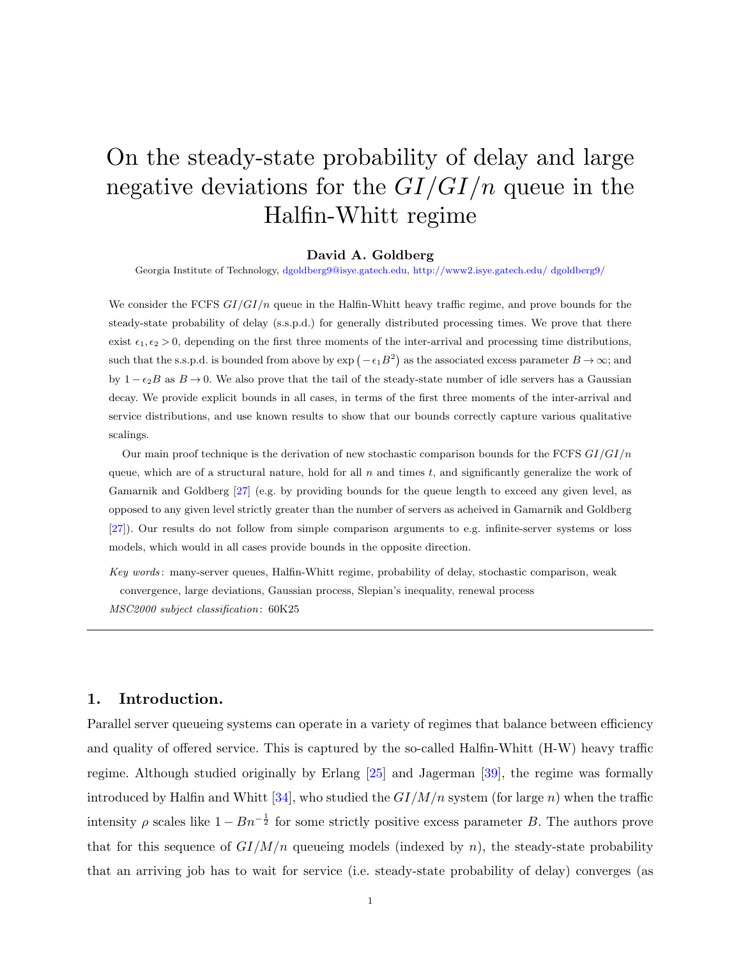# On the steady-state probability of delay and large negative deviations for the *GI/GI/n* queue in the Halfin-Whitt regime

#### **David A. Goldberg**

Georgia Institute of Technology, [dgoldberg9@isye.gatech.edu](mailto:dgoldberg9@isye.gatech.edu), [http://www2.isye.gatech.edu/ dgoldberg9/](http://www2.isye.gatech.edu/~dgoldberg9/)

We consider the FCFS *GI/GI/n* queue in the Halfin-Whitt heavy traffic regime, and prove bounds for the steady-state probability of delay (s.s.p.d.) for generally distributed processing times. We prove that there exist  $\epsilon_1, \epsilon_2 > 0$ , depending on the first three moments of the inter-arrival and processing time distributions, such that the s.s.p.d. is bounded from above by  $\exp(-\epsilon_1 B^2)$  as the associated excess parameter  $B \to \infty$ ; and by 1 *− ϵ*2*B* as *B →* 0. We also prove that the tail of the steady-state number of idle servers has a Gaussian decay. We provide explicit bounds in all cases, in terms of the first three moments of the inter-arrival and service distributions, and use known results to show that our bounds correctly capture various qualitative scalings.

Our main proof technique is the derivation of new stochastic comparison bounds for the FCFS *GI/GI/n* queue, which are of a structural nature, hold for all *n* and times *t*, and significantly generalize the work of Gamarnik and Goldberg [[27\]](#page-46-0) (e.g. by providing bounds for the queue length to exceed any given level, as opposed to any given level strictly greater than the number of servers as acheived in Gamarnik and Goldberg [\[27\]](#page-46-0)). Our results do not follow from simple comparison arguments to e.g. infinite-server systems or loss models, which would in all cases provide bounds in the opposite direction.

*Key words* : many-server queues, Halfin-Whitt regime, probability of delay, stochastic comparison, weak convergence, large deviations, Gaussian process, Slepian's inequality, renewal process *MSC2000 subject classification* : 60K25

# **1. Introduction.**

Parallel server queueing systems can operate in a variety of regimes that balance between efficiency and quality of offered service. This is captured by the so-called Halfin-Whitt (H-W) heavy traffic regime. Although studied originally by Erlang [\[25](#page-46-1)] and Jagerman [\[39](#page-47-0)], the regime was formally introduced by Halfin and Whitt [\[34](#page-47-1)], who studied the *GI/M/n* system (for large *n*) when the traffic intensity  $\rho$  scales like  $1 - Bn^{-\frac{1}{2}}$  for some strictly positive excess parameter *B*. The authors prove that for this sequence of  $GI/M/n$  queueing models (indexed by *n*), the steady-state probability that an arriving job has to wait for service (i.e. steady-state probability of delay) converges (as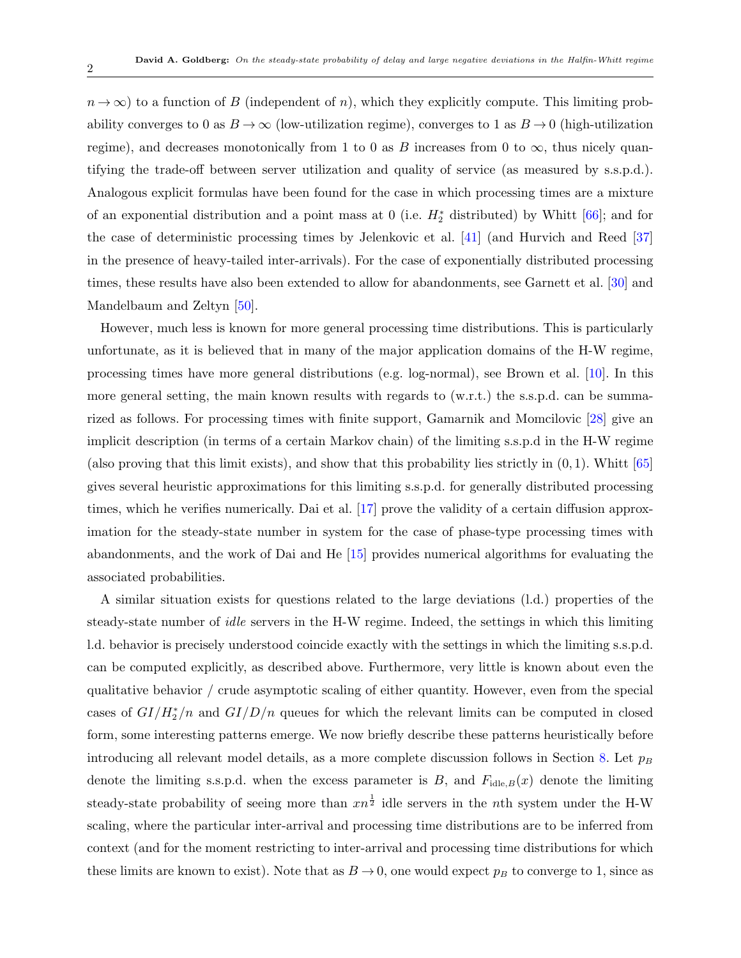$n \to \infty$ ) to a function of *B* (independent of *n*), which they explicitly compute. This limiting probability converges to 0 as  $B \to \infty$  (low-utilization regime), converges to 1 as  $B \to 0$  (high-utilization regime), and decreases monotonically from 1 to 0 as *B* increases from 0 to  $\infty$ , thus nicely quantifying the trade-off between server utilization and quality of service (as measured by s.s.p.d.). Analogous explicit formulas have been found for the case in which processing times are a mixture of an exponential distribution and a point mass at 0 (i.e. *H<sup>∗</sup>* <sup>2</sup> distributed) by Whitt [[66](#page-48-0)]; and for the case of deterministic processing times by Jelenkovic et al. [[41\]](#page-47-2) (and Hurvich and Reed [[37\]](#page-47-3) in the presence of heavy-tailed inter-arrivals). For the case of exponentially distributed processing times, these results have also been extended to allow for abandonments, see Garnett et al. [[30](#page-47-4)] and Mandelbaum and Zeltyn [[50](#page-48-1)].

However, much less is known for more general processing time distributions. This is particularly unfortunate, as it is believed that in many of the major application domains of the H-W regime, processing times have more general distributions (e.g. log-normal), see Brown et al. [[10\]](#page-45-0). In this more general setting, the main known results with regards to (w.r.t.) the s.s.p.d. can be summarized as follows. For processing times with finite support, Gamarnik and Momcilovic [[28\]](#page-46-2) give an implicit description (in terms of a certain Markov chain) of the limiting s.s.p.d in the H-W regime (also proving that this limit exists), and show that this probability lies strictly in  $(0, 1)$ . Whitt  $[65]$  $[65]$ gives several heuristic approximations for this limiting s.s.p.d. for generally distributed processing times, which he verifies numerically. Dai et al. [[17\]](#page-46-3) prove the validity of a certain diffusion approximation for the steady-state number in system for the case of phase-type processing times with abandonments, and the work of Dai and He [\[15](#page-46-4)] provides numerical algorithms for evaluating the associated probabilities.

A similar situation exists for questions related to the large deviations (l.d.) properties of the steady-state number of *idle* servers in the H-W regime. Indeed, the settings in which this limiting l.d. behavior is precisely understood coincide exactly with the settings in which the limiting s.s.p.d. can be computed explicitly, as described above. Furthermore, very little is known about even the qualitative behavior / crude asymptotic scaling of either quantity. However, even from the special cases of  $GI/H_2^*/n$  and  $GI/D/n$  queues for which the relevant limits can be computed in closed form, some interesting patterns emerge. We now briefly describe these patterns heuristically before introducing all relevant model details, as a more complete discussion follows in Section [8.](#page-27-0) Let  $p_B$ denote the limiting s.s.p.d. when the excess parameter is  $B$ , and  $F_{\text{idle},B}(x)$  denote the limiting steady-state probability of seeing more than *xn* 1 <sup>2</sup> idle servers in the *n*th system under the H-W scaling, where the particular inter-arrival and processing time distributions are to be inferred from context (and for the moment restricting to inter-arrival and processing time distributions for which these limits are known to exist). Note that as  $B \to 0$ , one would expect  $p_B$  to converge to 1, since as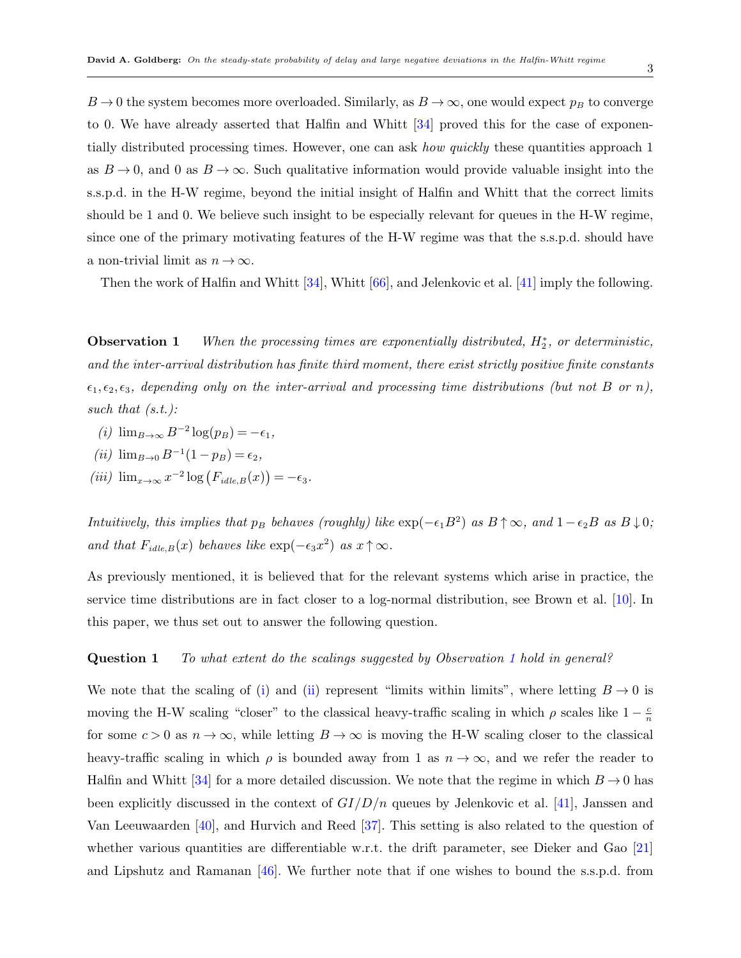$B\to 0$  the system becomes more overloaded. Similarly, as  $B\to\infty$ , one would expect  $p_B$  to converge to 0. We have already asserted that Halfin and Whitt [[34\]](#page-47-1) proved this for the case of exponentially distributed processing times. However, one can ask *how quickly* these quantities approach 1 as  $B \to 0$ , and 0 as  $B \to \infty$ . Such qualitative information would provide valuable insight into the s.s.p.d. in the H-W regime, beyond the initial insight of Halfin and Whitt that the correct limits should be 1 and 0. We believe such insight to be especially relevant for queues in the H-W regime, since one of the primary motivating features of the H-W regime was that the s.s.p.d. should have a non-trivial limit as  $n \to \infty$ .

<span id="page-2-0"></span>Then the work of Halfin and Whitt [\[34](#page-47-1)], Whitt [\[66](#page-48-0)], and Jelenkovic et al. [[41\]](#page-47-2) imply the following.

**Observation 1** *When the processing times are exponentially distributed, H<sup>∗</sup>* 2 *, or deterministic, and the inter-arrival distribution has finite third moment, there exist strictly positive finite constants*  $\epsilon_1, \epsilon_2, \epsilon_3$ , depending only on the inter-arrival and processing time distributions (but not B or n), *such that (s.t.):*

- <span id="page-2-1"></span> $(i)$  lim<sub>*B*→∞</sub>  $B^{-2}$  log( $p_B$ ) = − $\epsilon_1$ *,*
- <span id="page-2-2"></span> $(iii)$   $\lim_{B\to 0} B^{-1}(1-p_B) = \epsilon_2$ ,
- <span id="page-2-3"></span> $(iii)$   $\lim_{x \to \infty} x^{-2} \log (F_{idle, B}(x)) = -\epsilon_3$ .

*Intuitively, this implies that*  $p_B$  *behaves (roughly) like*  $\exp(-\epsilon_1 B^2)$  *as*  $B \uparrow \infty$ *, and*  $1 - \epsilon_2 B$  *as*  $B \downarrow 0$ *; and that*  $F_{idle,B}(x)$  *behaves like*  $\exp(-\epsilon_3 x^2)$  *as*  $x \uparrow \infty$ *.* 

<span id="page-2-4"></span>As previously mentioned, it is believed that for the relevant systems which arise in practice, the service time distributions are in fact closer to a log-normal distribution, see Brown et al. [[10\]](#page-45-0). In this paper, we thus set out to answer the following question.

#### **Question 1** *To what extent do the scalings suggested by Observation [1](#page-2-0) hold in general?*

We note that the scal[i](#page-2-1)ng of (i) and [\(ii](#page-2-2)) represent "limits within limits", where letting  $B \to 0$  is moving the H-W scaling "closer" to the classical heavy-traffic scaling in which  $\rho$  scales like  $1 - \frac{c}{n}$ *n* for some  $c > 0$  as  $n \to \infty$ , while letting  $B \to \infty$  is moving the H-W scaling closer to the classical heavy-traffic scaling in which  $\rho$  is bounded away from 1 as  $n \to \infty$ , and we refer the reader to Halfin and Whitt [[34\]](#page-47-1) for a more detailed discussion. We note that the regime in which  $B \to 0$  has been explicitly discussed in the context of *GI/D/n* queues by Jelenkovic et al. [\[41](#page-47-2)], Janssen and Van Leeuwaarden [\[40](#page-47-5)], and Hurvich and Reed [\[37](#page-47-3)]. This setting is also related to the question of whether various quantities are differentiable w.r.t. the drift parameter, see Dieker and Gao [[21\]](#page-46-5) and Lipshutz and Ramanan [[46\]](#page-47-6). We further note that if one wishes to bound the s.s.p.d. from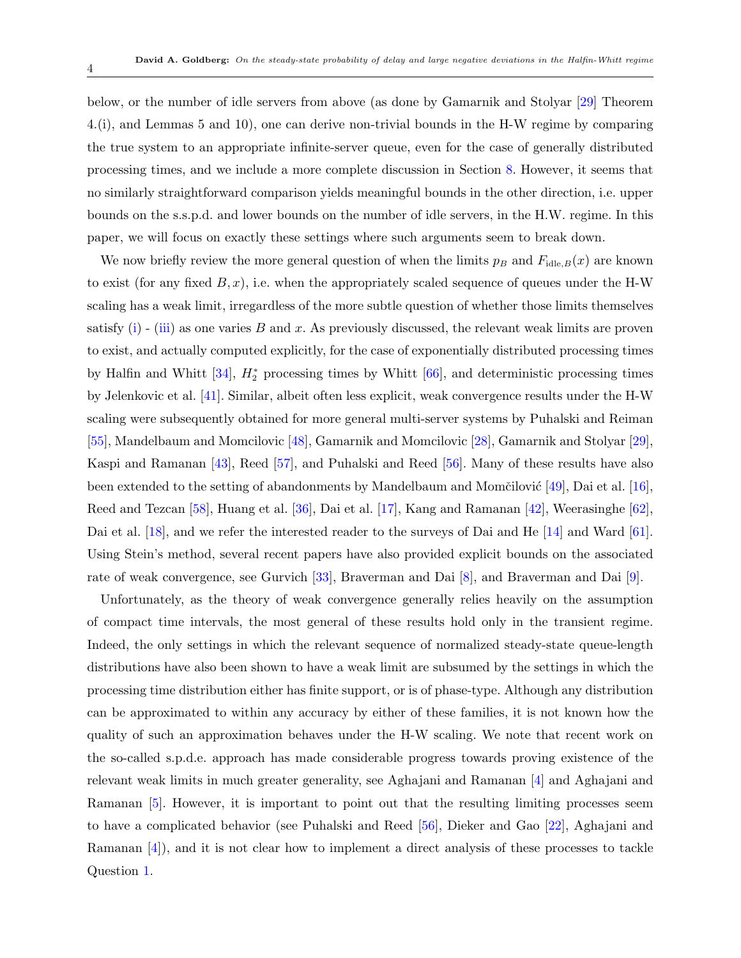below, or the number of idle servers from above (as done by Gamarnik and Stolyar [[29\]](#page-46-6) Theorem 4.(i), and Lemmas 5 and 10), one can derive non-trivial bounds in the H-W regime by comparing the true system to an appropriate infinite-server queue, even for the case of generally distributed processing times, and we include a more complete discussion in Section [8.](#page-27-0) However, it seems that no similarly straightforward comparison yields meaningful bounds in the other direction, i.e. upper bounds on the s.s.p.d. and lower bounds on the number of idle servers, in the H.W. regime. In this paper, we will focus on exactly these settings where such arguments seem to break down.

We now briefly review the more general question of when the limits  $p_B$  and  $F_{\text{idle},B}(x)$  are known to exist (for any fixed  $B, x$ ), i.e. when the appropriately scaled sequence of queues under the H-W scaling has a weak limit, irregardless of the more subtle question of whether those limits themselves satisfy ([i](#page-2-1)) - [\(iii\)](#page-2-3) as one varies *B* and *x*. As previously discussed, the relevant weak limits are proven to exist, and actually computed explicitly, for the case of exponentially distributed processing times by Halfin and Whitt [\[34](#page-47-1)], *H<sup>∗</sup>* <sup>2</sup> processing times by Whitt [\[66](#page-48-0)], and deterministic processing times by Jelenkovic et al. [\[41](#page-47-2)]. Similar, albeit often less explicit, weak convergence results under the H-W scaling were subsequently obtained for more general multi-server systems by Puhalski and Reiman [\[55](#page-48-3)], Mandelbaum and Momcilovic [[48\]](#page-47-7), Gamarnik and Momcilovic [[28](#page-46-2)], Gamarnik and Stolyar [[29\]](#page-46-6), Kaspi and Ramanan [\[43](#page-47-8)], Reed [[57\]](#page-48-4), and Puhalski and Reed [[56\]](#page-48-5). Many of these results have also been extended to the setting of abandonments by Mandelbaum and Momčilović [[49\]](#page-48-6), Dai et al. [[16\]](#page-46-7), Reed and Tezcan [\[58](#page-48-7)], Huang et al. [\[36](#page-47-9)], Dai et al. [[17\]](#page-46-3), Kang and Ramanan [[42\]](#page-47-10), Weerasinghe [[62\]](#page-48-8), Dai et al. [[18\]](#page-46-8), and we refer the interested reader to the surveys of Dai and He [[14\]](#page-46-9) and Ward [[61\]](#page-48-9). Using Stein's method, several recent papers have also provided explicit bounds on the associated rate of weak convergence, see Gurvich [[33\]](#page-47-11), Braverman and Dai [[8](#page-45-1)], and Braverman and Dai [\[9\]](#page-45-2).

Unfortunately, as the theory of weak convergence generally relies heavily on the assumption of compact time intervals, the most general of these results hold only in the transient regime. Indeed, the only settings in which the relevant sequence of normalized steady-state queue-length distributions have also been shown to have a weak limit are subsumed by the settings in which the processing time distribution either has finite support, or is of phase-type. Although any distribution can be approximated to within any accuracy by either of these families, it is not known how the quality of such an approximation behaves under the H-W scaling. We note that recent work on the so-called s.p.d.e. approach has made considerable progress towards proving existence of the relevant weak limits in much greater generality, see Aghajani and Ramanan [[4](#page-45-3)] and Aghajani and Ramanan [[5](#page-45-4)]. However, it is important to point out that the resulting limiting processes seem to have a complicated behavior (see Puhalski and Reed [[56](#page-48-5)], Dieker and Gao [\[22](#page-46-10)], Aghajani and Ramanan [[4](#page-45-3)]), and it is not clear how to implement a direct analysis of these processes to tackle Question [1.](#page-2-4)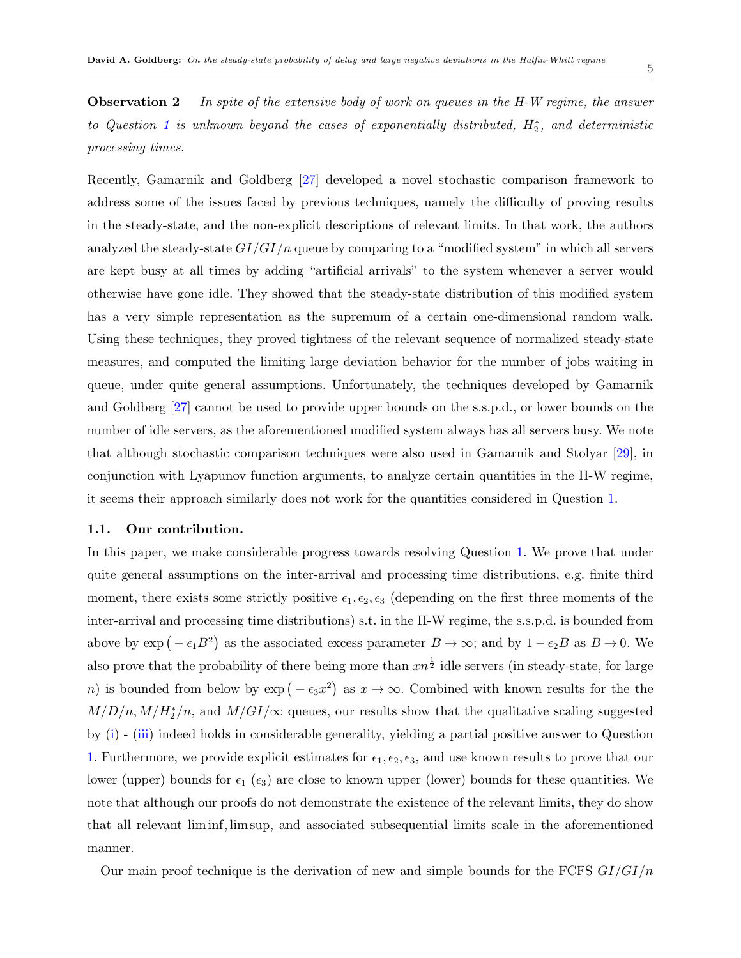5

**Observation 2** *In spite of the extensive body of work on queues in the H-W regime, the answer to Question [1](#page-2-4) is unknown beyond the cases of exponentially distributed, H<sup>∗</sup>* 2 *, and deterministic processing times.*

Recently, Gamarnik and Goldberg [[27\]](#page-46-0) developed a novel stochastic comparison framework to address some of the issues faced by previous techniques, namely the difficulty of proving results in the steady-state, and the non-explicit descriptions of relevant limits. In that work, the authors analyzed the steady-state *GI/GI/n* queue by comparing to a "modified system" in which all servers are kept busy at all times by adding "artificial arrivals" to the system whenever a server would otherwise have gone idle. They showed that the steady-state distribution of this modified system has a very simple representation as the supremum of a certain one-dimensional random walk. Using these techniques, they proved tightness of the relevant sequence of normalized steady-state measures, and computed the limiting large deviation behavior for the number of jobs waiting in queue, under quite general assumptions. Unfortunately, the techniques developed by Gamarnik and Goldberg [[27\]](#page-46-0) cannot be used to provide upper bounds on the s.s.p.d., or lower bounds on the number of idle servers, as the aforementioned modified system always has all servers busy. We note that although stochastic comparison techniques were also used in Gamarnik and Stolyar [[29\]](#page-46-6), in conjunction with Lyapunov function arguments, to analyze certain quantities in the H-W regime, it seems their approach similarly does not work for the quantities considered in Question [1.](#page-2-4)

#### **1.1. Our contribution.**

In this paper, we make considerable progress towards resolving Question [1](#page-2-4). We prove that under quite general assumptions on the inter-arrival and processing time distributions, e.g. finite third moment, there exists some strictly positive  $\epsilon_1, \epsilon_2, \epsilon_3$  (depending on the first three moments of the inter-arrival and processing time distributions) s.t. in the H-W regime, the s.s.p.d. is bounded from above by  $\exp(-\epsilon_1 B^2)$  as the associated excess parameter  $B \to \infty$ ; and by  $1 - \epsilon_2 B$  as  $B \to 0$ . We also prove that the probability of there being more than  $xn^{\frac{1}{2}}$  idle servers (in steady-state, for large *n*) is bounded from below by  $\exp(-\epsilon_3 x^2)$  as  $x \to \infty$ . Combined with known results for the the  $M/D/n, M/H_2^*/n$ , and  $M/GI/\infty$  queues, our results show that the qualitative scaling suggested by [\(i](#page-2-1)) - ([iii](#page-2-3)) indeed holds in considerable generality, yielding a partial positive answer to Question [1](#page-2-4). Furthermore, we provide explicit estimates for  $\epsilon_1, \epsilon_2, \epsilon_3$ , and use known results to prove that our lower (upper) bounds for  $\epsilon_1$  ( $\epsilon_3$ ) are close to known upper (lower) bounds for these quantities. We note that although our proofs do not demonstrate the existence of the relevant limits, they do show that all relevant liminf*,* lim sup, and associated subsequential limits scale in the aforementioned manner.

Our main proof technique is the derivation of new and simple bounds for the FCFS *GI/GI/n*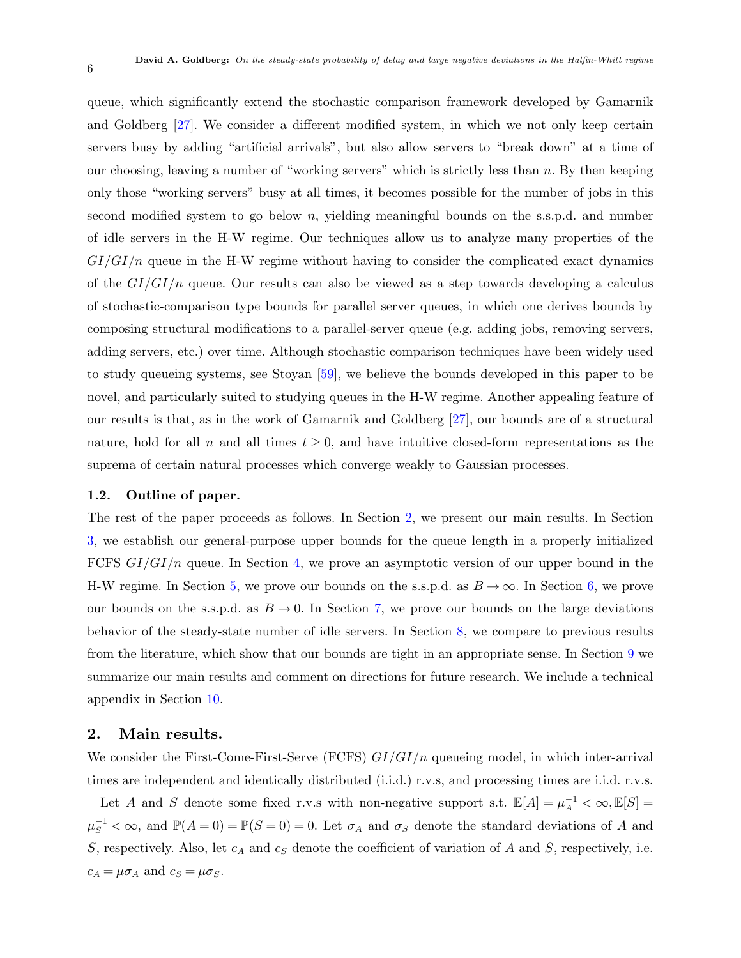queue, which significantly extend the stochastic comparison framework developed by Gamarnik and Goldberg [\[27](#page-46-0)]. We consider a different modified system, in which we not only keep certain servers busy by adding "artificial arrivals", but also allow servers to "break down" at a time of our choosing, leaving a number of "working servers" which is strictly less than *n*. By then keeping only those "working servers" busy at all times, it becomes possible for the number of jobs in this second modified system to go below *n*, yielding meaningful bounds on the s.s.p.d. and number of idle servers in the H-W regime. Our techniques allow us to analyze many properties of the *GI/GI/n* queue in the H-W regime without having to consider the complicated exact dynamics of the *GI/GI/n* queue. Our results can also be viewed as a step towards developing a calculus of stochastic-comparison type bounds for parallel server queues, in which one derives bounds by composing structural modifications to a parallel-server queue (e.g. adding jobs, removing servers, adding servers, etc.) over time. Although stochastic comparison techniques have been widely used to study queueing systems, see Stoyan [[59\]](#page-48-10), we believe the bounds developed in this paper to be novel, and particularly suited to studying queues in the H-W regime. Another appealing feature of our results is that, as in the work of Gamarnik and Goldberg [[27\]](#page-46-0), our bounds are of a structural nature, hold for all *n* and all times  $t \geq 0$ , and have intuitive closed-form representations as the suprema of certain natural processes which converge weakly to Gaussian processes.

#### **1.2. Outline of paper.**

The rest of the paper proceeds as follows. In Section [2,](#page-5-0) we present our main results. In Section [3](#page-8-0), we establish our general-purpose upper bounds for the queue length in a properly initialized FCFS *GI/GI/n* queue. In Section [4,](#page-16-0) we prove an asymptotic version of our upper bound in the H-W regime. In Section [5](#page-18-0), we prove our bounds on the s.s.p.d. as  $B \to \infty$ . In Section [6,](#page-20-0) we prove our bounds on the s.s.p.d. as  $B \to 0$ . In Section [7,](#page-26-0) we prove our bounds on the large deviations behavior of the steady-state number of idle servers. In Section [8](#page-27-0), we compare to previous results from the literature, which show that our bounds are tight in an appropriate sense. In Section [9](#page-30-0) we summarize our main results and comment on directions for future research. We include a technical appendix in Section [10.](#page-32-0)

#### <span id="page-5-0"></span>**2. Main results.**

We consider the First-Come-First-Serve (FCFS) *GI/GI/n* queueing model, in which inter-arrival times are independent and identically distributed (i.i.d.) r.v.s, and processing times are i.i.d. r.v.s.

Let *A* and *S* denote some fixed r.v.s with non-negative support s.t.  $\mathbb{E}[A] = \mu_A^{-1} < \infty, \mathbb{E}[S] =$  $\mu_S^{-1} < \infty$ , and  $\mathbb{P}(A=0) = \mathbb{P}(S=0) = 0$ . Let  $\sigma_A$  and  $\sigma_S$  denote the standard deviations of *A* and *S*, respectively. Also, let *c<sup>A</sup>* and *c<sup>S</sup>* denote the coefficient of variation of *A* and *S*, respectively, i.e.  $c_A = \mu \sigma_A$  and  $c_S = \mu \sigma_S$ .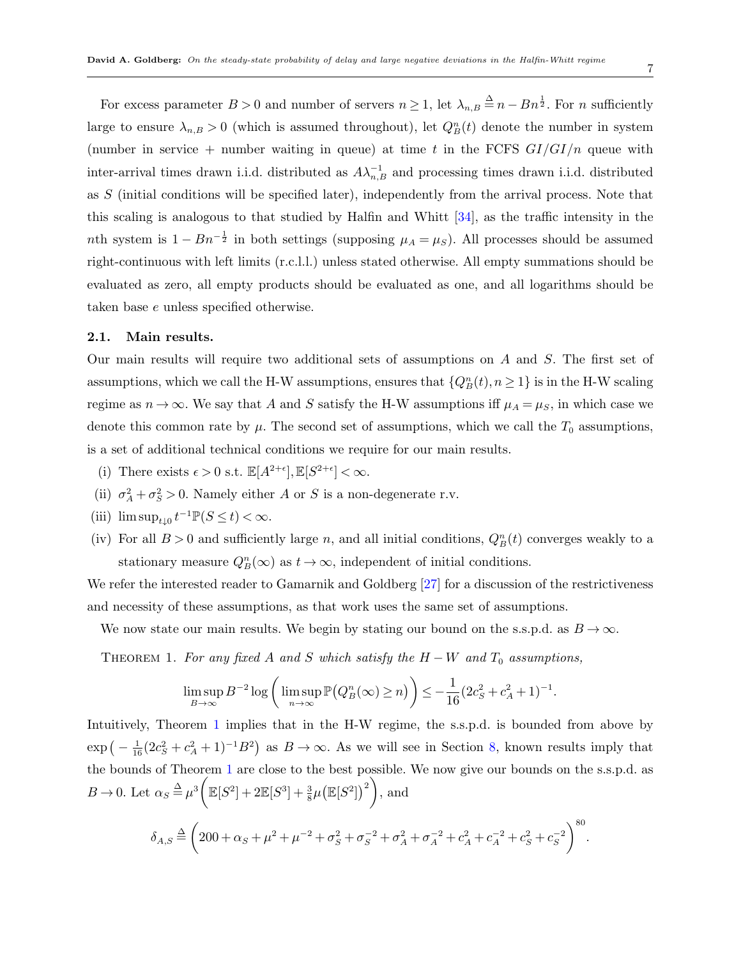For excess parameter  $B > 0$  and number of servers  $n \geq 1$ , let  $\lambda_{n,B} \stackrel{\Delta}{=} n - Bn^{\frac{1}{2}}$ . For *n* sufficiently large to ensure  $\lambda_{n,B} > 0$  (which is assumed throughout), let  $Q_B^n(t)$  denote the number in system (number in service  $+$  number waiting in queue) at time t in the FCFS  $GI/GI/n$  queue with inter-arrival times drawn i.i.d. distributed as  $A\lambda_{n,B}^{-1}$  and processing times drawn i.i.d. distributed as *S* (initial conditions will be specified later), independently from the arrival process. Note that this scaling is analogous to that studied by Halfin and Whitt [[34](#page-47-1)], as the traffic intensity in the *n*th system is  $1 - Bn^{-\frac{1}{2}}$  in both settings (supposing  $\mu_A = \mu_S$ ). All processes should be assumed right-continuous with left limits (r.c.l.l.) unless stated otherwise. All empty summations should be evaluated as zero, all empty products should be evaluated as one, and all logarithms should be taken base *e* unless specified otherwise.

#### **2.1. Main results.**

Our main results will require two additional sets of assumptions on *A* and *S*. The first set of assumptions, which we call the H-W assumptions, ensures that  $\{Q_B^n(t), n \ge 1\}$  is in the H-W scaling regime as  $n \to \infty$ . We say that *A* and *S* satisfy the H-W assumptions iff  $\mu_A = \mu_S$ , in which case we denote this common rate by  $\mu$ . The second set of assumptions, which we call the  $T_0$  assumptions, is a set of additional technical conditions we require for our main results.

- (i) There exists  $\epsilon > 0$  s.t.  $\mathbb{E}[A^{2+\epsilon}], \mathbb{E}[S^{2+\epsilon}] < \infty$ .
- (ii)  $\sigma_A^2 + \sigma_S^2 > 0$ . Namely either *A* or *S* is a non-degenerate r.v.
- (iii)  $\limsup_{t\downarrow 0} t^{-1} \mathbb{P}(S \le t) < \infty$ .
- (iv) For all  $B > 0$  and sufficiently large *n*, and all initial conditions,  $Q_B^n(t)$  converges weakly to a stationary measure  $Q_B^n(\infty)$  as  $t \to \infty$ , independent of initial conditions.

We refer the interested reader to Gamarnik and Goldberg [\[27](#page-46-0)] for a discussion of the restrictiveness and necessity of these assumptions, as that work uses the same set of assumptions.

We now state our main results. We begin by stating our bound on the s.s.p.d. as  $B \to \infty$ .

THEOREM 1. For any fixed A and S which satisfy the  $H - W$  and  $T_0$  assumptions,

<span id="page-6-0"></span>
$$
\limsup_{B \to \infty} B^{-2} \log \left( \limsup_{n \to \infty} \mathbb{P} \big( Q_B^n(\infty) \ge n \big) \right) \le -\frac{1}{16} (2c_S^2 + c_A^2 + 1)^{-1}.
$$

Intuitively, Theorem [1](#page-6-0) implies that in the H-W regime, the s.s.p.d. is bounded from above by  $\exp\left(-\frac{1}{16}(2c_S^2+c_A^2+1)^{-1}B^2\right)$  as  $B\to\infty$ . As we will see in Section [8,](#page-27-0) known results imply that the bounds of Theorem [1](#page-6-0) are close to the best possible. We now give our bounds on the s.s.p.d. as  $B \to 0$ . Let  $\alpha_S \stackrel{\Delta}{=} \mu^3$  $\mathbb{E}[S^2] + 2\mathbb{E}[S^3] + \frac{3}{8}\mu \big(\mathbb{E}[S^2]\big)^2 \bigg)$ , and

<span id="page-6-1"></span>
$$
\delta_{A,S} \stackrel{\Delta}{=} \left( 200 + \alpha_S + \mu^2 + \mu^{-2} + \sigma_S^2 + \sigma_S^{-2} + \sigma_A^2 + \sigma_A^{-2} + c_A^2 + c_A^{-2} + c_S^2 + c_S^{-2} \right)^{80}.
$$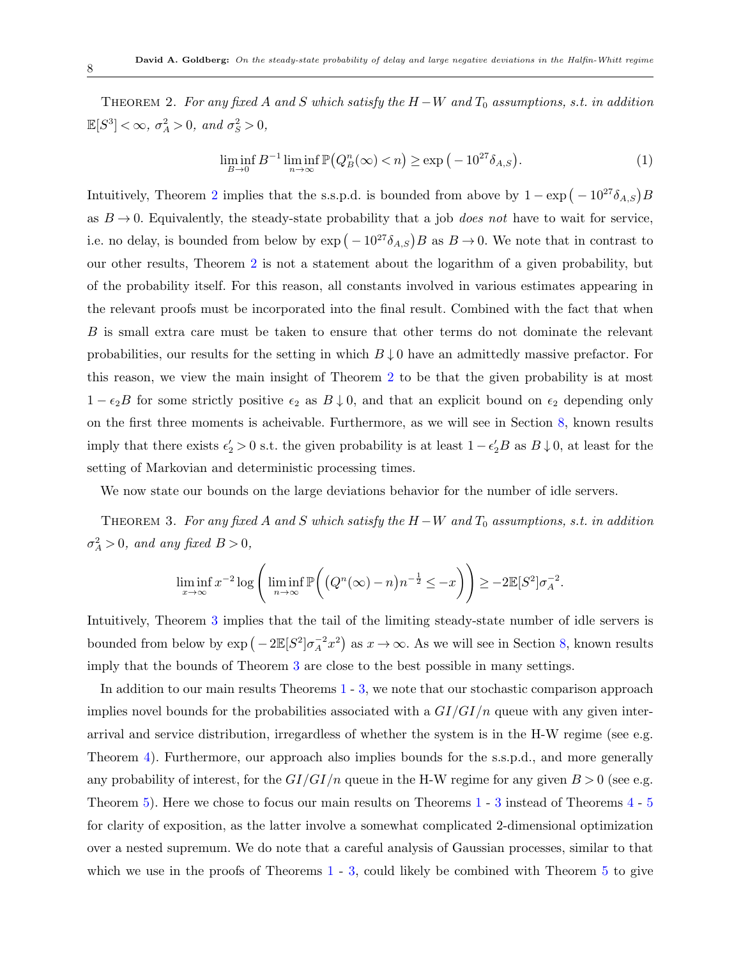THEOREM 2. For any fixed A and S which satisfy the  $H-W$  and  $T_0$  assumptions, s.t. in addition  $\mathbb{E}[S^3] < \infty$ ,  $\sigma_A^2 > 0$ , and  $\sigma_S^2 > 0$ ,

$$
\liminf_{B \to 0} B^{-1} \liminf_{n \to \infty} \mathbb{P}(Q_B^n(\infty) < n) \ge \exp\left(-10^{27} \delta_{A,S}\right). \tag{1}
$$

Intuitively, Theorem [2](#page-6-1) implies that the s.s.p.d. is bounded from above by  $1 - \exp(-10^{27} \delta_{A,S})B$ as  $B \to 0$ . Equivalently, the steady-state probability that a job *does not* have to wait for service, i.e. no delay, is bounded from below by  $\exp(-10^{27}\delta_{A,S})B$  as  $B \to 0$ . We note that in contrast to our other results, Theorem [2](#page-6-1) is not a statement about the logarithm of a given probability, but of the probability itself. For this reason, all constants involved in various estimates appearing in the relevant proofs must be incorporated into the final result. Combined with the fact that when *B* is small extra care must be taken to ensure that other terms do not dominate the relevant probabilities, our results for the setting in which  $B \downarrow 0$  have an admittedly massive prefactor. For this reason, we view the main insight of Theorem [2](#page-6-1) to be that the given probability is at most 1 *− ϵ*2*B* for some strictly positive *ϵ*<sup>2</sup> as *B ↓* 0, and that an explicit bound on *ϵ*<sup>2</sup> depending only on the first three moments is acheivable. Furthermore, as we will see in Section [8,](#page-27-0) known results imply that there exists  $\epsilon'_2 > 0$  s.t. the given probability is at least  $1 - \epsilon'_2 B$  as  $B \downarrow 0$ , at least for the setting of Markovian and deterministic processing times.

We now state our bounds on the large deviations behavior for the number of idle servers.

THEOREM 3. For any fixed A and S which satisfy the  $H-W$  and  $T_0$  assumptions, s.t. in addition  $\sigma_A^2 > 0$ *, and any fixed*  $B > 0$ *,* 

<span id="page-7-0"></span>
$$
\liminf_{x \to \infty} x^{-2} \log \left( \liminf_{n \to \infty} \mathbb{P}\left( \left( Q^n(\infty) - n \right) n^{-\frac{1}{2}} \le -x \right) \right) \ge -2\mathbb{E}[S^2] \sigma_A^{-2}.
$$

Intuitively, Theorem [3](#page-7-0) implies that the tail of the limiting steady-state number of idle servers is bounded from below by  $\exp(-2\mathbb{E}[S^2]\sigma_A^{-2}x^2)$  as  $x \to \infty$ . As we will see in Section [8,](#page-27-0) known results imply that the bounds of Theorem [3](#page-7-0) are close to the best possible in many settings.

In addition to our main results Theorems [1](#page-6-0) - [3,](#page-7-0) we note that our stochastic comparison approach implies novel bounds for the probabilities associated with a *GI/GI/n* queue with any given interarrival and service distribution, irregardless of whether the system is in the H-W regime (see e.g. Theorem [4](#page-9-0)). Furthermore, our approach also implies bounds for the s.s.p.d., and more generally any probability of interest, for the  $GI/GI/n$  queue in the H-W regime for any given  $B > 0$  (see e.g. Theorem [5\)](#page-16-1). Here we chose to focus our main results on Theorems [1](#page-6-0) - [3](#page-7-0) instead of Theorems [4](#page-9-0) - [5](#page-16-1) for clarity of exposition, as the latter involve a somewhat complicated 2-dimensional optimization over a nested supremum. We do note that a careful analysis of Gaussian processes, similar to that which we use in the proofs of Theorems  $1 - 3$  $1 - 3$ , could likely be combined with Theorem  $5$  to give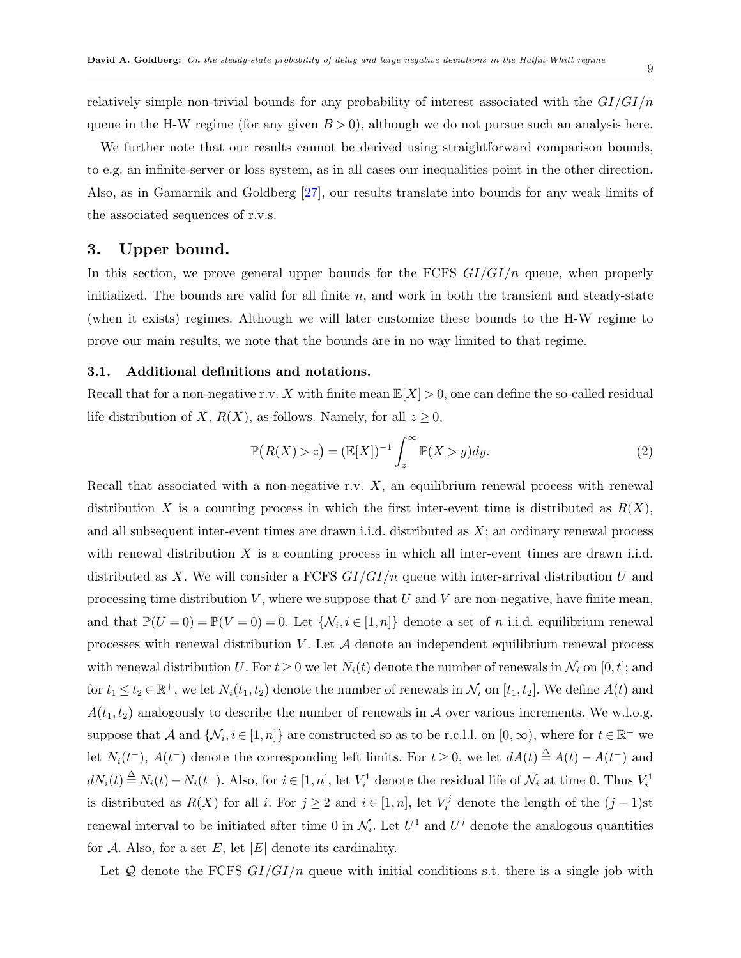relatively simple non-trivial bounds for any probability of interest associated with the *GI/GI/n* queue in the H-W regime (for any given  $B > 0$ ), although we do not pursue such an analysis here.

We further note that our results cannot be derived using straightforward comparison bounds, to e.g. an infinite-server or loss system, as in all cases our inequalities point in the other direction. Also, as in Gamarnik and Goldberg [[27\]](#page-46-0), our results translate into bounds for any weak limits of the associated sequences of r.v.s.

# <span id="page-8-0"></span>**3. Upper bound.**

In this section, we prove general upper bounds for the FCFS *GI/GI/n* queue, when properly initialized. The bounds are valid for all finite *n*, and work in both the transient and steady-state (when it exists) regimes. Although we will later customize these bounds to the H-W regime to prove our main results, we note that the bounds are in no way limited to that regime.

#### **3.1. Additional definitions and notations.**

Recall that for a non-negative r.v. *X* with finite mean  $\mathbb{E}[X] > 0$ , one can define the so-called residual life distribution of *X*,  $R(X)$ , as follows. Namely, for all  $z \geq 0$ ,

$$
\mathbb{P}(R(X) > z) = (\mathbb{E}[X])^{-1} \int_{z}^{\infty} \mathbb{P}(X > y) dy. \tag{2}
$$

Recall that associated with a non-negative r.v. *X*, an equilibrium renewal process with renewal distribution *X* is a counting process in which the first inter-event time is distributed as  $R(X)$ , and all subsequent inter-event times are drawn i.i.d. distributed as *X*; an ordinary renewal process with renewal distribution *X* is a counting process in which all inter-event times are drawn i.i.d. distributed as *X*. We will consider a FCFS *GI/GI/n* queue with inter-arrival distribution *U* and processing time distribution *V* , where we suppose that *U* and *V* are non-negative, have finite mean, and that  $\mathbb{P}(U=0) = \mathbb{P}(V=0) = 0$ . Let  $\{\mathcal{N}_i, i \in [1,n]\}$  denote a set of *n* i.i.d. equilibrium renewal processes with renewal distribution *V* . Let *A* denote an independent equilibrium renewal process with renewal distribution *U*. For  $t \geq 0$  we let  $N_i(t)$  denote the number of renewals in  $\mathcal{N}_i$  on [0, *t*]; and for  $t_1 \le t_2 \in \mathbb{R}^+$ , we let  $N_i(t_1, t_2)$  denote the number of renewals in  $\mathcal{N}_i$  on  $[t_1, t_2]$ . We define  $A(t)$  and  $A(t_1, t_2)$  analogously to describe the number of renewals in *A* over various increments. We w.l.o.g. suppose that *A* and  $\{N_i, i \in [1, n]\}$  are constructed so as to be r.c.l.l. on  $[0, \infty)$ , where for  $t \in \mathbb{R}^+$  we let  $N_i(t^-)$ ,  $A(t^-)$  denote the corresponding left limits. For  $t \geq 0$ , we let  $dA(t) \stackrel{\Delta}{=} A(t) - A(t^-)$  and  $dN_i(t) \stackrel{\Delta}{=} N_i(t) - N_i(t^-)$ . Also, for  $i \in [1, n]$ , let  $V_i^1$  denote the residual life of  $\mathcal{N}_i$  at time 0. Thus  $V_i^1$ is distributed as  $R(X)$  for all *i*. For  $j \geq 2$  and  $i \in [1, n]$ , let  $V_i^j$  denote the length of the  $(j-1)$ st renewal interval to be initiated after time 0 in  $\mathcal{N}_i$ . Let  $U^1$  and  $U^j$  denote the analogous quantities for  $\mathcal A$ . Also, for a set  $E$ , let  $|E|$  denote its cardinality.

Let *Q* denote the FCFS *GI/GI/n* queue with initial conditions s.t. there is a single job with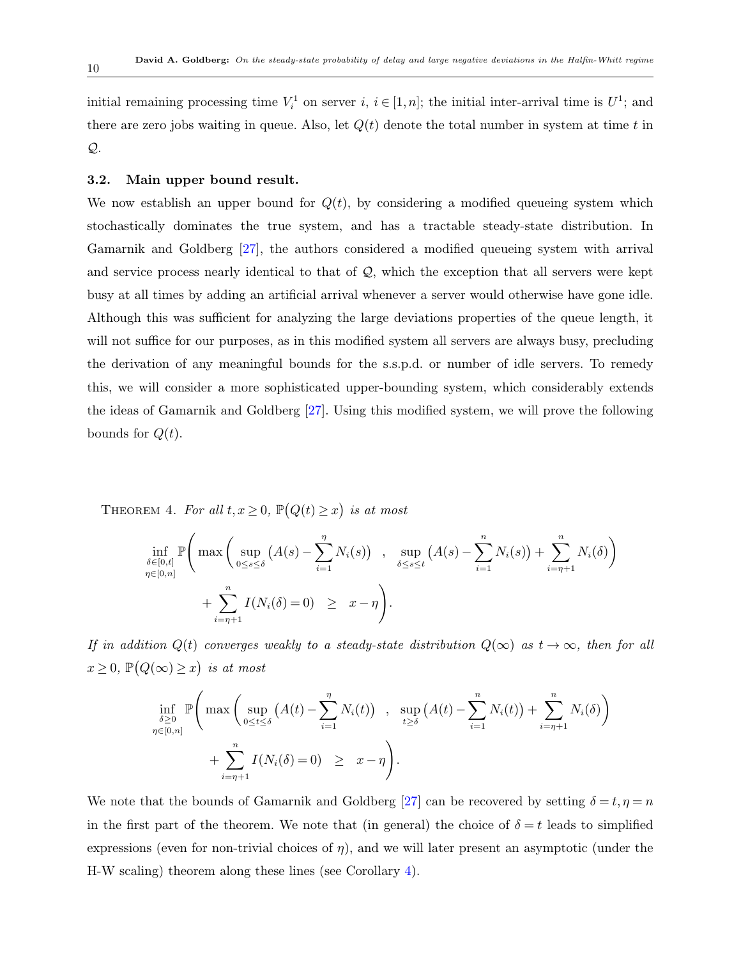initial remaining processing time  $V_i^1$  on server  $i, i \in [1, n]$ ; the initial inter-arrival time is  $U^1$ ; and there are zero jobs waiting in queue. Also, let  $Q(t)$  denote the total number in system at time  $t$  in *Q*.

# **3.2. Main upper bound result.**

We now establish an upper bound for  $Q(t)$ , by considering a modified queueing system which stochastically dominates the true system, and has a tractable steady-state distribution. In Gamarnik and Goldberg [[27\]](#page-46-0), the authors considered a modified queueing system with arrival and service process nearly identical to that of *Q*, which the exception that all servers were kept busy at all times by adding an artificial arrival whenever a server would otherwise have gone idle. Although this was sufficient for analyzing the large deviations properties of the queue length, it will not suffice for our purposes, as in this modified system all servers are always busy, precluding the derivation of any meaningful bounds for the s.s.p.d. or number of idle servers. To remedy this, we will consider a more sophisticated upper-bounding system, which considerably extends the ideas of Gamarnik and Goldberg [[27\]](#page-46-0). Using this modified system, we will prove the following bounds for  $Q(t)$ .

<span id="page-9-0"></span>THEOREM 4. For all  $t, x \ge 0$ ,  $\mathbb{P}(Q(t) \ge x)$  is at most

$$
\inf_{\delta \in [0,t]} \mathbb{P}\left(\max\left(\sup_{0 \le s \le \delta} (A(s) - \sum_{i=1}^n N_i(s)) \right), \sup_{\delta \le s \le t} (A(s) - \sum_{i=1}^n N_i(s)) + \sum_{i=\eta+1}^n N_i(\delta)\right) + \sum_{i=\eta+1}^n I(N_i(\delta) = 0) \ge x - \eta\right).
$$

*If in addition*  $Q(t)$  *converges weakly to a steady-state distribution*  $Q(\infty)$  *as*  $t \to \infty$ *, then for all*  $x \geq 0$ ,  $\mathbb{P}(Q(\infty) \geq x)$  *is at most* 

$$
\inf_{\delta \geq 0} \mathbb{P}\left(\max\left(\sup_{0 \leq t \leq \delta} (A(t) - \sum_{i=1}^{\eta} N_i(t)) \right), \sup_{t \geq \delta} (A(t) - \sum_{i=1}^{\eta} N_i(t)) + \sum_{i=\eta+1}^{\eta} N_i(\delta) \right) + \sum_{i=\eta+1}^{\eta} I(N_i(\delta) = 0) \geq x - \eta \right).
$$

We note that the bounds of Gamarnik and Goldberg [[27](#page-46-0)] can be recovered by setting  $\delta = t, \eta = n$ in the first part of the theorem. We note that (in general) the choice of  $\delta = t$  leads to simplified expressions (even for non-trivial choices of  $\eta$ ), and we will later present an asymptotic (under the H-W scaling) theorem along these lines (see Corollary [4\)](#page-18-1).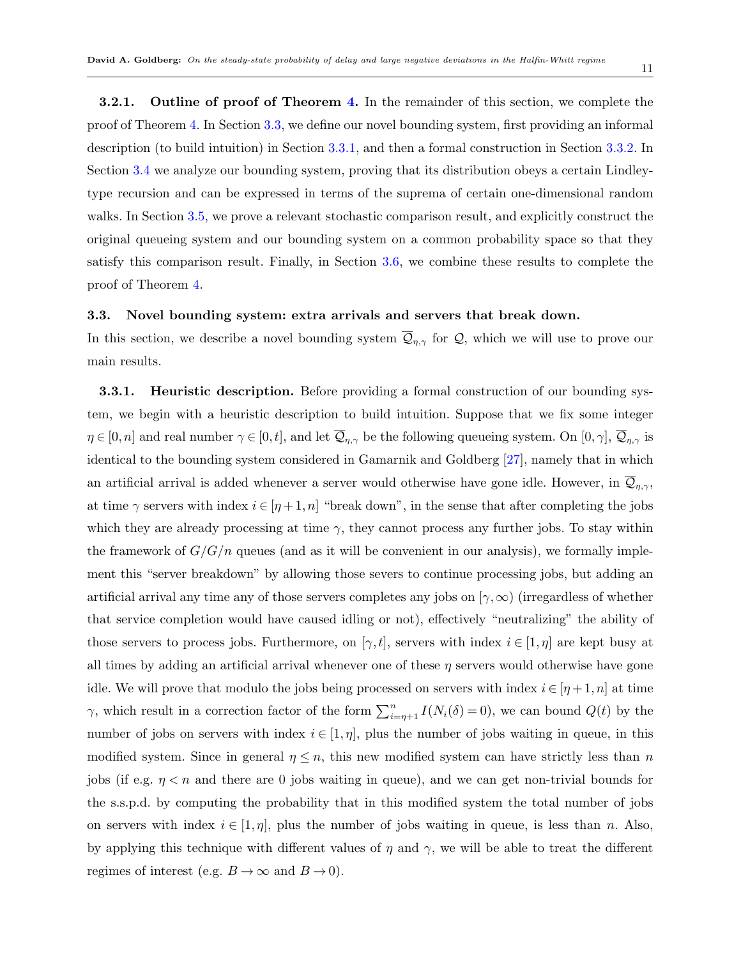**3.2.1.** Outline of proof of Theorem [4](#page-9-0). In the remainder of this section, we complete the proof of Theorem [4](#page-9-0). In Section [3.3](#page-10-0), we define our novel bounding system, first providing an informal description (to build intuition) in Section [3.3.1,](#page-10-1) and then a formal construction in Section [3.3.2.](#page-11-0) In Section [3.4](#page-12-0) we analyze our bounding system, proving that its distribution obeys a certain Lindleytype recursion and can be expressed in terms of the suprema of certain one-dimensional random walks. In Section [3.5](#page-13-0), we prove a relevant stochastic comparison result, and explicitly construct the original queueing system and our bounding system on a common probability space so that they satisfy this comparison result. Finally, in Section [3.6](#page-14-0), we combine these results to complete the proof of Theorem [4.](#page-9-0)

#### <span id="page-10-0"></span>**3.3. Novel bounding system: extra arrivals and servers that break down.**

In this section, we describe a novel bounding system  $\overline{Q}_{\eta,\gamma}$  for  $Q$ , which we will use to prove our main results.

<span id="page-10-1"></span>**3.3.1.** Heuristic description. Before providing a formal construction of our bounding system, we begin with a heuristic description to build intuition. Suppose that we fix some integer  $\eta \in [0, n]$  and real number  $\gamma \in [0, t]$ , and let  $\overline{Q}_{\eta, \gamma}$  be the following queueing system. On  $[0, \gamma]$ ,  $\overline{Q}_{\eta, \gamma}$  is identical to the bounding system considered in Gamarnik and Goldberg [[27\]](#page-46-0), namely that in which an artificial arrival is added whenever a server would otherwise have gone idle. However, in  $\mathcal{Q}_{\eta,\gamma}$ , at time  $\gamma$  servers with index  $i \in [\eta + 1, n]$  "break down", in the sense that after completing the jobs which they are already processing at time  $\gamma$ , they cannot process any further jobs. To stay within the framework of  $G/G/n$  queues (and as it will be convenient in our analysis), we formally implement this "server breakdown" by allowing those severs to continue processing jobs, but adding an artificial arrival any time any of those servers completes any jobs on [*γ,∞*) (irregardless of whether that service completion would have caused idling or not), effectively "neutralizing" the ability of those servers to process jobs. Furthermore, on  $[\gamma, t]$ , servers with index  $i \in [1, \eta]$  are kept busy at all times by adding an artificial arrival whenever one of these *η* servers would otherwise have gone idle. We will prove that modulo the jobs being processed on servers with index  $i \in [\eta + 1, n]$  at time *γ*, which result in a correction factor of the form  $\sum_{i=\eta+1}^{n} I(N_i(\delta) = 0)$ , we can bound  $Q(t)$  by the number of jobs on servers with index  $i \in [1, \eta]$ , plus the number of jobs waiting in queue, in this modified system. Since in general  $\eta \leq n$ , this new modified system can have strictly less than *n* jobs (if e.g.  $\eta < n$  and there are 0 jobs waiting in queue), and we can get non-trivial bounds for the s.s.p.d. by computing the probability that in this modified system the total number of jobs on servers with index  $i \in [1, \eta]$ , plus the number of jobs waiting in queue, is less than *n*. Also, by applying this technique with different values of  $\eta$  and  $\gamma$ , we will be able to treat the different regimes of interest (e.g.  $B \to \infty$  and  $B \to 0$ ).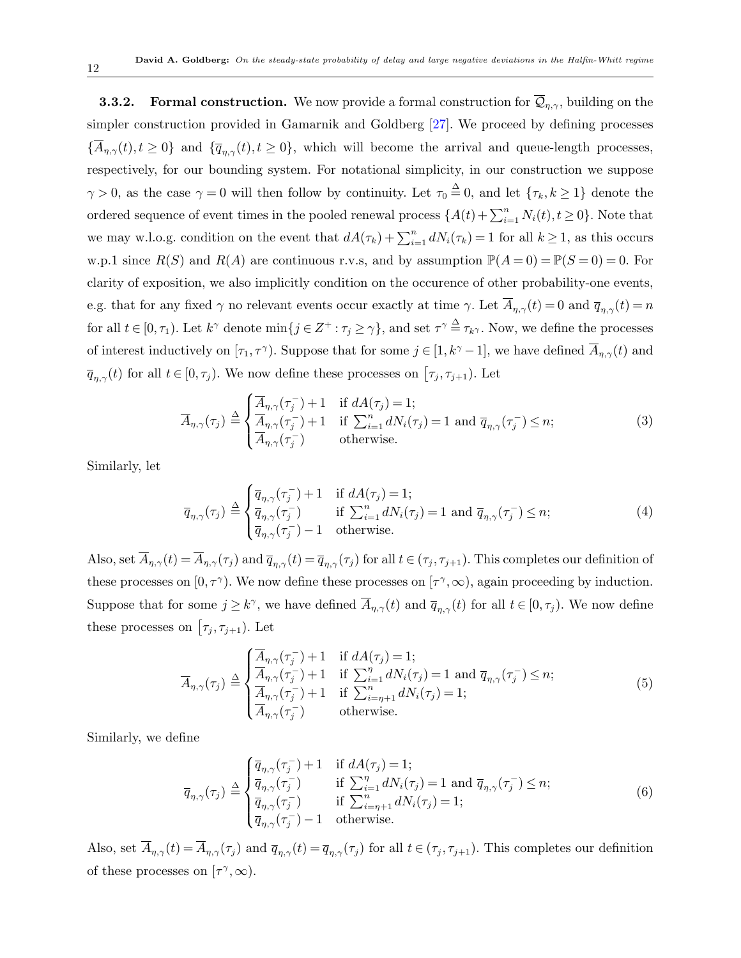<span id="page-11-0"></span>**3.3.2. Formal construction.** We now provide a formal construction for  $\overline{Q}_{\eta,\gamma}$ , building on the simpler construction provided in Gamarnik and Goldberg [[27\]](#page-46-0). We proceed by defining processes  ${ {\overline{A}}_{\eta,\gamma}(t), t \geq 0 }$  and  ${ {\overline{q}}_{\eta,\gamma}(t), t \geq 0 }$ , which will become the arrival and queue-length processes, respectively, for our bounding system. For notational simplicity, in our construction we suppose  $\gamma > 0$ , as the case  $\gamma = 0$  will then follow by continuity. Let  $\tau_0 \stackrel{\Delta}{=} 0$ , and let  $\{\tau_k, k \geq 1\}$  denote the ordered sequence of event times in the pooled renewal process  $\{A(t) + \sum_{i=1}^{n} N_i(t), t \ge 0\}$ . Note that we may w.l.o.g. condition on the event that  $dA(\tau_k) + \sum_{i=1}^n dN_i(\tau_k) = 1$  for all  $k \ge 1$ , as this occurs w.p.1 since  $R(S)$  and  $R(A)$  are continuous r.v.s, and by assumption  $\mathbb{P}(A=0) = \mathbb{P}(S=0) = 0$ . For clarity of exposition, we also implicitly condition on the occurence of other probability-one events, e.g. that for any fixed  $\gamma$  no relevant events occur exactly at time  $\gamma$ . Let  $\overline{A}_{\eta,\gamma}(t) = 0$  and  $\overline{q}_{\eta,\gamma}(t) = n$ for all  $t \in [0, \tau_1)$ . Let  $k^{\gamma}$  denote  $\min\{j \in \mathbb{Z}^+ : \tau_j \geq \gamma\}$ , and set  $\tau^{\gamma} \stackrel{\Delta}{=} \tau_{k^{\gamma}}$ . Now, we define the processes of interest inductively on  $[\tau_1, \tau^{\gamma}]$ . Suppose that for some  $j \in [1, k^{\gamma} - 1]$ , we have defined  $\overline{A}_{\eta, \gamma}(t)$  and  $\overline{q}_{\eta,\gamma}(t)$  for all  $t \in [0,\tau_j)$ . We now define these processes on  $[\tau_j, \tau_{j+1})$ . Let

$$
\overline{A}_{\eta,\gamma}(\tau_j) \triangleq \begin{cases}\n\overline{A}_{\eta,\gamma}(\tau_j^-) + 1 & \text{if } dA(\tau_j) = 1; \\
\overline{A}_{\eta,\gamma}(\tau_j^-) + 1 & \text{if } \sum_{i=1}^n dN_i(\tau_j) = 1 \text{ and } \overline{q}_{\eta,\gamma}(\tau_j^-) \leq n; \\
\overline{A}_{\eta,\gamma}(\tau_j^-) & \text{otherwise.} \n\end{cases}
$$
\n(3)

Similarly, let

$$
\overline{q}_{\eta,\gamma}(\tau_j) \stackrel{\Delta}{=} \begin{cases} \overline{q}_{\eta,\gamma}(\tau_j^-) + 1 & \text{if } dA(\tau_j) = 1; \\ \overline{q}_{\eta,\gamma}(\tau_j^-) & \text{if } \sum_{i=1}^n dN_i(\tau_j) = 1 \text{ and } \overline{q}_{\eta,\gamma}(\tau_j^-) \le n; \\ \overline{q}_{\eta,\gamma}(\tau_j^-) - 1 & \text{otherwise.} \end{cases} \tag{4}
$$

Also, set  $\overline{A}_{\eta,\gamma}(t) = \overline{A}_{\eta,\gamma}(\tau_j)$  and  $\overline{q}_{\eta,\gamma}(t) = \overline{q}_{\eta,\gamma}(\tau_j)$  for all  $t \in (\tau_j, \tau_{j+1})$ . This completes our definition of these processes on  $[0, \tau^{\gamma}]$ . We now define these processes on  $[\tau^{\gamma}, \infty)$ , again proceeding by induction. Suppose that for some  $j \geq k^{\gamma}$ , we have defined  $\overline{A}_{\eta,\gamma}(t)$  and  $\overline{q}_{\eta,\gamma}(t)$  for all  $t \in [0,\tau_j)$ . We now define these processes on  $[\tau_j, \tau_{j+1})$ . Let

$$
\overline{A}_{\eta,\gamma}(\tau_j) \stackrel{\Delta}{=} \begin{cases}\n\overline{A}_{\eta,\gamma}(\tau_j^-) + 1 & \text{if } dA(\tau_j) = 1; \\
\overline{A}_{\eta,\gamma}(\tau_j^-) + 1 & \text{if } \sum_{i=1}^{\eta} dN_i(\tau_j) = 1 \text{ and } \overline{q}_{\eta,\gamma}(\tau_j^-) \leq n; \\
\overline{A}_{\eta,\gamma}(\tau_j^-) + 1 & \text{if } \sum_{i=\eta+1}^{\eta} dN_i(\tau_j) = 1; \\
\overline{A}_{\eta,\gamma}(\tau_j^-) & \text{otherwise.} \n\end{cases}
$$
\n(5)

Similarly, we define

$$
\overline{q}_{\eta,\gamma}(\tau_j) \stackrel{\Delta}{=} \begin{cases}\n\overline{q}_{\eta,\gamma}(\tau_j^-) + 1 & \text{if } dA(\tau_j) = 1; \\
\overline{q}_{\eta,\gamma}(\tau_j^-) & \text{if } \sum_{i=1}^{\eta} dN_i(\tau_j) = 1 \text{ and } \overline{q}_{\eta,\gamma}(\tau_j^-) \leq n; \\
\overline{q}_{\eta,\gamma}(\tau_j^-) & \text{if } \sum_{i=\eta+1}^{\eta} dN_i(\tau_j) = 1; \\
\overline{q}_{\eta,\gamma}(\tau_j^-) - 1 & \text{otherwise.} \n\end{cases} \tag{6}
$$

Also, set  $\overline{A}_{\eta,\gamma}(t) = \overline{A}_{\eta,\gamma}(\tau_j)$  and  $\overline{q}_{\eta,\gamma}(t) = \overline{q}_{\eta,\gamma}(\tau_j)$  for all  $t \in (\tau_j, \tau_{j+1})$ . This completes our definition of these processes on  $[\tau^{\gamma}, \infty)$ .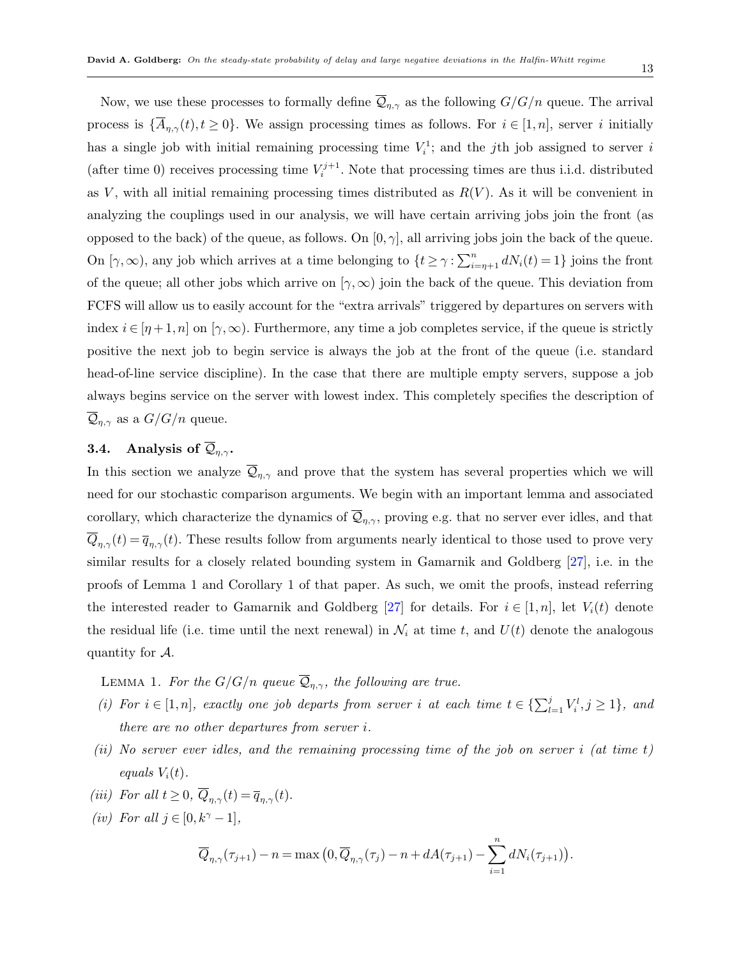Now, we use these processes to formally define  $\overline{Q}_{\eta,\gamma}$  as the following  $G/G/n$  queue. The arrival process is  $\{\overline{A}_{\eta,\gamma}(t), t \geq 0\}$ . We assign processing times as follows. For  $i \in [1,n]$ , server *i* initially has a single job with initial remaining processing time  $V_i^1$ ; and the *j*th job assigned to server *i* (after time 0) receives processing time  $V_i^{j+1}$ . Note that processing times are thus i.i.d. distributed as  $V$ , with all initial remaining processing times distributed as  $R(V)$ . As it will be convenient in analyzing the couplings used in our analysis, we will have certain arriving jobs join the front (as opposed to the back) of the queue, as follows. On  $[0, \gamma]$ , all arriving jobs join the back of the queue. On  $[\gamma, \infty)$ , any job which arrives at a time belonging to  $\{t \geq \gamma : \sum_{i=\eta+1}^{n} dN_i(t) = 1\}$  joins the front of the queue; all other jobs which arrive on  $(\gamma, \infty)$  join the back of the queue. This deviation from FCFS will allow us to easily account for the "extra arrivals" triggered by departures on servers with index  $i \in [n+1,n]$  on  $[\gamma,\infty)$ . Furthermore, any time a job completes service, if the queue is strictly positive the next job to begin service is always the job at the front of the queue (i.e. standard head-of-line service discipline). In the case that there are multiple empty servers, suppose a job always begins service on the server with lowest index. This completely specifies the description of  $\overline{\mathcal{Q}}_{n,\gamma}$  as a  $G/G/n$  queue.

# <span id="page-12-0"></span>**3.4.** Analysis of  $\overline{Q}_{\eta,\gamma}$ .

In this section we analyze  $\overline{Q}_{\eta,\gamma}$  and prove that the system has several properties which we will need for our stochastic comparison arguments. We begin with an important lemma and associated corollary, which characterize the dynamics of  $\overline{Q}_{\eta,\gamma}$ , proving e.g. that no server ever idles, and that  $\overline{Q}_{\eta,\gamma}(t) = \overline{q}_{\eta,\gamma}(t)$ . These results follow from arguments nearly identical to those used to prove very similar results for a closely related bounding system in Gamarnik and Goldberg [[27](#page-46-0)], i.e. in the proofs of Lemma 1 and Corollary 1 of that paper. As such, we omit the proofs, instead referring the interested reader to Gamarnik and Goldberg [[27](#page-46-0)] for details. For  $i \in [1, n]$ , let  $V_i(t)$  denote the residual life (i.e. time until the next renewal) in  $\mathcal{N}_i$  at time *t*, and  $U(t)$  denote the analogous quantity for *A*.

<span id="page-12-1"></span>LEMMA 1. *For the G/G/n queue*  $\overline{Q}_{\eta,\gamma}$ *, the following are true.* 

- (i) For  $i \in [1, n]$ , exactly one job departs from server i at each time  $t \in \{\sum_{l=1}^{j} V_i^l, j \geq 1\}$ , and *there are no other departures from server i.*
- *(ii) No server ever idles, and the remaining processing time of the job on server i (at time t) equals*  $V_i(t)$ *.*
- *(iii) For all*  $t \geq 0$ *,*  $\overline{Q}_{\eta,\gamma}(t) = \overline{q}_{\eta,\gamma}(t)$ *.*
- <span id="page-12-2"></span>*(iv) For all*  $j \in [0, k^γ - 1]$ *,*

$$
\overline{Q}_{\eta,\gamma}(\tau_{j+1}) - n = \max\left(0, \overline{Q}_{\eta,\gamma}(\tau_j) - n + dA(\tau_{j+1}) - \sum_{i=1}^n dN_i(\tau_{j+1})\right).
$$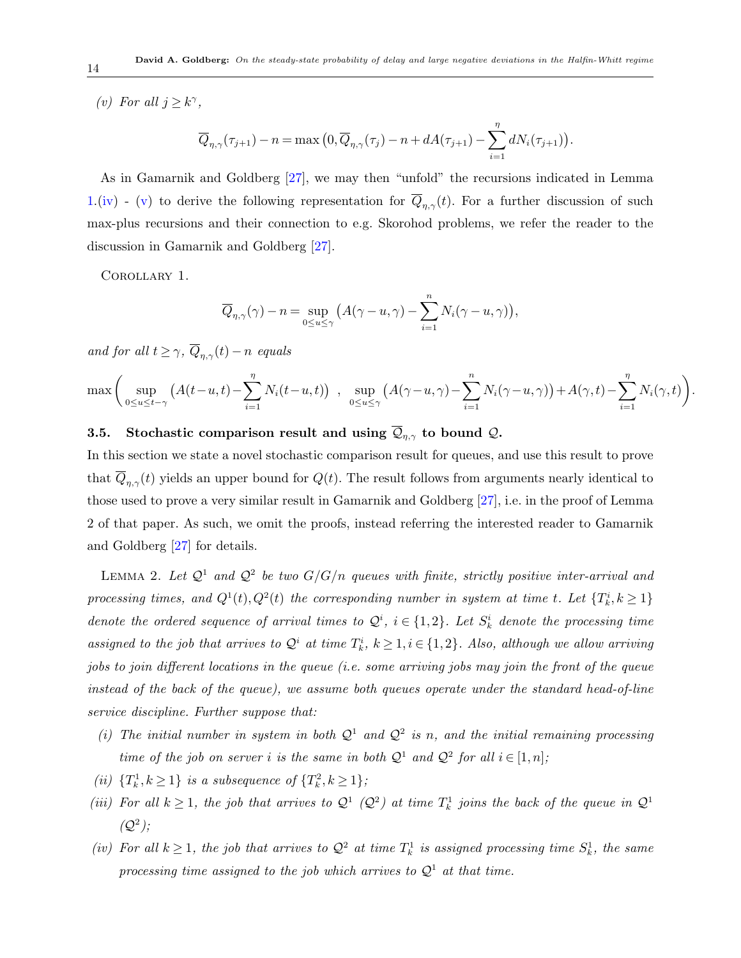<span id="page-13-1"></span>*(v) For all*  $j \geq k^{\gamma}$ ,

$$
\overline{Q}_{\eta,\gamma}(\tau_{j+1}) - n = \max\left(0, \overline{Q}_{\eta,\gamma}(\tau_j) - n + dA(\tau_{j+1}) - \sum_{i=1}^{\eta} dN_i(\tau_{j+1})\right).
$$

As in Gamarnik and Goldberg [[27\]](#page-46-0), we may then "unfold" the recursions indicated in Lemma [1](#page-12-1).([iv\)](#page-12-2) - [\(v](#page-13-1)) to derive the following representation for  $\overline{Q}_{\eta,\gamma}(t)$ . For a further discussion of such max-plus recursions and their connection to e.g. Skorohod problems, we refer the reader to the discussion in Gamarnik and Goldberg [[27\]](#page-46-0).

<span id="page-13-3"></span>Corollary 1.

$$
\overline{Q}_{\eta,\gamma}(\gamma) - n = \sup_{0 \le u \le \gamma} (A(\gamma - u, \gamma) - \sum_{i=1}^{n} N_i(\gamma - u, \gamma)),
$$

*and for all*  $t \geq \gamma$ *,*  $\overline{Q}_{n,\gamma}(t) - n$  *equals* 

$$
\max \left( \sup_{0 \le u \le t-\gamma} \left( A(t-u,t) - \sum_{i=1}^{\eta} N_i(t-u,t) \right) , \sup_{0 \le u \le \gamma} \left( A(\gamma - u, \gamma) - \sum_{i=1}^{n} N_i(\gamma - u, \gamma) \right) + A(\gamma, t) - \sum_{i=1}^{\eta} N_i(\gamma, t) \right)
$$

*.*

# <span id="page-13-0"></span>**3.5.** Stochastic comparison result and using  $\overline{Q}_{\eta,\gamma}$  to bound  $Q$ **.**

In this section we state a novel stochastic comparison result for queues, and use this result to prove that  $Q_{\eta,\gamma}(t)$  yields an upper bound for  $Q(t)$ . The result follows from arguments nearly identical to those used to prove a very similar result in Gamarnik and Goldberg [[27](#page-46-0)], i.e. in the proof of Lemma 2 of that paper. As such, we omit the proofs, instead referring the interested reader to Gamarnik and Goldberg [\[27](#page-46-0)] for details.

<span id="page-13-2"></span>LEMMA 2. Let  $\mathcal{Q}^1$  and  $\mathcal{Q}^2$  be two  $G/G/n$  queues with finite, strictly positive inter-arrival and *processing times, and*  $Q^1(t)$ ,  $Q^2(t)$  *the corresponding number in system at time t. Let*  $\{T_k^i, k \geq 1\}$ *denote the ordered sequence of arrival times to*  $Q^i$ ,  $i \in \{1,2\}$ *. Let*  $S^i_k$  *denote the processing time assigned to the job that arrives to*  $\mathcal{Q}^i$  *at time*  $T^i_k$ ,  $k \geq 1, i \in \{1, 2\}$ *. Also, although we allow arriving jobs to join different locations in the queue (i.e. some arriving jobs may join the front of the queue instead of the back of the queue), we assume both queues operate under the standard head-of-line service discipline. Further suppose that:*

- (*i*) The initial number in system in both  $Q^1$  and  $Q^2$  is n, and the initial remaining processing *time of the job on server i is the same in both*  $Q^1$  *and*  $Q^2$  *for all*  $i \in [1, n]$ *;*
- *(ii)*  $\{T_k^1, k \geq 1\}$  *is a subsequence of*  $\{T_k^2, k \geq 1\}$ ;
- *(iii)* For all  $k \geq 1$ , the job that arrives to  $\mathcal{Q}^1$  ( $\mathcal{Q}^2$ ) at time  $T_k^1$  joins the back of the queue in  $\mathcal{Q}^1$  $(Q^2)$ ;
- *(iv)* For all  $k \geq 1$ , the job that arrives to  $\mathcal{Q}^2$  at time  $T_k^1$  is assigned processing time  $S_k^1$ , the same *processing time assigned to the job which arrives to Q*<sup>1</sup> *at that time.*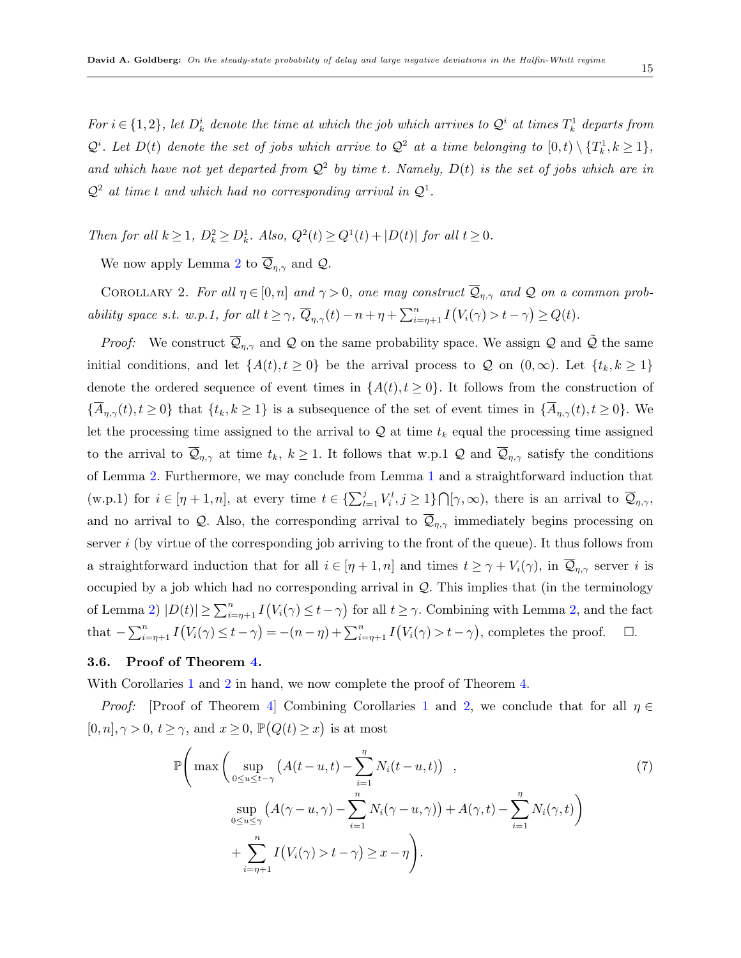*For*  $i \in \{1,2\}$ , let  $D_k^i$  denote the time at which the job which arrives to  $\mathcal{Q}^i$  at times  $T_k^1$  departs from  $\mathcal{Q}^i$ . Let  $D(t)$  denote the set of jobs which arrive to  $\mathcal{Q}^2$  at a time belonging to  $[0,t) \setminus \{T_k^1, k \geq 1\}$ , and which have not yet departed from  $Q^2$  by time t. Namely,  $D(t)$  is the set of jobs which are in  $Q^2$  *at time t and which had no corresponding arrival in*  $Q^1$ .

Then for all  $k \geq 1$ ,  $D_k^2 \geq D_k^1$ . Also,  $Q^2(t) \geq Q^1(t) + |D(t)|$  for all  $t \geq 0$ .

<span id="page-14-1"></span>We now apply Lemma [2](#page-13-2) to  $\overline{Q}_{\eta,\gamma}$  and *Q*.

COROLLARY 2. *For all*  $\eta \in [0, n]$  *and*  $\gamma > 0$ *, one may construct*  $\overline{Q}_{\eta, \gamma}$  *and*  $Q$  *on a common prob*ability space s.t. w.p.1, for all  $t \ge \gamma$ ,  $\overline{Q}_{\eta,\gamma}(t) - n + \eta + \sum_{i=\eta+1}^{n} I(V_i(\gamma) > t - \gamma) \ge Q(t)$ .

*Proof:* We construct  $\overline{Q}_{\eta,\gamma}$  and  $Q$  on the same probability space. We assign  $Q$  and  $\tilde{Q}$  the same initial conditions, and let  $\{A(t), t \geq 0\}$  be the arrival process to *Q* on  $(0, \infty)$ . Let  $\{t_k, k \geq 1\}$ denote the ordered sequence of event times in  ${A(t), t \geq 0}$ . It follows from the construction of  $\{\overline{A}_{\eta,\gamma}(t), t\geq 0\}$  that  $\{t_k, k\geq 1\}$  is a subsequence of the set of event times in  $\{\overline{A}_{\eta,\gamma}(t), t\geq 0\}$ . We let the processing time assigned to the arrival to  $Q$  at time  $t_k$  equal the processing time assigned to the arrival to  $\mathcal{Q}_{\eta,\gamma}$  at time  $t_k, k \geq 1$ . It follows that w.p.1  $\mathcal Q$  and  $\mathcal{Q}_{\eta,\gamma}$  satisfy the conditions of Lemma [2](#page-13-2). Furthermore, we may conclude from Lemma [1](#page-12-1) and a straightforward induction that (w.p.1) for  $i \in [\eta + 1, n]$ , at every time  $t \in \{\sum_{l=1}^{j} V_i^l, j \geq 1\} \cap [\gamma, \infty)$ , there is an arrival to  $\overline{\mathcal{Q}}_{\eta, \gamma}$ , and no arrival to *Q*. Also, the corresponding arrival to  $\overline{Q}_{n,\gamma}$  immediately begins processing on server *i* (by virtue of the corresponding job arriving to the front of the queue). It thus follows from a straightforward induction that for all  $i \in [\eta + 1, n]$  and times  $t \geq \gamma + V_i(\gamma)$ , in  $\overline{Q}_{\eta, \gamma}$  server *i* is occupied by a job which had no corresponding arrival in *Q*. This implies that (in the terminology of Lemma [2](#page-13-2))  $|D(t)| \ge \sum_{i=\eta+1}^n I(V_i(\gamma) \le t - \gamma)$  for all  $t \ge \gamma$ . Combining with Lemma 2, and the fact that  $-\sum_{i=\eta+1}^{n} I(V_i(\gamma) \leq t-\gamma) = -(n-\eta) + \sum_{i=\eta+1}^{n} I(V_i(\gamma) > t-\gamma)$ , completes the proof.  $\Box$ .

# <span id="page-14-0"></span>**3.6. Proof of Theorem [4](#page-9-0).**

With Corollaries [1](#page-13-3) and [2](#page-14-1) in hand, we now complete the proof of Theorem [4](#page-9-0).

*Proof:* [Proof of Theorem [4\]](#page-9-0) Combining Corollaries [1](#page-13-3) and [2,](#page-14-1) we conclude that for all *η* ∈  $[0, n], \gamma > 0, t \ge \gamma$ , and  $x \ge 0$ ,  $\mathbb{P}(Q(t) \ge x)$  is at most

<span id="page-14-2"></span>
$$
\mathbb{P}\left(\max\left(\sup_{0\leq u\leq t-\gamma}\left(A(t-u,t)-\sum_{i=1}^{n}N_i(t-u,t)\right)\right),\right)
$$
\n
$$
\sup_{0\leq u\leq \gamma}\left(A(\gamma-u,\gamma)-\sum_{i=1}^{n}N_i(\gamma-u,\gamma)\right)+A(\gamma,t)-\sum_{i=1}^{n}N_i(\gamma,t)\right)
$$
\n
$$
+\sum_{i=\eta+1}^{n}I\left(V_i(\gamma)>t-\gamma\right)\geq x-\eta\right).
$$
\n(7)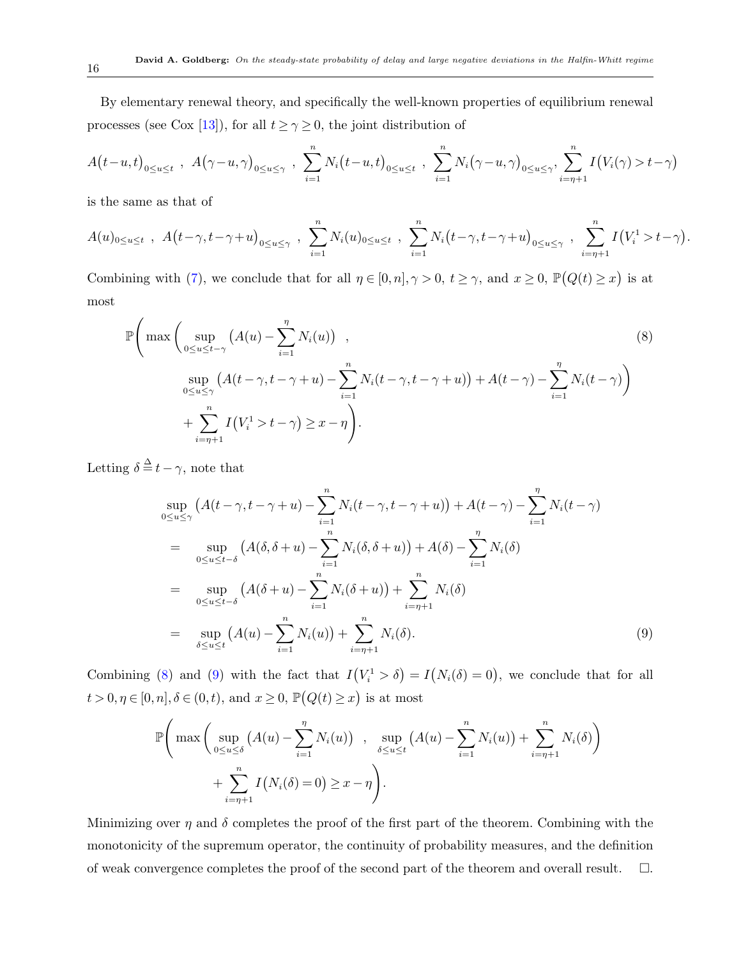By elementary renewal theory, and specifically the well-known properties of equilibrium renewal processes (see Cox [[13\]](#page-46-11)), for all  $t \ge \gamma \ge 0$ , the joint distribution of

$$
A(t-u,t)_{0\leq u\leq t} , A(\gamma-u,\gamma)_{0\leq u\leq \gamma} , \sum_{i=1}^n N_i(t-u,t)_{0\leq u\leq t} , \sum_{i=1}^n N_i(\gamma-u,\gamma)_{0\leq u\leq \gamma} , \sum_{i=\eta+1}^n I(V_i(\gamma) > t-\gamma)
$$

is the same as that of

$$
A(u)_{0 \le u \le t} , A(t - \gamma, t - \gamma + u)_{0 \le u \le \gamma} , \sum_{i=1}^{n} N_i(u)_{0 \le u \le t} , \sum_{i=1}^{n} N_i(t - \gamma, t - \gamma + u)_{0 \le u \le \gamma} , \sum_{i=\eta+1}^{n} I(V_i^1 > t - \gamma)
$$

*.*

Combining with ([7](#page-14-2)), we conclude that for all  $\eta \in [0, n], \gamma > 0, t \ge \gamma$ , and  $x \ge 0, \mathbb{P}(Q(t) \ge x)$  is at most

<span id="page-15-0"></span>
$$
\mathbb{P}\Bigg(\max\Bigg(\sup_{0\leq u\leq t-\gamma}\big(A(u)-\sum_{i=1}^{n}N_i(u)\big)\Bigg),\qquad(8)
$$
\n
$$
\sup_{0\leq u\leq \gamma}\big(A(t-\gamma,t-\gamma+u)-\sum_{i=1}^{n}N_i(t-\gamma,t-\gamma+u)\big)+A(t-\gamma)-\sum_{i=1}^{n}N_i(t-\gamma)\Bigg)
$$
\n
$$
+\sum_{i=\eta+1}^{n}I\big(V_i^1>t-\gamma\big)\geq x-\eta\Bigg).
$$

Letting  $\delta \stackrel{\Delta}{=} t - \gamma$ , note that

<span id="page-15-1"></span>
$$
\sup_{0 \le u \le \gamma} (A(t - \gamma, t - \gamma + u) - \sum_{i=1}^{n} N_i(t - \gamma, t - \gamma + u)) + A(t - \gamma) - \sum_{i=1}^{n} N_i(t - \gamma)
$$
\n
$$
= \sup_{0 \le u \le t - \delta} (A(\delta, \delta + u) - \sum_{i=1}^{n} N_i(\delta, \delta + u)) + A(\delta) - \sum_{i=1}^{n} N_i(\delta)
$$
\n
$$
= \sup_{0 \le u \le t - \delta} (A(\delta + u) - \sum_{i=1}^{n} N_i(\delta + u)) + \sum_{i=n+1}^{n} N_i(\delta)
$$
\n
$$
= \sup_{\delta \le u \le t} (A(u) - \sum_{i=1}^{n} N_i(u)) + \sum_{i=n+1}^{n} N_i(\delta).
$$
\n(9)

Combining ([8](#page-15-0)) and ([9](#page-15-1)) with the fact that  $I(V_i^1 > \delta) = I(N_i(\delta) = 0)$ , we conclude that for all  $t > 0, \eta \in [0, n], \delta \in (0, t)$ , and  $x \geq 0$ ,  $\mathbb{P}(Q(t) \geq x)$  is at most

$$
\mathbb{P}\Bigg(\max\Bigg(\sup_{0\leq u\leq \delta}\big(A(u)-\sum_{i=1}^{\eta}N_i(u)\big)\Bigg),\sup_{\delta\leq u\leq t}\big(A(u)-\sum_{i=1}^nN_i(u)\big)+\sum_{i=\eta+1}^nN_i(\delta)\Bigg) + \sum_{i=\eta+1}^nI\big(N_i(\delta)=0\big)\geq x-\eta\Bigg).
$$

Minimizing over  $\eta$  and  $\delta$  completes the proof of the first part of the theorem. Combining with the monotonicity of the supremum operator, the continuity of probability measures, and the definition of weak convergence completes the proof of the second part of the theorem and overall result.  $\Box$ .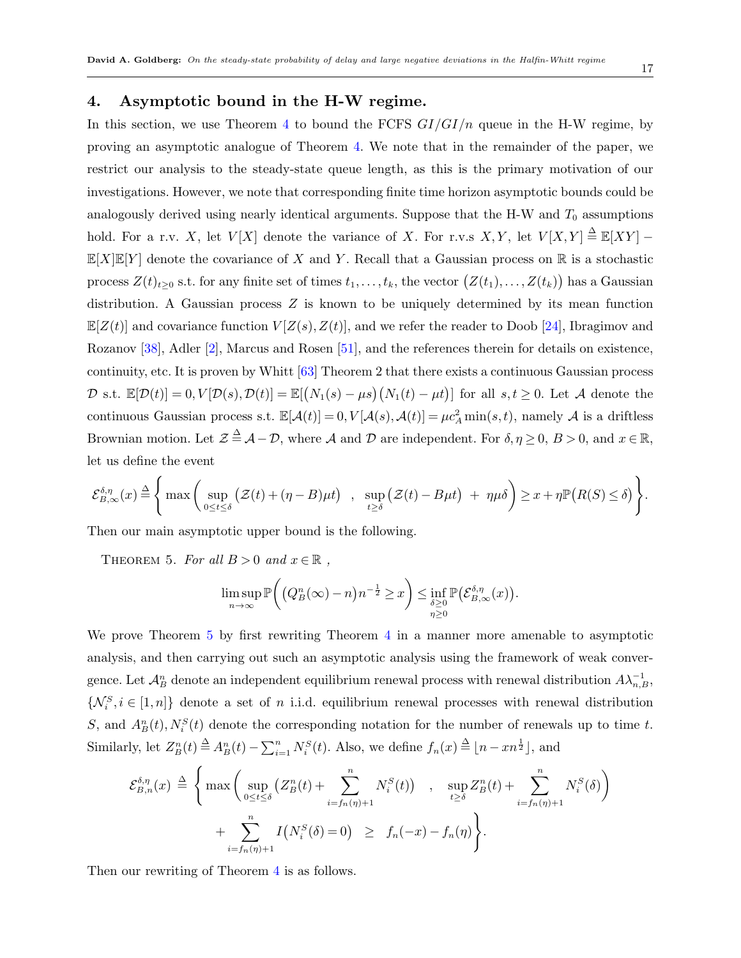#### 17

# <span id="page-16-0"></span>**4. Asymptotic bound in the H-W regime.**

In this section, we use Theorem [4](#page-9-0) to bound the FCFS *GI/GI/n* queue in the H-W regime, by proving an asymptotic analogue of Theorem [4.](#page-9-0) We note that in the remainder of the paper, we restrict our analysis to the steady-state queue length, as this is the primary motivation of our investigations. However, we note that corresponding finite time horizon asymptotic bounds could be analogously derived using nearly identical arguments. Suppose that the H-W and  $T_0$  assumptions hold. For a r.v. *X*, let  $V[X]$  denote the variance of *X*. For r.v.s *X*, *Y*, let  $V[X,Y] \triangleq \mathbb{E}[XY]$  –  $\mathbb{E}[X]\mathbb{E}[Y]$  denote the covariance of *X* and *Y*. Recall that a Gaussian process on R is a stochastic process  $Z(t)_{t\geq0}$  s.t. for any finite set of times  $t_1, \ldots, t_k$ , the vector  $(Z(t_1), \ldots, Z(t_k))$  has a Gaussian distribution. A Gaussian process *Z* is known to be uniquely determined by its mean function  $\mathbb{E}[Z(t)]$  and covariance function  $V[Z(s), Z(t)]$ , and we refer the reader to Doob [[24\]](#page-46-12), Ibragimov and Rozanov [\[38](#page-47-12)], Adler [\[2\]](#page-45-5), Marcus and Rosen [[51\]](#page-48-11), and the references therein for details on existence, continuity, etc. It is proven by Whitt [[63\]](#page-48-12) Theorem 2 that there exists a continuous Gaussian process  $\mathcal{D}$  s.t.  $\mathbb{E}[\mathcal{D}(t)] = 0, V[\mathcal{D}(s), \mathcal{D}(t)] = \mathbb{E}[(N_1(s) - \mu s)(N_1(t) - \mu t)]$  for all  $s, t \geq 0$ . Let A denote the continuous Gaussian process s.t.  $\mathbb{E}[\mathcal{A}(t)] = 0, V[\mathcal{A}(s), \mathcal{A}(t)] = \mu c_A^2 \min(s, t)$ , namely  $\mathcal{A}$  is a driftless Brownian motion. Let  $\mathcal{Z} \stackrel{\Delta}{=} \mathcal{A} - \mathcal{D}$ , where  $\mathcal{A}$  and  $\mathcal{D}$  are independent. For  $\delta, \eta \geq 0$ ,  $B > 0$ , and  $x \in \mathbb{R}$ , let us define the event

$$
\mathcal{E}_{B,\infty}^{\delta,\eta}(x) \stackrel{\Delta}{=} \Bigg\{ \max \Bigg( \sup_{0 \le t \le \delta} \big( \mathcal{Z}(t) + (\eta - B)\mu t \big) \Big|, \sup_{t \ge \delta} \big( \mathcal{Z}(t) - B\mu t \big) + \eta \mu \delta \Bigg) \ge x + \eta \mathbb{P} \big( R(S) \le \delta \big) \Bigg\}.
$$

Then our main asymptotic upper bound is the following.

THEOREM 5. For all  $B > 0$  and  $x \in \mathbb{R}$ ,

<span id="page-16-1"></span>
$$
\limsup_{n\to\infty} \mathbb{P}\bigg( \big( Q_B^n(\infty) - n \big) n^{-\frac{1}{2}} \geq x \bigg) \leq \inf_{\delta \geq 0 \atop \eta \geq 0} \mathbb{P}\big( \mathcal{E}_{B,\infty}^{\delta,\eta}(x) \big).
$$

We prove Theorem [5](#page-16-1) by first rewriting Theorem [4](#page-9-0) in a manner more amenable to asymptotic analysis, and then carrying out such an asymptotic analysis using the framework of weak convergence. Let  $\mathcal{A}_B^n$  denote an independent equilibrium renewal process with renewal distribution  $A\lambda_{n,B}^{-1}$ ,  $\{\mathcal{N}_i^S, i \in [1,n]\}$  denote a set of *n* i.i.d. equilibrium renewal processes with renewal distribution *S*, and  $A_B^n(t)$ ,  $N_i^S(t)$  denote the corresponding notation for the number of renewals up to time *t*. Similarly, let  $Z_B^n(t) \stackrel{\Delta}{=} A_B^n(t) - \sum_{i=1}^n N_i^S(t)$ . Also, we define  $f_n(x) \stackrel{\Delta}{=} \lfloor n - xn^{\frac{1}{2}} \rfloor$ , and

$$
\mathcal{E}_{B,n}^{\delta,\eta}(x) \triangleq \left\{ \max \left( \sup_{0 \le t \le \delta} \left( Z_B^n(t) + \sum_{i=f_n(\eta)+1}^n N_i^S(t) \right) \right), \sup_{t \ge \delta} Z_B^n(t) + \sum_{i=f_n(\eta)+1}^n N_i^S(\delta) \right) + \sum_{i=f_n(\eta)+1}^n I\left( N_i^S(\delta) = 0 \right) \ge f_n(-x) - f_n(\eta) \right\}.
$$

Then our rewriting of Theorem [4](#page-9-0) is as follows.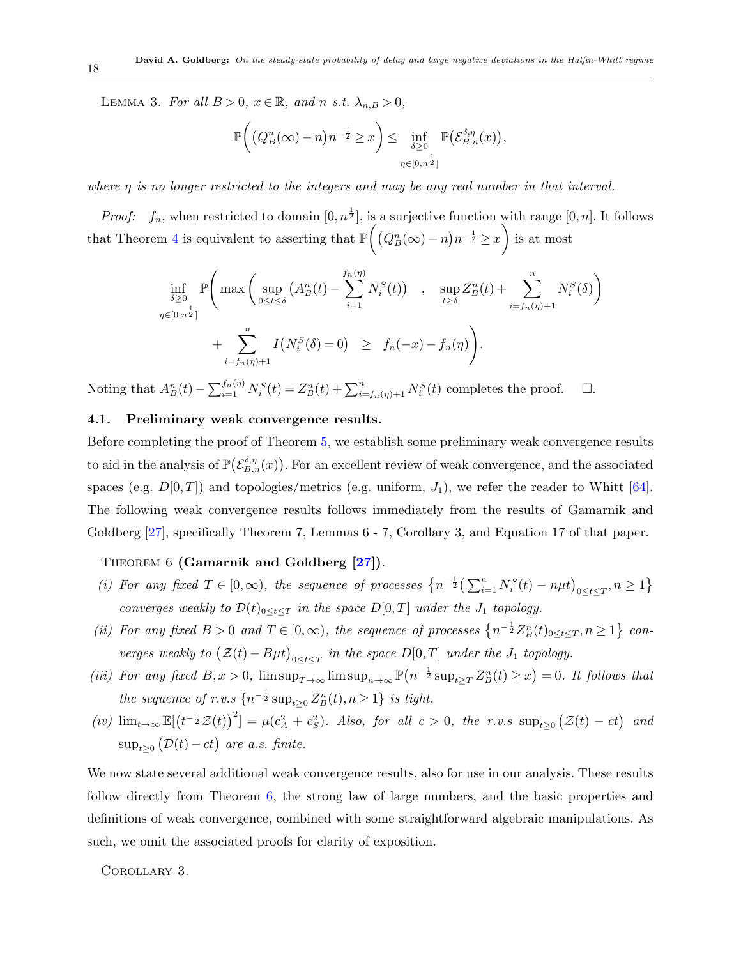LEMMA 3. For all  $B > 0$ ,  $x \in \mathbb{R}$ , and *n s.t.*  $\lambda_{n,B} > 0$ ,

$$
\mathbb{P}\bigg(\big(Q_B^n(\infty)-n\big)n^{-\frac{1}{2}}\geq x\bigg)\leq \inf_{\delta\geq 0\atop \eta\in[0,n^{\frac{1}{2}}]} \mathbb{P}\big(\mathcal{E}_{B,n}^{\delta,\eta}(x)\big),
$$

*where η is no longer restricted to the integers and may be any real number in that interval.*

*Proof:*  $f_n$ , when restricted to domain  $[0, n^{\frac{1}{2}}]$ , is a surjective function with range  $[0, n]$ . It follows that Theorem [4](#page-9-0) is equivalent to asserting that  $\mathbb P$  $\left( (Q_B^n(\infty) - n)n^{-\frac{1}{2}} \geq x \right)$  $\setminus$ is at most

<span id="page-17-0"></span>
$$
\inf_{\delta \geq 0} \mathbb{P}\left(\max\left(\sup_{0 \leq t \leq \delta} \left(A_B^n(t) - \sum_{i=1}^{f_n(\eta)} N_i^S(t)\right) \right), \sup_{t \geq \delta} Z_B^n(t) + \sum_{i=f_n(\eta)+1}^n N_i^S(\delta)\right) + \sum_{i=f_n(\eta)+1}^n I\left(N_i^S(\delta) = 0\right) \geq f_n(-x) - f_n(\eta)\right).
$$

Noting that  $A_B^n(t) - \sum_{i=1}^{f_n(\eta)} N_i^S(t) = Z_B^n(t) + \sum_{i=f_n(\eta)+1}^n N_i^S(t)$  completes the proof.  $\Box$ .

# **4.1. Preliminary weak convergence results.**

Before completing the proof of Theorem [5,](#page-16-1) we establish some preliminary weak convergence results to aid in the analysis of  $\mathbb{P}(\mathcal{E}_{B,n}^{\delta,\eta}(x))$ . For an excellent review of weak convergence, and the associated spaces (e.g.  $D[0,T]$ ) and topologies/metrics (e.g. uniform,  $J_1$ ), we refer the reader to Whitt [[64\]](#page-48-13). The following weak convergence results follows immediately from the results of Gamarnik and Goldberg [[27\]](#page-46-0), specifically Theorem 7, Lemmas 6 - 7, Corollary 3, and Equation 17 of that paper.

# Theorem 6 **(Gamarnik and Goldberg [\[27\]](#page-46-0))**.

- (i) For any fixed  $T \in [0, \infty)$ , the sequence of processes  $\left\{ n^{-\frac{1}{2}} \left( \sum_{i=1}^n N_i^S(t) n\mu t \right)_{0 \le t \le T}, n \ge 1 \right\}$ *converges weakly to*  $\mathcal{D}(t)_{0 \leq t \leq T}$  *in the space*  $D[0,T]$  *under the*  $J_1$  *topology.*
- (ii) For any fixed  $B > 0$  and  $T \in [0, \infty)$ , the sequence of processes  $\{n^{-\frac{1}{2}}Z_B^n(t)_{0 \le t \le T}, n \ge 1\}$  con*verges weakly to*  $(\mathcal{Z}(t) - B\mu t)_{0 \le t \le T}$  *in the space*  $D[0,T]$  *under the*  $J_1$  *topology.*
- (iii) For any fixed  $B, x > 0$ ,  $\limsup_{T \to \infty} \limsup_{n \to \infty} \mathbb{P}(n^{-\frac{1}{2}} \sup_{t \geq T} Z_B^n(t) \geq x) = 0$ . It follows that *the sequence of r.v.s*  $\{n^{-\frac{1}{2}} \sup_{t \geq 0} Z_B^n(t), n \geq 1\}$  *is tight.*
- <span id="page-17-2"></span>(iv)  $\lim_{t\to\infty} \mathbb{E}[(t^{-\frac{1}{2}}\mathcal{Z}(t))^2] = \mu(c_A^2+c_S^2)$ . Also, for all  $c>0$ , the r.v.s  $\sup_{t\geq 0} (\mathcal{Z}(t)-ct)$  and  $\sup_{t\geq 0} (\mathcal{D}(t) - ct)$  are a.s. finite.

We now state several additional weak convergence results, also for use in our analysis. These results follow directly from Theorem [6,](#page-17-0) the strong law of large numbers, and the basic properties and definitions of weak convergence, combined with some straightforward algebraic manipulations. As such, we omit the associated proofs for clarity of exposition.

#### <span id="page-17-1"></span>Corollary 3.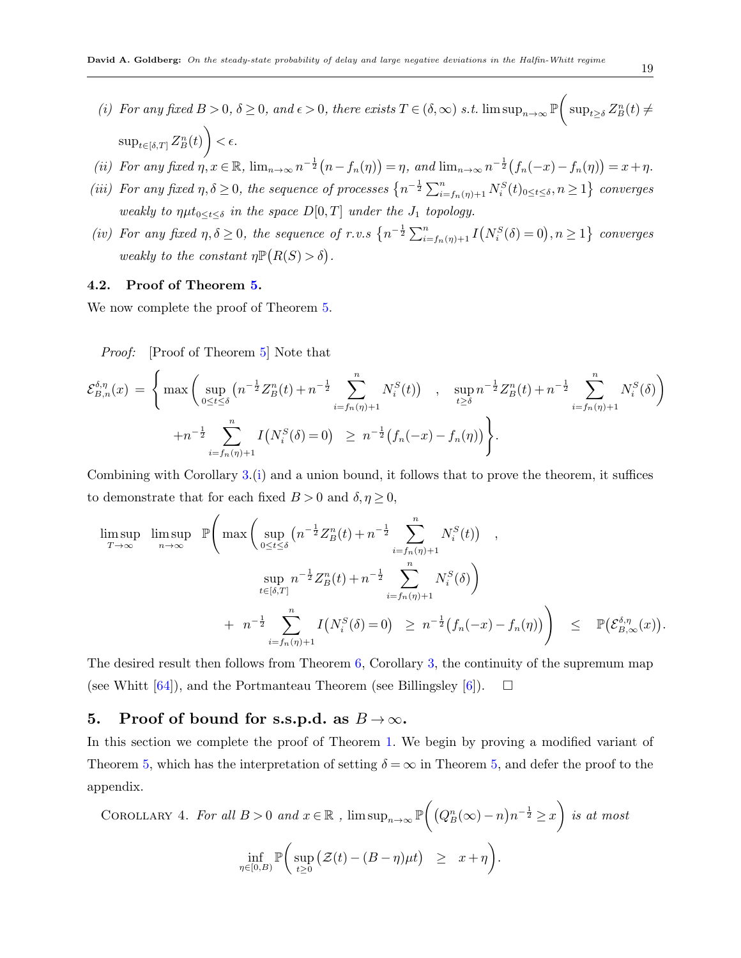- <span id="page-18-2"></span>*(i) For any fixed*  $B > 0$ ,  $\delta \ge 0$ , and  $\epsilon > 0$ , there exists  $T \in (\delta, \infty)$  *s.t.* lim  $\sup_{n \to \infty} \mathbb{P}$  $\sqrt{2}$  $\sup_{t\geq \delta} Z_B^n(t) \neq$  $\sup_{t\in[\delta,T]} Z^n_B(t)$  $\setminus$  $< \epsilon$ .
- (ii) For any fixed  $\eta, x \in \mathbb{R}$ ,  $\lim_{n \to \infty} n^{-\frac{1}{2}}(n f_n(\eta)) = \eta$ , and  $\lim_{n \to \infty} n^{-\frac{1}{2}}(f_n(-x) f_n(\eta)) = x + \eta$ .
- (iii) For any fixed  $\eta, \delta \ge 0$ , the sequence of processes  $\left\{ n^{-\frac{1}{2}} \sum_{i=f_n(\eta)+1}^n N_i^S(t)_{0 \le t \le \delta}, n \ge 1 \right\}$  converges *weakly to*  $\eta \mu t_{0 \leq t \leq \delta}$  *in the space*  $D[0,T]$  *under the*  $J_1$  *topology.*
- (iv) For any fixed  $\eta, \delta \geq 0$ , the sequence of r.v.s  $\left\{n^{-\frac{1}{2}}\sum_{i=f_n(\eta)+1}^{n}I(N_i^S(\delta)=0), n\geq 1\right\}$  converges *weakly to the constant*  $\eta \mathbb{P}(R(S) > \delta)$ .

#### **4.2. Proof of Theorem [5](#page-16-1).**

We now complete the proof of Theorem [5.](#page-16-1)

*Proof:* [Proof of Theorem [5](#page-16-1)] Note that

$$
\mathcal{E}_{B,n}^{\delta,\eta}(x) = \left\{ \max \left( \sup_{0 \le t \le \delta} \left( n^{-\frac{1}{2}} Z_B^n(t) + n^{-\frac{1}{2}} \sum_{i=f_n(\eta)+1}^n N_i^S(t) \right) , \sup_{t \ge \delta} n^{-\frac{1}{2}} Z_B^n(t) + n^{-\frac{1}{2}} \sum_{i=f_n(\eta)+1}^n N_i^S(\delta) \right) \right. \\ \left. + n^{-\frac{1}{2}} \sum_{i=f_n(\eta)+1}^n I\left( N_i^S(\delta) = 0 \right) \ge n^{-\frac{1}{2}} \left( f_n(-x) - f_n(\eta) \right) \right\}.
$$

Combining with Corollary [3.](#page-17-1)([i\)](#page-18-2) and a union bound, it follows that to prove the theorem, it suffices to demonstrate that for each fixed  $B > 0$  and  $\delta, \eta \ge 0$ ,

$$
\begin{array}{ll}\n\limsup_{T \to \infty} & \limsup_{n \to \infty} & \mathbb{P}\left(\max\left(\sup_{0 \le t \le \delta} \left(n^{-\frac{1}{2}} Z_B^n(t) + n^{-\frac{1}{2}} \sum_{i = f_n(\eta) + 1}^n N_i^S(t)\right) \right) \right) \\
& \quad \sup_{t \in [\delta, T]} n^{-\frac{1}{2}} Z_B^n(t) + n^{-\frac{1}{2}} \sum_{i = f_n(\eta) + 1}^n N_i^S(\delta) \right) \\
& \quad + n^{-\frac{1}{2}} \sum_{i = f_n(\eta) + 1}^n I\left(N_i^S(\delta) = 0\right) \ge n^{-\frac{1}{2}} \left(f_n(-x) - f_n(\eta)\right) \right) \le \mathbb{P}\left(\mathcal{E}_{B, \infty}^{\delta, \eta}(x)\right).\n\end{array}
$$

The desired result then follows from Theorem [6,](#page-17-0) Corollary [3,](#page-17-1) the continuity of the supremum map (see Whitt  $[64]$  $[64]$ ), and the Portmanteau Theorem (see Billingsley  $[6]$  $[6]$ ).  $\Box$ 

# <span id="page-18-0"></span>**5.** Proof of bound for s.s.p.d. as  $B \to \infty$ .

In this section we complete the proof of Theorem [1](#page-6-0). We begin by proving a modified variant of Theorem [5](#page-16-1), which has the interpretation of setting  $\delta = \infty$  in Theorem 5, and defer the proof to the appendix.

<span id="page-18-1"></span>COROLLARY 4. For all 
$$
B > 0
$$
 and  $x \in \mathbb{R}$ ,  $\limsup_{n \to \infty} \mathbb{P}\left((Q_B^n(\infty) - n)n^{-\frac{1}{2}} \ge x\right)$  is at most  

$$
\inf_{\eta \in [0,B)} \mathbb{P}\left(\sup_{t \ge 0} (\mathcal{Z}(t) - (B - \eta)\mu t) \ge x + \eta\right).
$$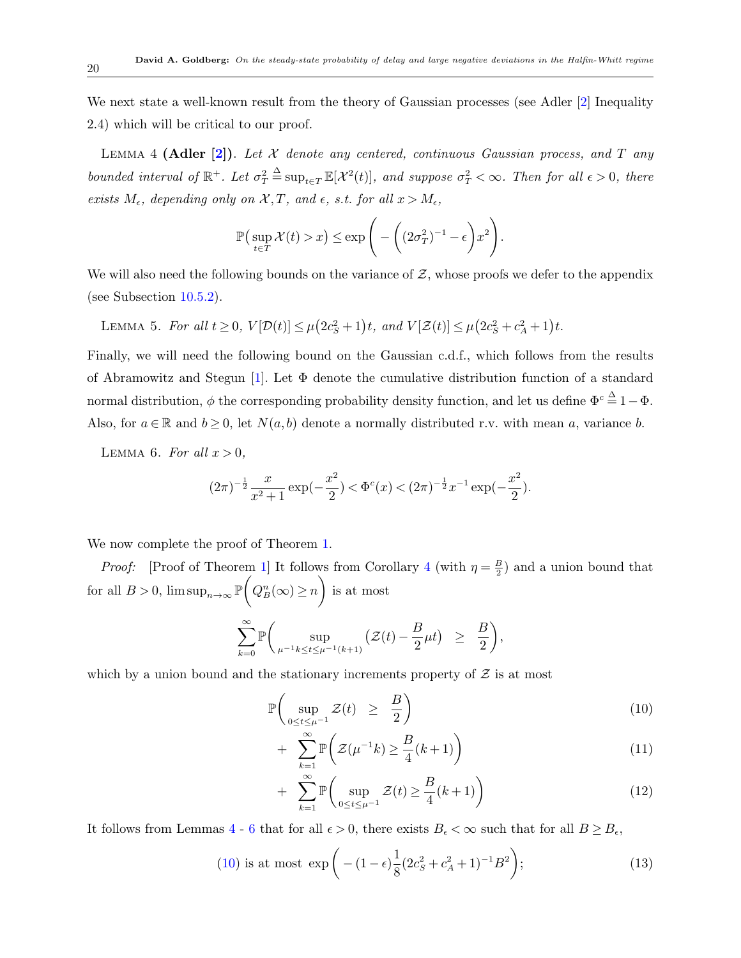We next state a well-known result from the theory of Gaussian processes (see Adler [[2](#page-45-5)] Inequality 2.4) which will be critical to our proof.

Lemma 4 **(Adler [[2](#page-45-5)])**. *Let X denote any centered, continuous Gaussian process, and T any bounded interval of*  $\mathbb{R}^+$ *. Let*  $\sigma_T^2$  $\stackrel{\Delta}{=} \sup_{t \in T} \mathbb{E}[\mathcal{X}^2(t)]$ *, and suppose*  $\sigma_T^2 < \infty$ *. Then for all*  $\epsilon > 0$ *, there exists*  $M_{\epsilon}$ *, depending only on*  $\mathcal{X}, T$ *, and*  $\epsilon$ *, s.t. for all*  $x > M_{\epsilon}$ *,* 

<span id="page-19-3"></span><span id="page-19-0"></span>
$$
\mathbb{P}\left(\sup_{t\in T} \mathcal{X}(t) > x\right) \le \exp\left(-\left((2\sigma_T^2)^{-1} - \epsilon\right)x^2\right).
$$

We will also need the following bounds on the variance of  $\mathcal{Z}$ , whose proofs we defer to the appendix (see Subsection [10.5.2\)](#page-42-0).

LEMMA 5. For all 
$$
t \ge 0
$$
,  $V[\mathcal{D}(t)] \le \mu(2c_S^2 + 1)t$ , and  $V[\mathcal{Z}(t)] \le \mu(2c_S^2 + c_A^2 + 1)t$ .

Finally, we will need the following bound on the Gaussian c.d.f., which follows from the results of Abramowitz and Stegun [\[1\]](#page-45-7). Let Φ denote the cumulative distribution function of a standard normal distribution,  $\phi$  the corresponding probability density function, and let us define  $\Phi^c \stackrel{\Delta}{=} 1 - \Phi$ . Also, for  $a \in \mathbb{R}$  and  $b \ge 0$ , let  $N(a, b)$  denote a normally distributed r.v. with mean a, variance *b*.

LEMMA 6. For all  $x > 0$ ,

<span id="page-19-1"></span>
$$
(2\pi)^{-\frac{1}{2}}\frac{x}{x^2+1}\exp(-\frac{x^2}{2}) < \Phi^c(x) < (2\pi)^{-\frac{1}{2}}x^{-1}\exp(-\frac{x^2}{2}).
$$

We now complete the proof of Theorem [1.](#page-6-0)

*Proof:* [Proof of Theorem [1\]](#page-6-0) It follows from Corollary [4](#page-18-1) (with  $\eta = \frac{B}{2}$  $\frac{B}{2}$ ) and a union bound that for all  $B > 0$ ,  $\limsup_{n \to \infty} \mathbb{P}$  $\sqrt{2}$  $Q_B^n(\infty) \geq n$  $\setminus$ is at most

$$
\sum_{k=0}^{\infty} \mathbb{P}\bigg(\sup_{\mu^{-1}k \leq t \leq \mu^{-1}(k+1)} \left(\mathcal{Z}(t) - \frac{B}{2}\mu t\right) \geq \frac{B}{2}\bigg),
$$

which by a union bound and the stationary increments property of  $Z$  is at most

<span id="page-19-2"></span>
$$
\mathbb{P}\left(\sup_{0\leq t\leq\mu^{-1}}\mathcal{Z}(t)\geq\frac{B}{2}\right) \tag{10}
$$

$$
+\sum_{k=1}^{\infty} \mathbb{P}\bigg(\mathcal{Z}(\mu^{-1}k) \ge \frac{B}{4}(k+1)\bigg) \tag{11}
$$

$$
+\sum_{k=1}^{\infty} \mathbb{P}\left(\sup_{0\leq t\leq \mu^{-1}} \mathcal{Z}(t) \geq \frac{B}{4}(k+1)\right) \tag{12}
$$

It follows from Lemmas [4](#page-19-0) - [6](#page-19-1) that for all  $\epsilon > 0$ , there exists  $B_{\epsilon} < \infty$  such that for all  $B \ge B_{\epsilon}$ ,

<span id="page-19-4"></span>(10) is at most 
$$
\exp\left(- (1 - \epsilon) \frac{1}{8} (2c_S^2 + c_A^2 + 1)^{-1} B^2\right);
$$
 (13)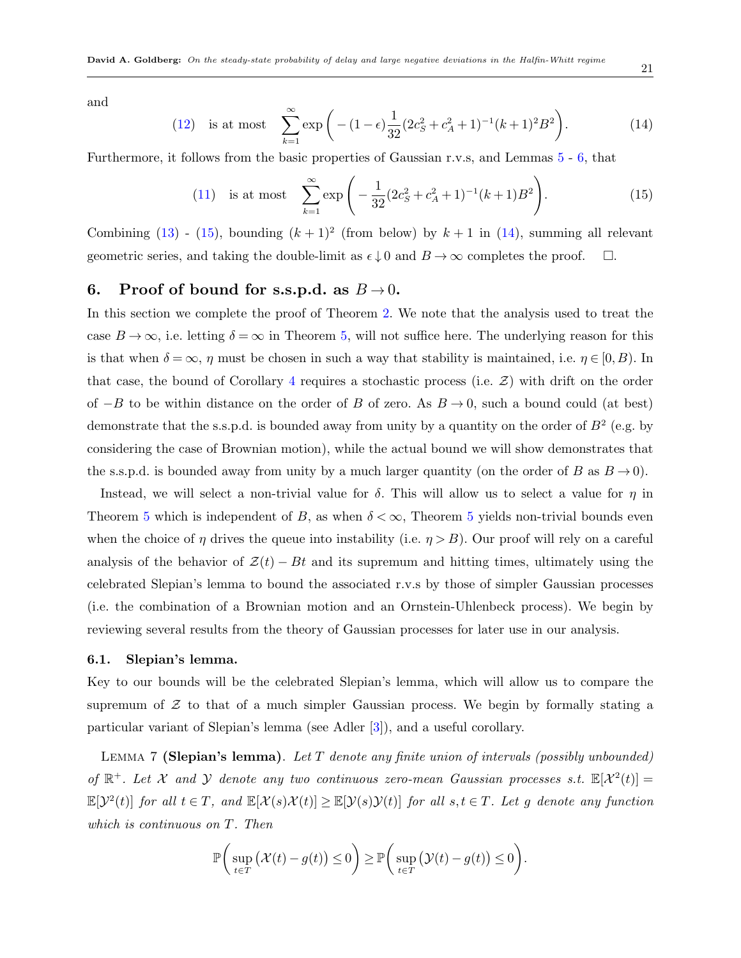and

<span id="page-20-2"></span>(12) is at most 
$$
\sum_{k=1}^{\infty} \exp\left(- (1 - \epsilon) \frac{1}{32} (2c_S^2 + c_A^2 + 1)^{-1} (k+1)^2 B^2\right).
$$
 (14)

Furthermore, it follows from the basic properties of Gaussian r.v.s, and Lemmas [5](#page-19-3) - [6,](#page-19-1) that

<span id="page-20-1"></span>(11) is at most 
$$
\sum_{k=1}^{\infty} \exp\left(-\frac{1}{32}(2c_S^2 + c_A^2 + 1)^{-1}(k+1)B^2\right).
$$
 (15)

Combining  $(13)$  $(13)$  -  $(15)$  $(15)$ , bounding  $(k+1)^2$  (from below) by  $k+1$  in  $(14)$  $(14)$ , summing all relevant geometric series, and taking the double-limit as  $\epsilon \downarrow 0$  and  $B \to \infty$  completes the proof.  $\Box$ .

# <span id="page-20-0"></span>**6.** Proof of bound for s.s.p.d. as  $B \rightarrow 0$ .

In this section we complete the proof of Theorem [2.](#page-6-1) We note that the analysis used to treat the case  $B \to \infty$ , i.e. letting  $\delta = \infty$  in Theorem [5](#page-16-1), will not suffice here. The underlying reason for this is that when  $\delta = \infty$ ,  $\eta$  must be chosen in such a way that stability is maintained, i.e.  $\eta \in [0, B)$ . In that case, the bound of Corollary [4](#page-18-1) requires a stochastic process (i.e.  $\mathcal{Z}$ ) with drift on the order of *−B* to be within distance on the order of *B* of zero. As *B →* 0, such a bound could (at best) demonstrate that the s.s.p.d. is bounded away from unity by a quantity on the order of *B*<sup>2</sup> (e.g. by considering the case of Brownian motion), while the actual bound we will show demonstrates that the s.s.p.d. is bounded away from unity by a much larger quantity (on the order of *B* as  $B \to 0$ ).

Instead, we will select a non-trivial value for  $\delta$ . This will allow us to select a value for  $\eta$  in Theorem [5](#page-16-1) which is independent of *B*, as when  $\delta < \infty$ , Theorem 5 yields non-trivial bounds even when the choice of *η* drives the queue into instability (i.e.  $\eta > B$ ). Our proof will rely on a careful analysis of the behavior of  $\mathcal{Z}(t) - Bt$  and its supremum and hitting times, ultimately using the celebrated Slepian's lemma to bound the associated r.v.s by those of simpler Gaussian processes (i.e. the combination of a Brownian motion and an Ornstein-Uhlenbeck process). We begin by reviewing several results from the theory of Gaussian processes for later use in our analysis.

#### **6.1. Slepian's lemma.**

Key to our bounds will be the celebrated Slepian's lemma, which will allow us to compare the supremum of  $Z$  to that of a much simpler Gaussian process. We begin by formally stating a particular variant of Slepian's lemma (see Adler [\[3\]](#page-45-8)), and a useful corollary.

Lemma 7 **(Slepian's lemma)**. *Let T denote any finite union of intervals (possibly unbounded)* of  $\mathbb{R}^+$ . Let *X* and *Y* denote any two continuous zero-mean Gaussian processes s.t.  $\mathbb{E}[X^2(t)] =$  $\mathbb{E}[\mathcal{Y}^2(t)]$  for all  $t \in T$ , and  $\mathbb{E}[\mathcal{X}(s)\mathcal{X}(t)] \geq \mathbb{E}[\mathcal{Y}(s)\mathcal{Y}(t)]$  for all  $s, t \in T$ . Let g denote any function *which is continuous on T. Then*

<span id="page-20-4"></span><span id="page-20-3"></span>
$$
\mathbb{P}\bigg(\sup_{t\in T}\big(\mathcal{X}(t)-g(t)\big)\leq 0\bigg)\geq \mathbb{P}\bigg(\sup_{t\in T}\big(\mathcal{Y}(t)-g(t)\big)\leq 0\bigg).
$$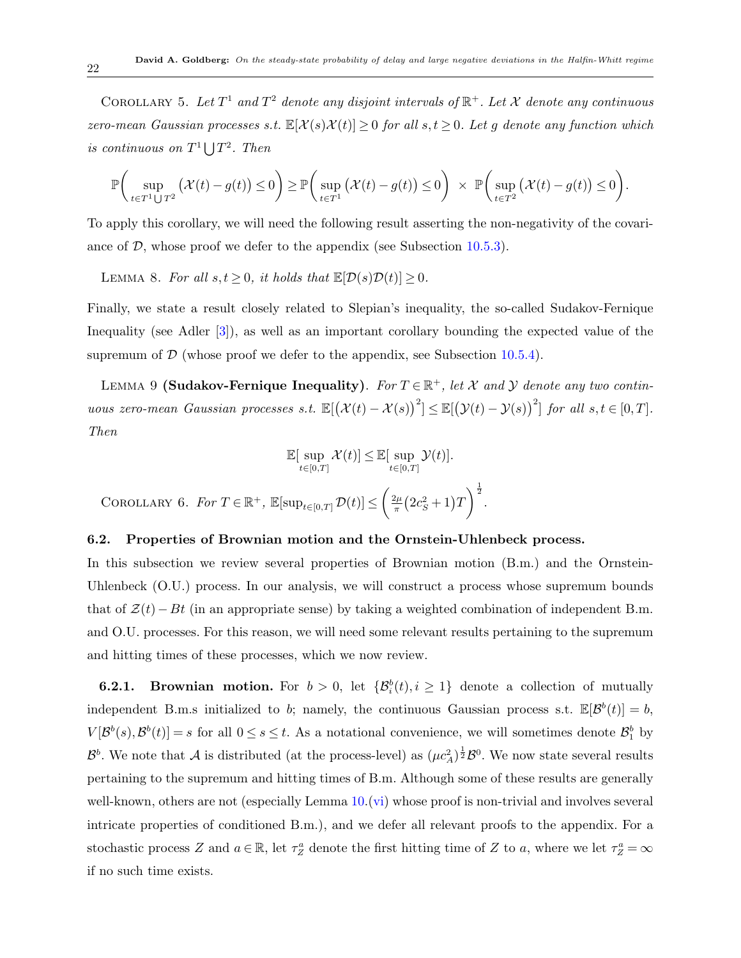COROLLARY 5. Let  $T^1$  and  $T^2$  denote any disjoint intervals of  $\mathbb{R}^+$ . Let  $\mathcal X$  denote any continuous *zero-mean Gaussian processes s.t.*  $\mathbb{E}[\mathcal{X}(s)\mathcal{X}(t)] \geq 0$  *for all*  $s,t \geq 0$ *. Let g denote any function which is continuous on*  $T^1 \bigcup T^2$ *. Then* 

$$
\mathbb{P}\bigg(\sup_{t\in T^1\bigcup T^2}\big(\mathcal{X}(t)-g(t)\big)\leq 0\bigg)\geq \mathbb{P}\bigg(\sup_{t\in T^1}\big(\mathcal{X}(t)-g(t)\big)\leq 0\bigg)\;\times\;\mathbb{P}\bigg(\sup_{t\in T^2}\big(\mathcal{X}(t)-g(t)\big)\leq 0\bigg).
$$

To apply this corollary, we will need the following result asserting the non-negativity of the covariance of  $D$ , whose proof we defer to the appendix (see Subsection [10.5.3\)](#page-42-1).

LEMMA 8. For all  $s, t \geq 0$ , it holds that  $\mathbb{E}[\mathcal{D}(s)\mathcal{D}(t)] \geq 0$ .

Finally, we state a result closely related to Slepian's inequality, the so-called Sudakov-Fernique Inequality (see Adler [\[3\]](#page-45-8)), as well as an important corollary bounding the expected value of the supremum of  $D$  (whose proof we defer to the appendix, see Subsection [10.5.4](#page-43-0)).

LEMMA 9 **(Sudakov-Fernique Inequality)**. For  $T \in \mathbb{R}^+$ , let  $\mathcal{X}$  and  $\mathcal{Y}$  denote any two contin*uous zero-mean Gaussian processes s.t.*  $\mathbb{E}[(\mathcal{X}(t) - \mathcal{X}(s))^2] \leq \mathbb{E}[(\mathcal{Y}(t) - \mathcal{Y}(s))^2]$  *for all*  $s, t \in [0, T]$ *. Then*

<span id="page-21-4"></span><span id="page-21-1"></span>
$$
\mathbb{E}[\sup_{t\in[0,T]}\mathcal{X}(t)] \leq \mathbb{E}[\sup_{t\in[0,T]}\mathcal{Y}(t)].
$$

<span id="page-21-2"></span> $\text{COROLLARY 6.}$  *For*  $T \in \mathbb{R}^+$ ,  $\mathbb{E}[\sup_{t \in [0,T]} \mathcal{D}(t)] \leq$  $\int 2\mu$  $\frac{2\mu}{\pi} (2c_s^2 + 1)T$  $\bigg\}^{\frac{1}{2}}$ .

#### <span id="page-21-3"></span>**6.2. Properties of Brownian motion and the Ornstein-Uhlenbeck process.**

In this subsection we review several properties of Brownian motion (B.m.) and the Ornstein-Uhlenbeck (O.U.) process. In our analysis, we will construct a process whose supremum bounds that of *Z*(*t*)*−Bt* (in an appropriate sense) by taking a weighted combination of independent B.m. and O.U. processes. For this reason, we will need some relevant results pertaining to the supremum and hitting times of these processes, which we now review.

<span id="page-21-0"></span>**6.2.1. Brownian motion.** For  $b > 0$ , let  $\{\mathcal{B}_i^b(t), i \geq 1\}$  denote a collection of mutually independent B.m.s initialized to *b*; namely, the continuous Gaussian process s.t.  $\mathbb{E}[\mathcal{B}^b(t)] = b$ ,  $V[\mathcal{B}^b(s), \mathcal{B}^b(t)] = s$  for all  $0 \le s \le t$ . As a notational convenience, we will sometimes denote  $\mathcal{B}_1^b$  by  $B^b$ . We note that *A* is distributed (at the process-level) as  $(\mu c_A^2)^{\frac{1}{2}} B^0$ . We now state several results pertaining to the supremum and hitting times of B.m. Although some of these results are generally well-known, others are not (especially Lemma [10](#page-21-0).([vi](#page-22-0)) whose proof is non-trivial and involves several intricate properties of conditioned B.m.), and we defer all relevant proofs to the appendix. For a stochastic process *Z* and  $a \in \mathbb{R}$ , let  $\tau_Z^a$  denote the first hitting time of *Z* to *a*, where we let  $\tau_Z^a = \infty$ if no such time exists.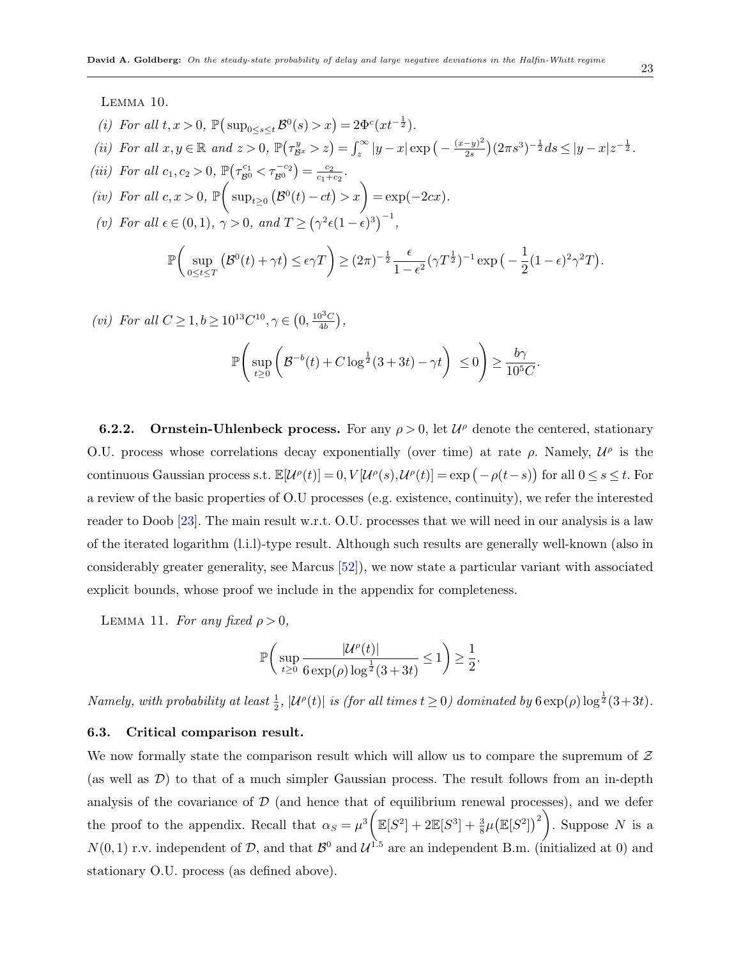Lemma 10.

- <span id="page-22-6"></span>(*i*) *For all*  $t, x > 0$ ,  $\mathbb{P}(\sup_{0 \le s \le t} \mathcal{B}^0(s) > x) = 2\Phi^c(xt^{-\frac{1}{2}})$ *.*
- <span id="page-22-7"></span>(ii) For all  $x, y \in \mathbb{R}$  and  $z > 0$ ,  $\mathbb{P}(\tau_{\mathcal{B}^x}^y > z) = \int_z^{\infty} |y - x| \exp(-\frac{(x - y)^2}{2s})$  $\frac{(-y)^2}{2s}\Big) (2\pi s^3)^{-\frac{1}{2}} ds \leq |y-x|z^{-\frac{1}{2}}.$
- <span id="page-22-4"></span>*(iii) For all*  $c_1, c_2 > 0$ ,  $\mathbb{P}\left(\tau_{\mathcal{B}^0}^{c_1} < \tau_{\mathcal{B}^0}^{-c_2}\right) = \frac{c_2}{c_1 + c_2}$  $\frac{c_2}{c_1+c_2}$ .
- <span id="page-22-5"></span>*(iv) For all*  $c, x > 0$ , **P**  $\sqrt{ }$  $\sup_{t\geq 0} (B^0(t) - ct) > x$  = exp(*−*2*cx*)*.*
- <span id="page-22-1"></span>*(v) For all*  $\epsilon \in (0,1)$ *,*  $\gamma > 0$ *, and*  $T \geq (\gamma^2 \epsilon (1-\epsilon)^3)^{-1}$ *,*

$$
\mathbb{P}\bigg(\sup_{0\leq t\leq T}\big(\mathcal{B}^0(t)+\gamma t\big)\leq \epsilon\gamma T\bigg)\geq (2\pi)^{-\frac{1}{2}}\frac{\epsilon}{1-\epsilon^2}(\gamma T^{\frac{1}{2}})^{-1}\exp\big(-\frac{1}{2}(1-\epsilon)^2\gamma^2T\big).
$$

<span id="page-22-0"></span>
$$
(vi) \ \text{For all } C \ge 1, b \ge 10^{13}C^{10}, \gamma \in (0, \frac{10^3C}{4b}),
$$
\n
$$
\mathbb{P}\left(\sup_{t \ge 0} \left(\mathcal{B}^{-b}(t) + C\log^{\frac{1}{2}}(3+3t) - \gamma t\right) \le 0\right) \ge \frac{b\gamma}{10^5C}
$$

**6.2.2.** Ornstein-Uhlenbeck process. For any  $\rho > 0$ , let  $\mathcal{U}^{\rho}$  denote the centered, stationary O.U. process whose correlations decay exponentially (over time) at rate  $\rho$ . Namely,  $\mathcal{U}^{\rho}$  is the continuous Gaussian process s.t.  $\mathbb{E}[\mathcal{U}^{\rho}(t)]=0, V[\mathcal{U}^{\rho}(s), \mathcal{U}^{\rho}(t)]=\exp(-\rho(t-s))$  for all  $0 \leq s \leq t$ . For a review of the basic properties of O.U processes (e.g. existence, continuity), we refer the interested reader to Doob [[23](#page-46-13)]. The main result w.r.t. O.U. processes that we will need in our analysis is a law of the iterated logarithm (l.i.l)-type result. Although such results are generally well-known (also in considerably greater generality, see Marcus [\[52](#page-48-14)]), we now state a particular variant with associated explicit bounds, whose proof we include in the appendix for completeness.

LEMMA 11. *For any fixed*  $\rho > 0$ ,

<span id="page-22-2"></span>
$$
\mathbb{P}\bigg(\sup_{t\geq 0}\frac{|\mathcal{U}^{\rho}(t)|}{6\exp(\rho)\log^{\frac{1}{2}}(3+3t)}\leq 1\bigg)\geq \frac{1}{2}.
$$

*Namely, with probability at least*  $\frac{1}{2}$ *,*  $|\mathcal{U}^{\rho}(t)|$  *is (for all times*  $t \ge 0$ *) dominated by*  $6 \exp(\rho) \log^{\frac{1}{2}}(3+3t)$ *.* 

#### **6.3. Critical comparison result.**

We now formally state the comparison result which will allow us to compare the supremum of *Z* (as well as *D*) to that of a much simpler Gaussian process. The result follows from an in-depth analysis of the covariance of  $D$  (and hence that of equilibrium renewal processes), and we defer the proof to the appendix. Recall that  $\alpha_S = \mu^3$  $\mathbb{E}[S^2] + 2\mathbb{E}[S^3] + \frac{3}{8}\mu \big(\mathbb{E}[S^2]\big)^2$ *.* Suppose *N* is a  $N(0,1)$  r.v. independent of  $D$ , and that  $\mathcal{B}^0$  and  $\mathcal{U}^{1.5}$  are an independent B.m. (initialized at 0) and stationary O.U. process (as defined above).

<span id="page-22-3"></span>*.*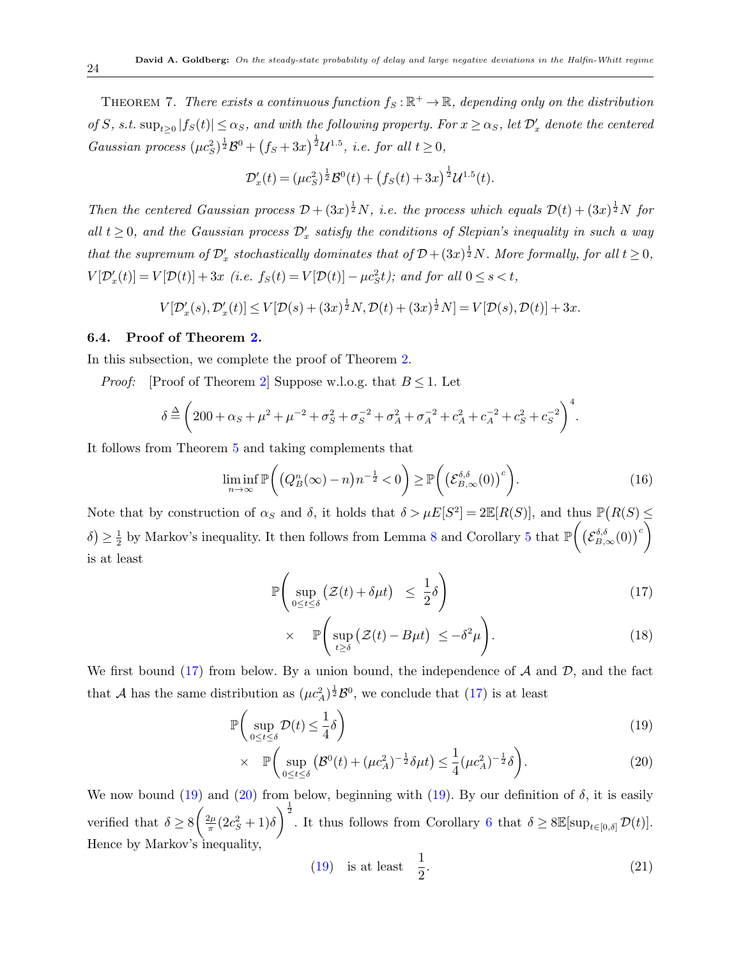THEOREM 7. *There exists a continuous function*  $f_S : \mathbb{R}^+ \to \mathbb{R}$ , depending only on the distribution of S, s.t.  $\sup_{t\geq 0} |f_S(t)| \leq \alpha_S$ , and with the following property. For  $x \geq \alpha_S$ , let  $\mathcal{D}'_x$  denote the centered *Gaussian process*  $(\mu c_S^2)^{\frac{1}{2}} \mathcal{B}^0 + (f_S + 3x)^{\frac{1}{2}} \mathcal{U}^{1.5}$ , *i.e. for all*  $t \ge 0$ ,

$$
\mathcal{D}'_x(t) = (\mu c_S^2)^{\frac{1}{2}} \mathcal{B}^0(t) + (f_S(t) + 3x)^{\frac{1}{2}} \mathcal{U}^{1.5}(t).
$$

*Then the centered Gaussian process*  $\mathcal{D} + (3x)^{\frac{1}{2}}N$ , *i.e. the process which equals*  $\mathcal{D}(t) + (3x)^{\frac{1}{2}}N$  *for all*  $t \geq 0$ , and the Gaussian process  $\mathcal{D}'_x$  satisfy the conditions of Slepian's inequality in such a way *that the supremum of*  $\mathcal{D}'_x$  *stochastically dominates that of*  $\mathcal{D} + (3x)^{\frac{1}{2}}N$ *. More formally, for all*  $t \ge 0$ *,*  $V[\mathcal{D}'_x(t)] = V[\mathcal{D}(t)] + 3x$  (i.e.  $f_S(t) = V[\mathcal{D}(t)] - \mu c_S^2 t$ ); and for all  $0 \le s < t$ ,

$$
V[\mathcal{D}'_x(s), \mathcal{D}'_x(t)] \le V[\mathcal{D}(s) + (3x)^{\frac{1}{2}}N, \mathcal{D}(t) + (3x)^{\frac{1}{2}}N] = V[\mathcal{D}(s), \mathcal{D}(t)] + 3x.
$$

#### **6.4. Proof of Theorem [2](#page-6-1).**

In this subsection, we complete the proof of Theorem [2](#page-6-1).

*Proof:* [Proof of Theorem [2](#page-6-1)] Suppose w.l.o.g. that  $B \leq 1$ . Let

$$
\delta \stackrel{\Delta}{=} \left( 200 + \alpha_S + \mu^2 + \mu^{-2} + \sigma_S^2 + \sigma_S^{-2} + \sigma_A^2 + \sigma_A^{-2} + c_A^2 + c_A^{-2} + c_S^2 + c_S^{-2} \right)^4.
$$

It follows from Theorem [5](#page-16-1) and taking complements that

<span id="page-23-3"></span>
$$
\liminf_{n \to \infty} \mathbb{P}\bigg( \big( Q_B^n(\infty) - n \big) n^{-\frac{1}{2}} < 0 \bigg) \ge \mathbb{P}\bigg( \big( \mathcal{E}_{B,\infty}^{\delta,\delta}(0) \big)^c \bigg). \tag{16}
$$

Note that by construction of  $\alpha_S$  and  $\delta$ , it holds that  $\delta > \mu E[S^2] = 2\mathbb{E}[R(S)]$ , and thus  $\mathbb{P}(R(S) \leq$  $δ$   $\geq \frac{1}{2}$  $\frac{1}{2}$  by Markov's inequality. It then follows from Lemma [8](#page-21-1) and Corollary [5](#page-20-3) that  $\mathbb P$  $\left( \left( \mathcal{E}_{B,\infty}^{\delta,\delta}(0)\right)^c \right)$ is at least

<span id="page-23-0"></span>
$$
\mathbb{P}\left(\sup_{0\leq t\leq \delta} \left(\mathcal{Z}(t) + \delta \mu t\right) \leq \frac{1}{2}\delta\right) \tag{17}
$$

$$
\times \quad \mathbb{P}\Bigg(\sup_{t\geq \delta} \big(\mathcal{Z}(t) - B\mu t\big) \ \leq -\delta^2 \mu\Bigg). \tag{18}
$$

We first bound [\(17](#page-23-0)) from below. By a union bound, the independence of *A* and *D*, and the fact that *A* has the same distribution as  $(\mu c_A^2)^{\frac{1}{2}} \mathcal{B}^0$ , we conclude that ([17\)](#page-23-0) is at least

<span id="page-23-1"></span>
$$
\mathbb{P}\left(\sup_{0\leq t\leq\delta}\mathcal{D}(t)\leq\frac{1}{4}\delta\right) \tag{19}
$$

$$
\times \quad \mathbb{P}\bigg(\sup_{0 \le t \le \delta} \big(\mathcal{B}^{0}(t) + (\mu c_{A}^{2})^{-\frac{1}{2}} \delta \mu t\big) \le \frac{1}{4} (\mu c_{A}^{2})^{-\frac{1}{2}} \delta\bigg). \tag{20}
$$

We now bound ([19\)](#page-23-1) and ([20\)](#page-23-1) from below, beginning with  $(19)$  $(19)$ . By our definition of  $\delta$ , it is easily verified that  $\delta \geq 8$  $\int$ <sub>2</sub> $\mu$  $\frac{2\mu}{\pi}$ (2*c*<sup>2</sup><sub>*S*</sub> + 1)*δ*  $\int_0^{\frac{1}{2}}$ . It thus follows from Corollary [6](#page-21-2) that  $\delta \geq 8\mathbb{E}[\sup_{t\in[0,\delta]} \mathcal{D}(t)]$ . Hence by Markov's inequality,

<span id="page-23-2"></span>
$$
(19) \t\t is at least  $\frac{1}{2}$ . (21)
$$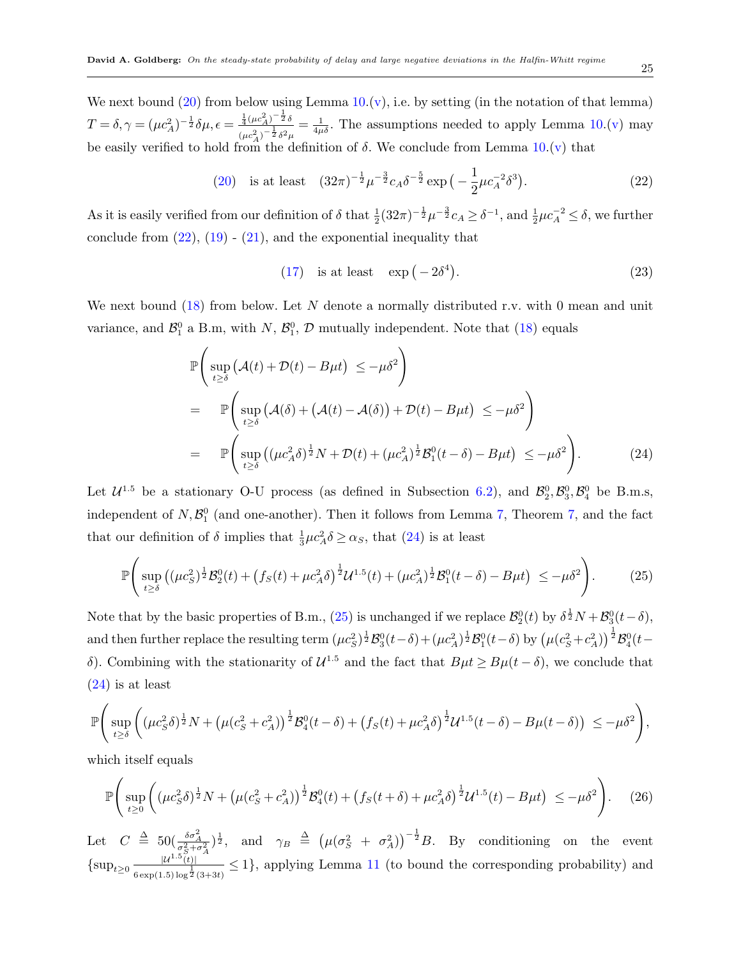We next bound  $(20)$  $(20)$  from below using Lemma  $10.(v)$  $10.(v)$  $10.(v)$  $10.(v)$ , i.e. by setting (in the notation of that lemma)  $T = \delta, \gamma = (\mu c_A^2)^{-\frac{1}{2}} \delta \mu, \epsilon = \frac{\frac{1}{4} (\mu c_A^2)^{-\frac{1}{2}} \delta}{(2 \lambda)^{-\frac{1}{2}} \delta^2}$  $\frac{\frac{1}{4}(\mu c_A^2)^{-\frac{1}{2}}\delta^2\mu}{(\mu c_A^2)^{-\frac{1}{2}}\delta^2\mu} = \frac{1}{4\mu\delta}$ . The assumptions needed to apply Lemma [10](#page-21-0).([v](#page-22-1)) may be easily verified to hold from the definition of  $\delta$ . We conclude from Lemma [10](#page-21-0).[\(v](#page-22-1)) that

<span id="page-24-0"></span>(20) is at least 
$$
(32\pi)^{-\frac{1}{2}}\mu^{-\frac{3}{2}}c_A\delta^{-\frac{5}{2}}\exp\left(-\frac{1}{2}\mu c_A^{-2}\delta^3\right)
$$
. (22)

As it is easily verified from our definition of  $\delta$  that  $\frac{1}{2}(32\pi)^{-\frac{1}{2}}\mu^{-\frac{3}{2}}c_A \geq \delta^{-1}$ , and  $\frac{1}{2}\mu c_A^{-2} \leq \delta$ , we further conclude from  $(22)$  $(22)$ ,  $(19)$  $(19)$  -  $(21)$  $(21)$ , and the exponential inequality that

(17) is at least 
$$
\exp(-2\delta^4)
$$
. (23)

We next bound  $(18)$  $(18)$  from below. Let *N* denote a normally distributed r.v. with 0 mean and unit variance, and  $\mathcal{B}_1^0$  a B.m, with *N*,  $\mathcal{B}_1^0$ , *D* mutually independent. Note that [\(18](#page-23-0)) equals

<span id="page-24-1"></span>
$$
\mathbb{P}\left(\sup_{t\geq\delta} \left(\mathcal{A}(t) + \mathcal{D}(t) - B\mu t\right) \leq -\mu\delta^2\right)
$$
\n
$$
= \mathbb{P}\left(\sup_{t\geq\delta} \left(\mathcal{A}(\delta) + \left(\mathcal{A}(t) - \mathcal{A}(\delta)\right) + \mathcal{D}(t) - B\mu t\right) \leq -\mu\delta^2\right)
$$
\n
$$
= \mathbb{P}\left(\sup_{t\geq\delta} \left((\mu c_A^2 \delta)^{\frac{1}{2}} N + \mathcal{D}(t) + (\mu c_A^2)^{\frac{1}{2}} \mathcal{B}_1^0(t - \delta) - B\mu t\right) \leq -\mu\delta^2\right).
$$
\n(24)

Let  $\mathcal{U}^{1.5}$  be a stationary O-U process (as defined in Subsection [6.2](#page-21-3)), and  $\mathcal{B}_2^0$ ,  $\mathcal{B}_3^0$ ,  $\mathcal{B}_4^0$  be B.m.s, independent of  $N, \mathcal{B}_1^0$  (and one-another). Then it follows from Lemma [7](#page-20-4), Theorem [7,](#page-22-2) and the fact that our definition of  $\delta$  implies that  $\frac{1}{3}\mu c_A^2 \delta \ge \alpha_S$ , that ([24\)](#page-24-1) is at least

<span id="page-24-2"></span>
$$
\mathbb{P}\Bigg(\sup_{t\geq\delta}((\mu c_S^2)^{\frac{1}{2}}\mathcal{B}_2^0(t) + (f_S(t) + \mu c_A^2\delta)^{\frac{1}{2}}\mathcal{U}^{1.5}(t) + (\mu c_A^2)^{\frac{1}{2}}\mathcal{B}_1^0(t-\delta) - B\mu t) \leq -\mu\delta^2\Bigg). \tag{25}
$$

Note that by the basic properties of B.m., ([25\)](#page-24-2) is unchanged if we replace  $\mathcal{B}_2^0(t)$  by  $\delta^{\frac{1}{2}}N + \mathcal{B}_3^0(t - \delta)$ , and then further replace the resulting term  $(\mu c_S^2)^{\frac{1}{2}}\mathcal{B}_3^0(t-\delta)+(\mu c_A^2)^{\frac{1}{2}}\mathcal{B}_1^0(t-\delta)$  by  $(\mu (c_S^2+c_A^2))^{\frac{1}{2}}\mathcal{B}_4^0(t-\delta)$ *δ*). Combining with the stationarity of  $U^{1.5}$  and the fact that  $B\mu t \geq B\mu(t-\delta)$ , we conclude that [\(24](#page-24-1)) is at least

$$
\mathbb{P}\Bigg(\sup_{t\geq \delta}\bigg((\mu c_S^2\delta)^{\frac{1}{2}}N+\big(\mu(c_S^2+c_A^2)\big)^{\frac{1}{2}}\mathcal{B}_4^0(t-\delta)+\big(f_S(t)+\mu c_A^2\delta\big)^{\frac{1}{2}}\mathcal{U}^{1.5}(t-\delta)-B\mu(t-\delta)\big)\Bigg)\leq -\mu\delta^2\Bigg),
$$

which itself equals

<span id="page-24-3"></span>
$$
\mathbb{P}\Bigg(\sup_{t\geq 0}\Big(\mu c_S^2 \delta)^{\frac{1}{2}}N+\left(\mu(c_S^2+c_A^2)\right)^{\frac{1}{2}}\mathcal{B}_4^0(t)+\left(f_S(t+\delta)+\mu c_A^2\delta\right)^{\frac{1}{2}}\mathcal{U}^{1.5}(t)-B\mu t\right)\ \leq -\mu\delta^2\Bigg). \tag{26}
$$

Let  $C \triangleq 50(\frac{\delta \sigma_A^2}{\sigma_S^2 + \sigma_A^2})^{\frac{1}{2}},$  and  $\gamma_B \triangleq (\mu(\sigma_S^2 + \sigma_A^2))^{-\frac{1}{2}}B$ . By conditioning on the event  $\{\sup_{t\geq 0} \frac{|U^{1.5}(t)|}{6 \exp(1.5) \log^{\frac{1}{2}}}$  $\frac{a^{(1)}(t)}{(\log^{\frac{1}{2}}(3+3t))} \leq 1$ , applying Lemma [11](#page-22-3) (to bound the corresponding probability) and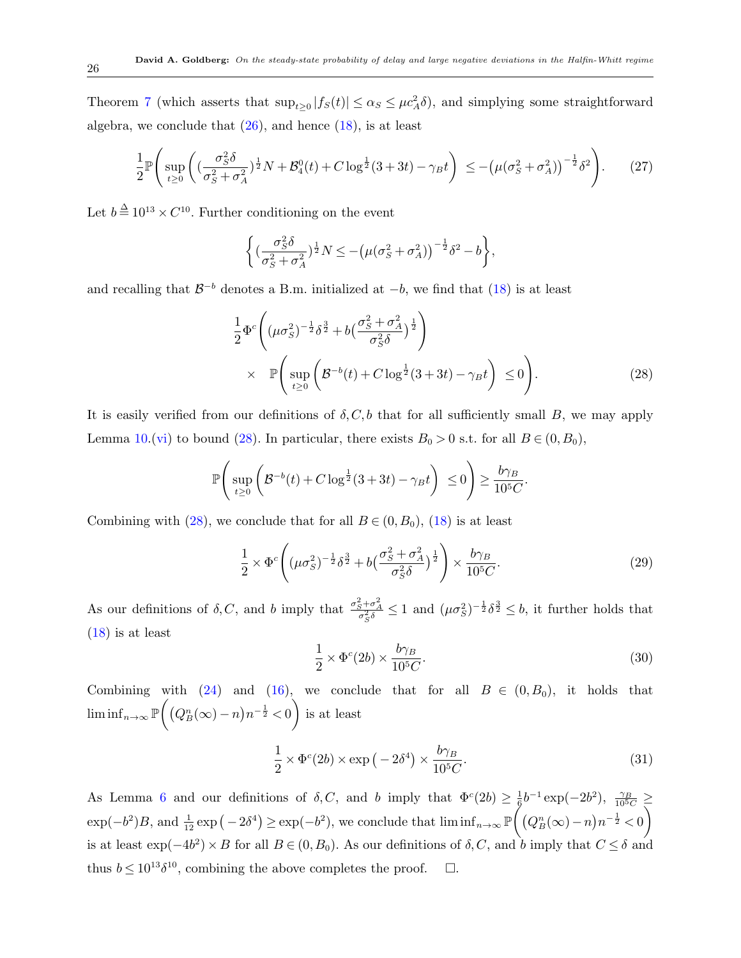Theorem [7](#page-22-2) (which asserts that  $\sup_{t\geq 0} |f_S(t)| \leq \alpha_S \leq \mu c_A^2 \delta$ ), and simplying some straightforward algebra, we conclude that  $(26)$  $(26)$ , and hence  $(18)$  $(18)$ , is at least

$$
\frac{1}{2} \mathbb{P}\left(\sup_{t\geq 0} \left( (\frac{\sigma_S^2 \delta}{\sigma_S^2 + \sigma_A^2})^{\frac{1}{2}} N + \mathcal{B}_4^0(t) + C \log^{\frac{1}{2}}(3+3t) - \gamma_B t \right) \leq -\left( \mu(\sigma_S^2 + \sigma_A^2) \right)^{-\frac{1}{2}} \delta^2 \right). \tag{27}
$$

Let  $b = 10^{13} \times C^{10}$ . Further conditioning on the event

$$
\left\{(\frac{\sigma_S^2\delta}{\sigma_S^2+\sigma_A^2})^{\frac{1}{2}}N\leq -\left(\mu(\sigma_S^2+\sigma_A^2)\right)^{-\frac{1}{2}}\delta^2-b\right\},\,
$$

and recalling that *B <sup>−</sup><sup>b</sup>* denotes a B.m. initialized at *−b*, we find that ([18\)](#page-23-0) is at least

<span id="page-25-0"></span>
$$
\frac{1}{2}\Phi^{c}\left((\mu\sigma_{S}^{2})^{-\frac{1}{2}}\delta^{\frac{3}{2}}+b\left(\frac{\sigma_{S}^{2}+\sigma_{A}^{2}}{\sigma_{S}^{2}\delta}\right)^{\frac{1}{2}}\right) \times \mathbb{P}\left(\sup_{t\geq 0}\left(\mathcal{B}^{-b}(t)+C\log^{\frac{1}{2}}(3+3t)-\gamma_{B}t\right)\leq 0\right).
$$
\n(28)

It is easily verified from our definitions of  $\delta$ , C, b that for all sufficiently small *B*, we may apply Lemma [10](#page-21-0).[\(vi](#page-22-0)) to bound ([28\)](#page-25-0). In particular, there exists  $B_0 > 0$  s.t. for all  $B \in (0, B_0)$ ,

$$
\mathbb{P}\Bigg(\sup_{t\geq 0}\bigg(\mathcal{B}^{-b}(t)+C\log^{\frac{1}{2}}(3+3t)-\gamma_B t\bigg)\,\leq 0\Bigg)\geq \frac{b\gamma_B}{10^5C}.
$$

Combining with ([28\)](#page-25-0), we conclude that for all  $B \in (0, B_0)$ , [\(18](#page-23-0)) is at least

$$
\frac{1}{2} \times \Phi^c \left( (\mu \sigma_S^2)^{-\frac{1}{2}} \delta^{\frac{3}{2}} + b \left( \frac{\sigma_S^2 + \sigma_A^2}{\sigma_S^2 \delta} \right)^{\frac{1}{2}} \right) \times \frac{b \gamma_B}{10^5 C}.
$$
\n(29)

As our definitions of  $\delta$ , C, and b imply that  $\frac{\sigma_S^2 + \sigma_A^2}{\sigma_S^2 \delta} \le 1$  and  $(\mu \sigma_S^2)^{-\frac{1}{2}} \delta^{\frac{3}{2}} \le b$ , it further holds that [\(18](#page-23-0)) is at least

$$
\frac{1}{2} \times \Phi^c(2b) \times \frac{b\gamma_B}{10^5 C}.\tag{30}
$$

Combining with  $(24)$  $(24)$  and  $(16)$  $(16)$ , we conclude that for all  $B \in (0, B_0)$ , it holds that  $\liminf_{n\to\infty}$  P  $\left( (Q_B^n(\infty) - n)n^{-\frac{1}{2}} < 0 \right)$  $\lambda$ is at least

$$
\frac{1}{2} \times \Phi^c(2b) \times \exp\left(-2\delta^4\right) \times \frac{b\gamma_B}{10^5 C}.\tag{31}
$$

As Lemma [6](#page-19-1) and our definitions of  $\delta$ , C, and *b* imply that  $\Phi^c(2b) \geq \frac{1}{6}$  $\frac{1}{6}b^{-1}\exp(-2b^2), \frac{\gamma_B}{10^5C} \ge$  $\exp(-b^2)B$ , and  $\frac{1}{12}\exp(-2\delta^4) \ge \exp(-b^2)$ , we conclude that  $\liminf_{n\to\infty} \mathbb{P}$  $\int_{0}^{3} (Q_{B}^{n}(\infty) - n) n^{-\frac{1}{2}} < 0$  $\setminus$ is at least  $\exp(-4b^2) \times B$  for all  $B \in (0, B_0)$ . As our definitions of  $\delta, C$ , and  $b$  imply that  $C \leq \delta$  and thus  $b \leq 10^{13} \delta^{10}$ , combining the above completes the proof.  $\Box$ .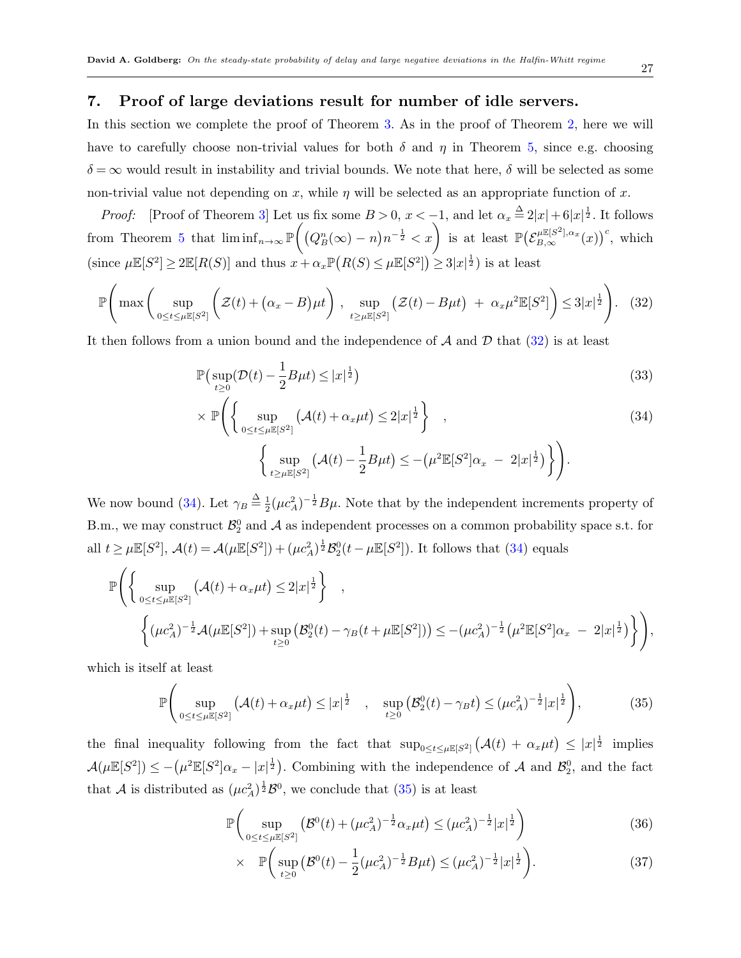# <span id="page-26-0"></span>**7. Proof of large deviations result for number of idle servers.**

In this section we complete the proof of Theorem [3](#page-7-0). As in the proof of Theorem [2,](#page-6-1) here we will have to carefully choose non-trivial values for both  $\delta$  and  $\eta$  in Theorem [5](#page-16-1), since e.g. choosing  $\delta = \infty$  would result in instability and trivial bounds. We note that here,  $\delta$  will be selected as some non-trivial value not depending on *x*, while  $\eta$  will be selected as an appropriate function of *x*.

*Proof:* [Proof of Theorem [3](#page-7-0)] Let us fix some  $B > 0$ ,  $x < -1$ , and let  $\alpha_x \stackrel{\Delta}{=} 2|x| + 6|x|^{\frac{1}{2}}$ . It follows from Theorem [5](#page-16-1) that  $\liminf_{n\to\infty}$  **P**  $\left(\left(Q_B^n(\infty) - n\right)n^{-\frac{1}{2}} < x\right)$  is at least  $\mathbb{P}\left(\mathcal{E}_{B,\infty}^{\mu\mathbb{E}[S^2],\alpha_x}(x)\right)^c$ , which  $\mu \mathbb{E}[S^2] \geq 2\mathbb{E}[R(S)]$  and thus  $x + \alpha_x \mathbb{P}(R(S) \leq \mu \mathbb{E}[S^2]) \geq 3|x|^{\frac{1}{2}}$  is at least

<span id="page-26-1"></span>
$$
\mathbb{P}\Bigg(\max\bigg(\sup_{0\leq t\leq\mu\mathbb{E}[S^2]}\bigg(\mathcal{Z}(t)+(\alpha_x-B)\mu t\bigg)\,\,\underset{t\geq\mu\mathbb{E}[S^2]}{\sup}\big(\mathcal{Z}(t)-B\mu t\big)\,\,+\,\,\alpha_x\mu^2\mathbb{E}[S^2]\bigg)\leq 3|x|^{\frac{1}{2}}\Bigg). \tag{32}
$$

It then follows from a union bound and the independence of *A* and *D* that ([32\)](#page-26-1) is at least

<span id="page-26-2"></span>
$$
\mathbb{P}\left(\sup_{t\geq 0}(\mathcal{D}(t)-\frac{1}{2}B\mu t)\leq |x|^{\frac{1}{2}}\right)
$$
\n(33)

$$
\times \mathbb{P}\Biggl\{\Biggl\{\sup_{0\leq t\leq \mu\mathbb{E}[S^2]} \left(\mathcal{A}(t) + \alpha_x\mu t\right) \leq 2|x|^{\frac{1}{2}}\Biggr\} ,\tag{34}
$$
\n
$$
\Biggl\{\sup_{t\geq \mu\mathbb{E}[S^2]} \left(\mathcal{A}(t) - \frac{1}{2}B\mu t\right) \leq -\left(\mu^2\mathbb{E}[S^2]\alpha_x - 2|x|^{\frac{1}{2}}\right)\Biggr\}\Biggr).
$$

We now bound [\(34](#page-26-2)). Let  $\gamma_B \triangleq \frac{1}{2}$  $\frac{1}{2}(\mu c_A^2)^{-\frac{1}{2}}B\mu$ . Note that by the independent increments property of B.m., we may construct  $\mathcal{B}_2^0$  and  $\mathcal A$  as independent processes on a common probability space s.t. for all  $t \ge \mu \mathbb{E}[S^2]$ ,  $\mathcal{A}(t) = \mathcal{A}(\mu \mathbb{E}[S^2]) + (\mu c_A^2)^{\frac{1}{2}} \mathcal{B}_2^0(t - \mu \mathbb{E}[S^2])$ . It follows that [\(34](#page-26-2)) equals

$$
\mathbb{P}\Bigg\{\Bigg\{\sup_{0\leq t\leq \mu\mathbb{E}[S^2]} \left(\mathcal{A}(t) + \alpha_x\mu t\right) \leq 2|x|^{\frac{1}{2}}\Bigg\},\
$$
\n
$$
\Bigg\{\big(\mu c_A^2\big)^{-\frac{1}{2}}\mathcal{A}\big(\mu\mathbb{E}[S^2]\big) + \sup_{t\geq 0} \left(\mathcal{B}_2^0(t) - \gamma_B(t + \mu\mathbb{E}[S^2])\right) \leq -\big(\mu c_A^2\big)^{-\frac{1}{2}}\big(\mu^2\mathbb{E}[S^2]\alpha_x - 2|x|^{\frac{1}{2}}\big)\Bigg\}\Bigg),
$$

which is itself at least

<span id="page-26-3"></span>
$$
\mathbb{P}\Bigg(\sup_{0\leq t\leq\mu\mathbb{E}[S^2]}(\mathcal{A}(t)+\alpha_x\mu t)\leq |x|^{\frac{1}{2}}\Bigg|,\quad \sup_{t\geq 0}(\mathcal{B}_2^0(t)-\gamma_B t)\leq (\mu c_A^2)^{-\frac{1}{2}}|x|^{\frac{1}{2}}\Bigg),\tag{35}
$$

the final inequality following from the fact that  $\sup_{0 \le t \le \mu} \mathbb{E}[S^2] \left( \mathcal{A}(t) + \alpha_x \mu t \right) \le |x|^{\frac{1}{2}}$  implies  $\mathcal{A}(\mu \mathbb{E}[S^2]) \le -(\mu^2 \mathbb{E}[S^2] \alpha_x - |x|^{\frac{1}{2}})$ . Combining with the independence of  $\mathcal{A}$  and  $\mathcal{B}_2^0$ , and the fact that *A* is distributed as  $(\mu c_A^2)^{\frac{1}{2}} \mathcal{B}^0$ , we conclude that [\(35](#page-26-3)) is at least

<span id="page-26-4"></span>
$$
\mathbb{P}\bigg(\sup_{0\leq t\leq\mu\mathbb{E}[S^2]} \left(\mathcal{B}^0(t) + (\mu c_A^2)^{-\frac{1}{2}}\alpha_x\mu t\right) \leq (\mu c_A^2)^{-\frac{1}{2}}|x|^{\frac{1}{2}}\bigg)
$$
(36)

$$
\times \quad \mathbb{P}\bigg(\sup_{t\geq 0} \big(\mathcal{B}^{0}(t) - \frac{1}{2}(\mu c_{A}^{2})^{-\frac{1}{2}}B\mu t\big) \leq (\mu c_{A}^{2})^{-\frac{1}{2}}|x|^{\frac{1}{2}}\bigg). \tag{37}
$$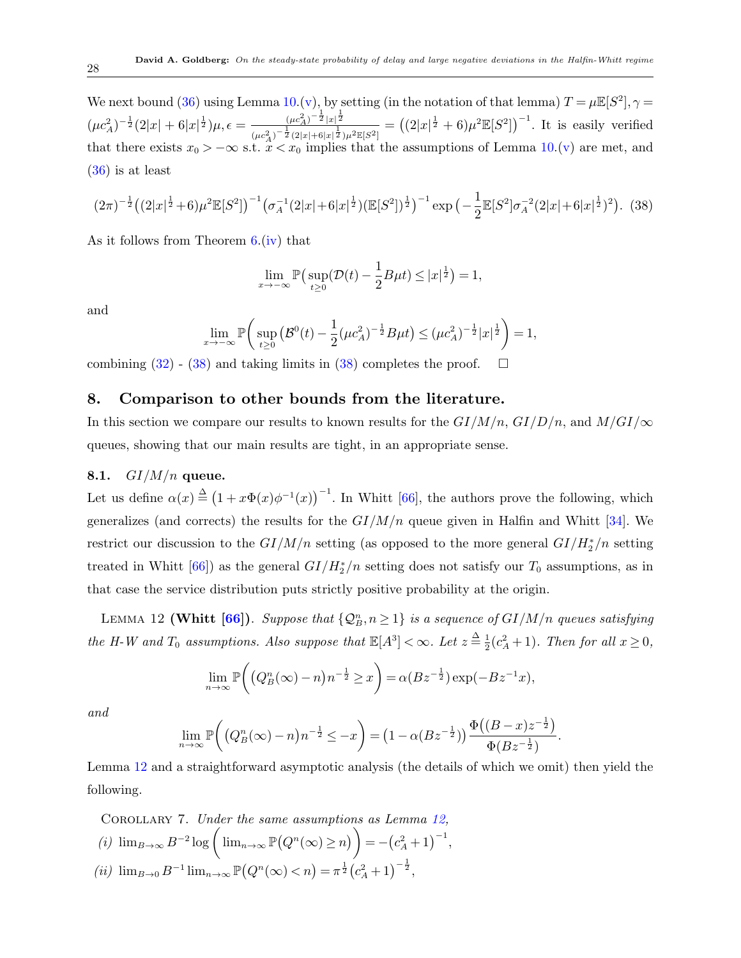We next bound [\(36](#page-26-4)) using Lemma [10.](#page-21-0)[\(v\)](#page-22-1), by setting (in the notation of that lemma)  $T = \mu \mathbb{E}[S^2], \gamma =$  $(\mu c_A^2)^{-\frac{1}{2}} (2|x| + 6|x|^{\frac{1}{2}}) \mu, \epsilon = \frac{(\mu c_A^2)^{-\frac{1}{2}} |x|^{\frac{1}{2}}}{(2|\mu + \epsilon)^{\frac{1}{2}}}$  $\frac{(\mu c_A^2)^{-\frac{1}{2}}|x|^{\frac{1}{2}}}{(\mu c_A^2)^{-\frac{1}{2}}(2|x|+6|x|^{\frac{1}{2}})\mu^2 \mathbb{E}[S^2]}$  =  $((2|x|^{\frac{1}{2}}+6)\mu^2 \mathbb{E}[S^2])^{-1}$ . It is easily verified that there exists  $x_0$  >  $-\infty$  s.t.  $\ddot{x}$  <  $x_0$  implies that the assumptions of Lemma [10.](#page-21-0)[\(v\)](#page-22-1) are met, and [\(36](#page-26-4)) is at least

<span id="page-27-1"></span>
$$
(2\pi)^{-\frac{1}{2}}((2|x|^{\frac{1}{2}}+6)\mu^2\mathbb{E}[S^2])^{-1}(\sigma_A^{-1}(2|x|+6|x|^{\frac{1}{2}})(\mathbb{E}[S^2])^{\frac{1}{2}})^{-1}\exp\left(-\frac{1}{2}\mathbb{E}[S^2]\sigma_A^{-2}(2|x|+6|x|^{\frac{1}{2}})^2\right). \tag{38}
$$

As it follows from Theorem [6.](#page-17-0)[\(iv\)](#page-17-2) that

$$
\lim_{x \to -\infty} \mathbb{P}\big(\sup_{t \ge 0} (\mathcal{D}(t) - \frac{1}{2} B \mu t) \le |x|^{\frac{1}{2}}\big) = 1,
$$

and

$$
\lim_{x \to -\infty} \mathbb{P}\bigg(\sup_{t \ge 0} \big(\mathcal{B}^{0}(t) - \frac{1}{2}(\mu c_A^2)^{-\frac{1}{2}}B\mu t\big) \le (\mu c_A^2)^{-\frac{1}{2}}|x|^{\frac{1}{2}}\bigg) = 1,
$$

combining  $(32)$  $(32)$  -  $(38)$  $(38)$  and taking limits in  $(38)$  $(38)$  completes the proof.  $\Box$ 

#### <span id="page-27-0"></span>**8. Comparison to other bounds from the literature.**

In this section we compare our results to known results for the  $GI/M/n$ ,  $GI/D/n$ , and  $M/GI/\infty$ queues, showing that our main results are tight, in an appropriate sense.

# **8.1.** *GI/M/n* **queue.**

Let us define  $\alpha(x) \triangleq (1 + x\Phi(x)\phi^{-1}(x))^{-1}$ . In Whitt [[66](#page-48-0)], the authors prove the following, which generalizes (and corrects) the results for the  $GI/M/n$  queue given in Halfin and Whitt [\[34](#page-47-1)]. We restrict our discussion to the *GI/M/n* setting (as opposed to the more general *GI/H<sup>∗</sup>* <sup>2</sup> */n* setting treated in Whitt [[66\]](#page-48-0)) as the general  $GI/H_2^*/n$  setting does not satisfy our  $T_0$  assumptions, as in that case the service distribution puts strictly positive probability at the origin.

LEMMA 12 (Whitt  $[66]$ ). *Suppose that*  $\{Q_B^n, n \geq 1\}$  *is a sequence of*  $GI/M/n$  *queues satisfying the H-W and*  $T_0$  *assumptions. Also suppose that*  $\mathbb{E}[A^3] < \infty$ *. Let*  $z = \frac{\Delta}{2}$  $\frac{1}{2}(c_A^2+1)$ *. Then for all*  $x \geq 0$ *,* 

<span id="page-27-2"></span>
$$
\lim_{n \to \infty} \mathbb{P}\bigg( \big( Q_B^n(\infty) - n \big) n^{-\frac{1}{2}} \ge x \bigg) = \alpha (B z^{-\frac{1}{2}}) \exp(-B z^{-1} x),
$$

*and*

$$
\lim_{n \to \infty} \mathbb{P}\bigg( \big( Q_B^n(\infty) - n \big) n^{-\frac{1}{2}} \le -x \bigg) = \big( 1 - \alpha (Bz^{-\frac{1}{2}}) \big) \frac{\Phi\big( (B - x) z^{-\frac{1}{2}} \big)}{\Phi(Bz^{-\frac{1}{2}})}.
$$

Lemma [12](#page-27-2) and a straightforward asymptotic analysis (the details of which we omit) then yield the following.

Corollary 7. *Under the same assumptions as Lemma [12,](#page-27-2) (i)*  $\lim_{B\to\infty} B^{-2} \log \left( \lim_{n\to\infty} \mathbb{P}\left(Q^n(\infty) \geq n\right) \right)$  $= -(c_A^2 + 1)^{-1},$  $(iii)$   $\lim_{B\to 0} B^{-1} \lim_{n\to\infty} \mathbb{P}\left(Q^n(\infty) < n\right) = \pi^{\frac{1}{2}} \left(c_A^2 + 1\right)^{-\frac{1}{2}},$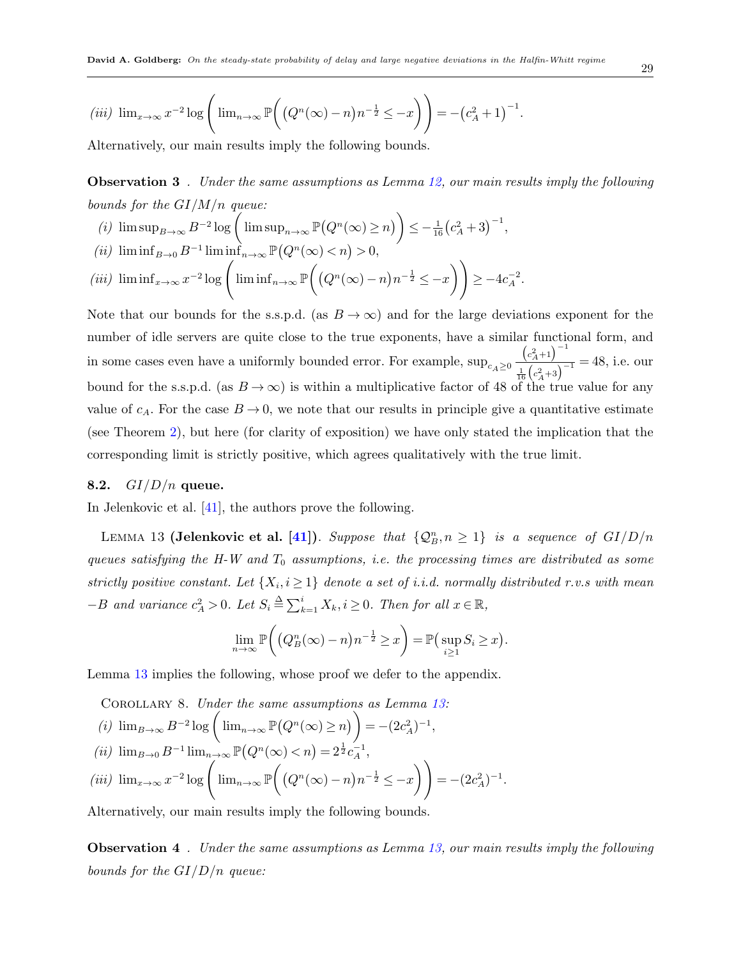*.*

$$
(iii) \ \lim_{x \to \infty} x^{-2} \log \left( \lim_{n \to \infty} \mathbb{P}\left( \left( Q^n(\infty) - n \right) n^{-\frac{1}{2}} \leq -x \right) \right) = -\left( c_A^2 + 1 \right)^{-1}
$$

Alternatively, our main results imply the following bounds.

**Observation 3** *. Under the same assumptions as Lemma [12,](#page-27-2) our main results imply the following bounds for the GI/M/n queue:*

 $f(i)$   $\limsup_{B \to \infty} B^{-2} \log \left( \limsup_{n \to \infty} \mathbb{P}(Q^n(\infty) \geq n) \right) \leq -\frac{1}{16} (c_A^2 + 3)^{-1},$ 

$$
(ii) \ \liminf_{B\to 0} B^{-1} \liminf_{n\to\infty} \mathbb{P}\big(Q^n(\infty) < n\big) > 0,
$$

$$
(iii) \liminf_{x \to \infty} x^{-2} \log \left( \liminf_{n \to \infty} \mathbb{P}\left( \left( Q^n(\infty) - n \right) n^{-\frac{1}{2}} \leq -x \right) \right) \geq -4c_A^{-2}.
$$

Note that our bounds for the s.s.p.d. (as  $B \to \infty$ ) and for the large deviations exponent for the number of idle servers are quite close to the true exponents, have a similar functional form, and in some cases even have a uniformly bounded error. For example,  $\sup_{c_A\geq 0}$  $(c_A^2 + 1)^{-1}$  $\frac{1}{16}$  $\frac{1}{2}$  $\left(\frac{c_A+3}{c_A+3}\right)^{-1}$  = 48, i.e. our bound for the s.s.p.d. (as  $B \to \infty$ ) is within a multiplicative factor of 48 of the true value for any value of  $c_A$ . For the case  $B \to 0$ , we note that our results in principle give a quantitative estimate (see Theorem [2\)](#page-6-1), but here (for clarity of exposition) we have only stated the implication that the corresponding limit is strictly positive, which agrees qualitatively with the true limit.

#### **8.2.** *GI/D/n* **queue.**

In Jelenkovic et al. [\[41](#page-47-2)], the authors prove the following.

LEMMA 13 (Jelenkovic et al. [[41](#page-47-2)]). *Suppose that*  $\{Q_B^n, n \geq 1\}$  *is a sequence of*  $GI/D/n$ *queues satisfying the H-W and T*<sup>0</sup> *assumptions, i.e. the processing times are distributed as some strictly positive constant. Let*  $\{X_i, i \geq 1\}$  *denote a set of i.i.d. normally distributed r.v.s with mean*  $-$ *B* and variance  $c_A^2 > 0$ . Let  $S_i \triangleq \sum_{k=1}^i X_k$ ,  $i \geq 0$ . Then for all  $x \in \mathbb{R}$ ,

<span id="page-28-1"></span><span id="page-28-0"></span>
$$
\lim_{n \to \infty} \mathbb{P}\bigg( \big( Q_B^n(\infty) - n \big) n^{-\frac{1}{2}} \ge x \big) = \mathbb{P}\big( \sup_{i \ge 1} S_i \ge x \big).
$$

Lemma [13](#page-28-0) implies the following, whose proof we defer to the appendix.

<span id="page-28-3"></span><span id="page-28-2"></span>COROLLARY 8. Under the same assumptions as Lemma 13:  
\n(i) 
$$
\lim_{B\to\infty} B^{-2} \log \left( \lim_{n\to\infty} \mathbb{P}(Q^n(\infty) \ge n) \right) = -(2c_A^2)^{-1}
$$
,  
\n(ii)  $\lim_{B\to 0} B^{-1} \lim_{n\to\infty} \mathbb{P}(Q^n(\infty) < n) = 2^{\frac{1}{2}} c_A^{-1}$ ,  
\n(iii)  $\lim_{x\to\infty} x^{-2} \log \left( \lim_{n\to\infty} \mathbb{P}\left((Q^n(\infty) - n)n^{-\frac{1}{2}} \le -x\right) \right) = -(2c_A^2)^{-1}$ .

<span id="page-28-4"></span>Alternatively, our main results imply the following bounds.

**Observation 4** *. Under the same assumptions as Lemma [13,](#page-28-0) our main results imply the following bounds for the GI/D/n queue:*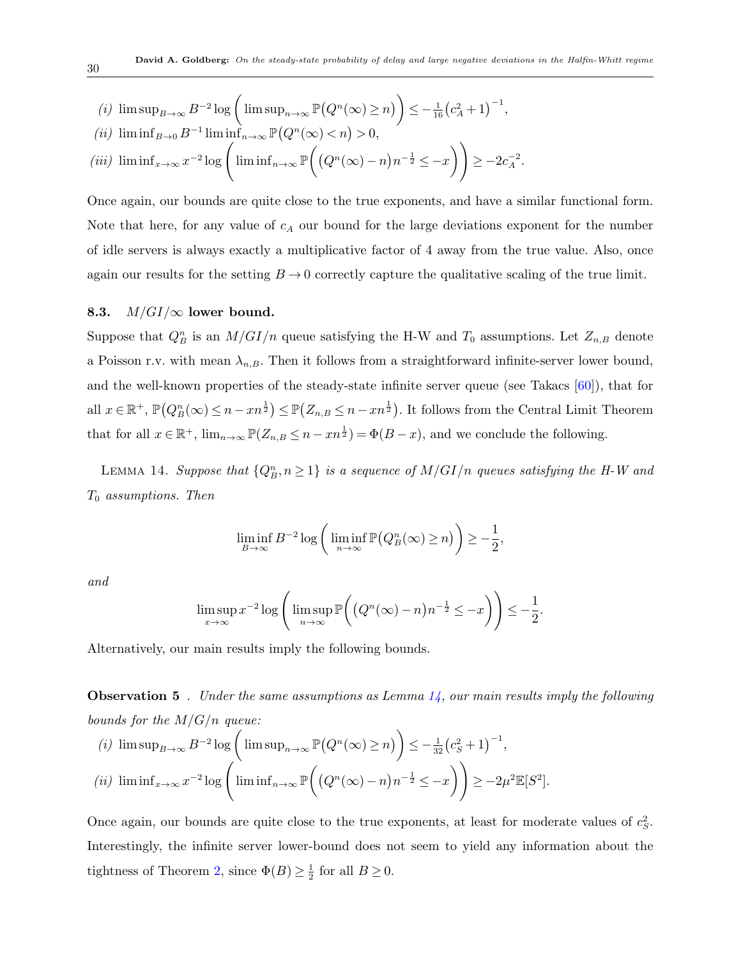(i) 
$$
\limsup_{B \to \infty} B^{-2} \log \left( \limsup_{n \to \infty} \mathbb{P}(Q^n(\infty) \ge n) \right) \le -\frac{1}{16} (c_A^2 + 1)^{-1},
$$
  
\n(ii)  $\liminf_{B \to 0} B^{-1} \liminf_{n \to \infty} \mathbb{P}(Q^n(\infty) < n) > 0,$   
\n(iii)  $\liminf_{x \to \infty} x^{-2} \log \left( \liminf_{n \to \infty} \mathbb{P}\left((Q^n(\infty) - n)n^{-\frac{1}{2}} \le -x\right) \right) \ge -2c_A^{-2}.$ 

Once again, our bounds are quite close to the true exponents, and have a similar functional form. Note that here, for any value of *c<sup>A</sup>* our bound for the large deviations exponent for the number of idle servers is always exactly a multiplicative factor of 4 away from the true value. Also, once again our results for the setting  $B \rightarrow 0$  correctly capture the qualitative scaling of the true limit.

#### 8.3.  $M/GI/\infty$  lower bound.

Suppose that  $Q_B^n$  is an  $M/GI/n$  queue satisfying the H-W and  $T_0$  assumptions. Let  $Z_{n,B}$  denote a Poisson r.v. with mean  $\lambda_{n,B}$ . Then it follows from a straightforward infinite-server lower bound, and the well-known properties of the steady-state infinite server queue (see Takacs  $[60]$  $[60]$ ), that for all  $x \in \mathbb{R}^+$ ,  $\mathbb{P}(Q_B^n(\infty) \leq n - xn^{\frac{1}{2}}) \leq \mathbb{P}(Z_{n,B} \leq n - xn^{\frac{1}{2}})$ . It follows from the Central Limit Theorem that for all  $x \in \mathbb{R}^+$ ,  $\lim_{n \to \infty} \mathbb{P}(Z_{n,B} \leq n - xn^{\frac{1}{2}}) = \Phi(B-x)$ , and we conclude the following.

LEMMA 14. *Suppose that*  $\{Q_B^n, n \geq 1\}$  *is a sequence of*  $M/GI/n$  *queues satisfying the H-W and T*<sup>0</sup> *assumptions. Then*

<span id="page-29-0"></span>
$$
\liminf_{B \to \infty} B^{-2} \log \left( \liminf_{n \to \infty} \mathbb{P}(Q_B^n(\infty) \ge n) \right) \ge -\frac{1}{2},
$$

*and*

$$
\limsup_{x \to \infty} x^{-2} \log \left( \limsup_{n \to \infty} \mathbb{P}\left( \left( Q^n(\infty) - n \right) n^{-\frac{1}{2}} \le -x \right) \right) \le -\frac{1}{2}.
$$

Alternatively, our main results imply the following bounds.

**Observation 5** *. Under the same assumptions as Lemma [14,](#page-29-0) our main results imply the following bounds for the M/G/n queue:*

(i) 
$$
\limsup_{B \to \infty} B^{-2} \log \left( \limsup_{n \to \infty} \mathbb{P}(Q^n(\infty) \ge n) \right) \le -\frac{1}{32} (c_S^2 + 1)^{-1},
$$
  
\n(ii)  $\liminf_{x \to \infty} x^{-2} \log \left( \liminf_{n \to \infty} \mathbb{P} \left( (Q^n(\infty) - n) n^{-\frac{1}{2}} \le -x \right) \right) \ge -2\mu^2 \mathbb{E}[S^2].$ 

Once again, our bounds are quite close to the true exponents, at least for moderate values of  $c_S^2$ . Interestingly, the infinite server lower-bound does not seem to yield any information about the tightness of Theorem [2](#page-6-1), since  $\Phi(B) \geq \frac{1}{2}$  $\frac{1}{2}$  for all  $B \geq 0$ .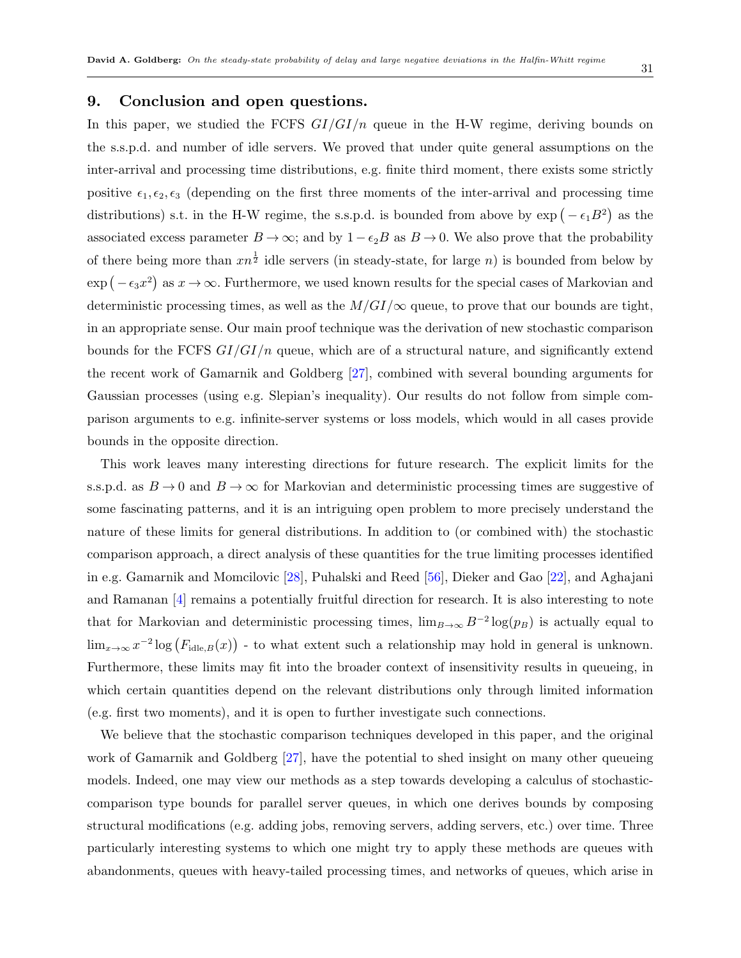# <span id="page-30-0"></span>**9. Conclusion and open questions.**

In this paper, we studied the FCFS *GI/GI/n* queue in the H-W regime, deriving bounds on the s.s.p.d. and number of idle servers. We proved that under quite general assumptions on the inter-arrival and processing time distributions, e.g. finite third moment, there exists some strictly positive  $\epsilon_1, \epsilon_2, \epsilon_3$  (depending on the first three moments of the inter-arrival and processing time distributions) s.t. in the H-W regime, the s.s.p.d. is bounded from above by  $\exp(-\epsilon_1 B^2)$  as the associated excess parameter  $B \to \infty$ ; and by  $1 - \epsilon_2 B$  as  $B \to 0$ . We also prove that the probability of there being more than  $xn^{\frac{1}{2}}$  idle servers (in steady-state, for large *n*) is bounded from below by  $\exp(-\epsilon_3 x^2)$  as  $x \to \infty$ . Furthermore, we used known results for the special cases of Markovian and deterministic processing times, as well as the  $M/GI/\infty$  queue, to prove that our bounds are tight, in an appropriate sense. Our main proof technique was the derivation of new stochastic comparison bounds for the FCFS  $GI/GI/n$  queue, which are of a structural nature, and significantly extend the recent work of Gamarnik and Goldberg [[27\]](#page-46-0), combined with several bounding arguments for Gaussian processes (using e.g. Slepian's inequality). Our results do not follow from simple comparison arguments to e.g. infinite-server systems or loss models, which would in all cases provide bounds in the opposite direction.

This work leaves many interesting directions for future research. The explicit limits for the s.s.p.d. as  $B \to 0$  and  $B \to \infty$  for Markovian and deterministic processing times are suggestive of some fascinating patterns, and it is an intriguing open problem to more precisely understand the nature of these limits for general distributions. In addition to (or combined with) the stochastic comparison approach, a direct analysis of these quantities for the true limiting processes identified in e.g. Gamarnik and Momcilovic [\[28](#page-46-2)], Puhalski and Reed [\[56](#page-48-5)], Dieker and Gao [[22\]](#page-46-10), and Aghajani and Ramanan [[4](#page-45-3)] remains a potentially fruitful direction for research. It is also interesting to note that for Markovian and deterministic processing times,  $\lim_{B\to\infty} B^{-2} \log(p_B)$  is actually equal to  $\lim_{x\to\infty} x^{-2} \log (F_{\text{idle},B}(x))$  - to what extent such a relationship may hold in general is unknown. Furthermore, these limits may fit into the broader context of insensitivity results in queueing, in which certain quantities depend on the relevant distributions only through limited information (e.g. first two moments), and it is open to further investigate such connections.

We believe that the stochastic comparison techniques developed in this paper, and the original work of Gamarnik and Goldberg [\[27](#page-46-0)], have the potential to shed insight on many other queueing models. Indeed, one may view our methods as a step towards developing a calculus of stochasticcomparison type bounds for parallel server queues, in which one derives bounds by composing structural modifications (e.g. adding jobs, removing servers, adding servers, etc.) over time. Three particularly interesting systems to which one might try to apply these methods are queues with abandonments, queues with heavy-tailed processing times, and networks of queues, which arise in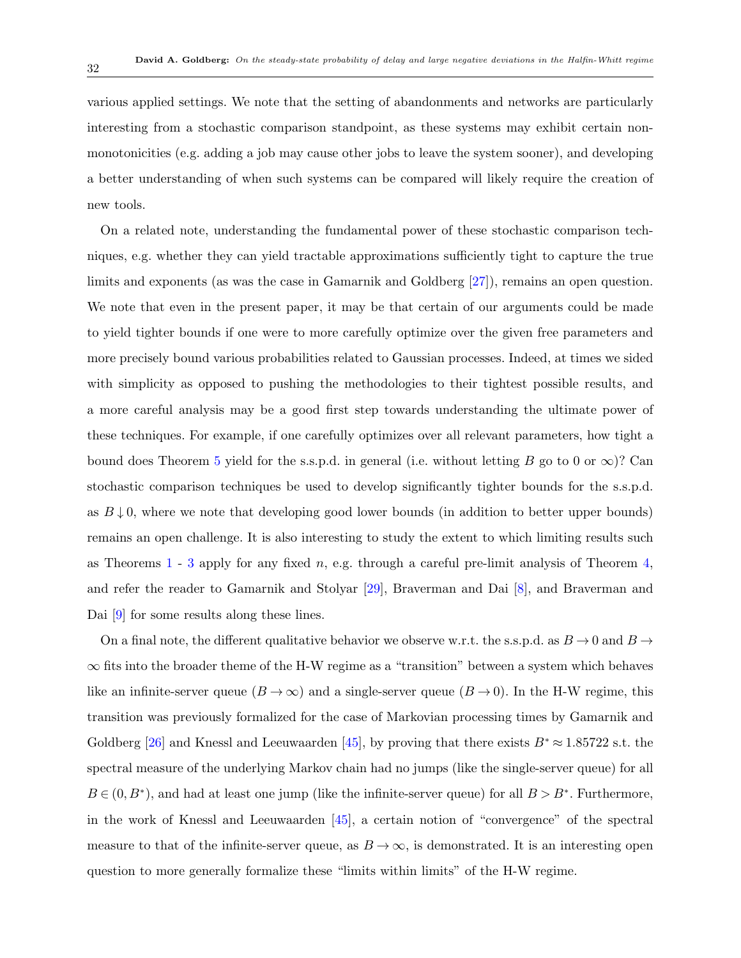various applied settings. We note that the setting of abandonments and networks are particularly interesting from a stochastic comparison standpoint, as these systems may exhibit certain nonmonotonicities (e.g. adding a job may cause other jobs to leave the system sooner), and developing a better understanding of when such systems can be compared will likely require the creation of new tools.

On a related note, understanding the fundamental power of these stochastic comparison techniques, e.g. whether they can yield tractable approximations sufficiently tight to capture the true limits and exponents (as was the case in Gamarnik and Goldberg [\[27](#page-46-0)]), remains an open question. We note that even in the present paper, it may be that certain of our arguments could be made to yield tighter bounds if one were to more carefully optimize over the given free parameters and more precisely bound various probabilities related to Gaussian processes. Indeed, at times we sided with simplicity as opposed to pushing the methodologies to their tightest possible results, and a more careful analysis may be a good first step towards understanding the ultimate power of these techniques. For example, if one carefully optimizes over all relevant parameters, how tight a bound does Theorem [5](#page-16-1) yield for the s.s.p.d. in general (i.e. without letting *B* go to 0 or  $\infty$ )? Can stochastic comparison techniques be used to develop significantly tighter bounds for the s.s.p.d. as  $B \downarrow 0$ , where we note that developing good lower bounds (in addition to better upper bounds) remains an open challenge. It is also interesting to study the extent to which limiting results such as Theorems [1](#page-6-0) - [3](#page-7-0) apply for any fixed *n*, e.g. through a careful pre-limit analysis of Theorem [4,](#page-9-0) and refer the reader to Gamarnik and Stolyar [\[29](#page-46-6)], Braverman and Dai [[8](#page-45-1)], and Braverman and Dai  $|9|$  $|9|$  $|9|$  for some results along these lines.

On a final note, the different qualitative behavior we observe w.r.t. the s.s.p.d. as  $B \to 0$  and  $B \to \phi$ *∞* fits into the broader theme of the H-W regime as a "transition" between a system which behaves like an infinite-server queue  $(B \to \infty)$  and a single-server queue  $(B \to 0)$ . In the H-W regime, this transition was previously formalized for the case of Markovian processing times by Gamarnik and Goldberg [[26\]](#page-46-14) and Knessl and Leeuwaarden [\[45](#page-47-13)], by proving that there exists  $B^* \approx 1.85722$  s.t. the spectral measure of the underlying Markov chain had no jumps (like the single-server queue) for all  $B \in (0, B^*)$ , and had at least one jump (like the infinite-server queue) for all  $B > B^*$ . Furthermore, in the work of Knessl and Leeuwaarden [[45\]](#page-47-13), a certain notion of "convergence" of the spectral measure to that of the infinite-server queue, as  $B \to \infty$ , is demonstrated. It is an interesting open question to more generally formalize these "limits within limits" of the H-W regime.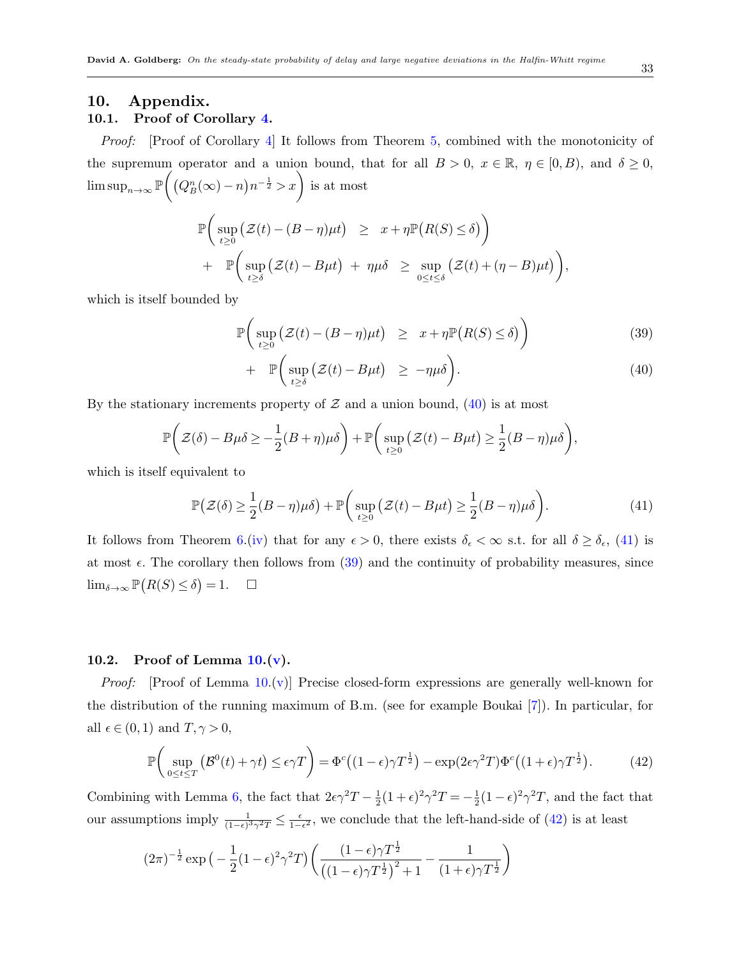# <span id="page-32-0"></span>**10. Appendix.**

# **10.1. Proof of Corollary [4](#page-18-1).**

*Proof:* [Proof of Corollary [4\]](#page-18-1) It follows from Theorem [5](#page-16-1), combined with the monotonicity of the supremum operator and a union bound, that for all  $B > 0$ ,  $x \in \mathbb{R}$ ,  $\eta \in [0, B)$ , and  $\delta \ge 0$ ,  $\limsup_{n\to\infty}$  P  $\left( \left( Q_B^n(\infty) - n \right) n^{-\frac{1}{2}} > x \right)$  is at most

$$
\mathbb{P}\left(\sup_{t\geq 0} \left(\mathcal{Z}(t) - (B-\eta)\mu t\right) \geq x + \eta \mathbb{P}\left(R(S) \leq \delta\right)\right) \n+ \mathbb{P}\left(\sup_{t\geq \delta} \left(\mathcal{Z}(t) - B\mu t\right) + \eta \mu \delta \geq \sup_{0\leq t\leq \delta} \left(\mathcal{Z}(t) + (\eta - B)\mu t\right)\right)
$$

which is itself bounded by

<span id="page-32-1"></span>
$$
\mathbb{P}\bigg(\sup_{t\geq 0} \big(\mathcal{Z}(t) - (B-\eta)\mu t\big) \geq x + \eta \mathbb{P}\big(R(S) \leq \delta\big)\bigg) \tag{39}
$$

$$
+\mathbb{P}\bigg(\sup_{t\geq\delta}\big(\mathcal{Z}(t)-B\mu t\big)\,\,\geq\,-\eta\mu\delta\bigg). \tag{40}
$$

By the stationary increments property of  $\mathcal Z$  and a union bound,  $(40)$  $(40)$  is at most

$$
\mathbb{P}\bigg(\mathcal{Z}(\delta) - B\mu\delta \geq -\frac{1}{2}(B+\eta)\mu\delta\bigg) + \mathbb{P}\bigg(\sup_{t\geq 0}(\mathcal{Z}(t) - B\mu t) \geq \frac{1}{2}(B-\eta)\mu\delta\bigg),
$$

which is itself equivalent to

<span id="page-32-2"></span>
$$
\mathbb{P}\big(\mathcal{Z}(\delta) \ge \frac{1}{2}(B-\eta)\mu\delta\big) + \mathbb{P}\bigg(\sup_{t \ge 0} \big(\mathcal{Z}(t) - B\mu t\big) \ge \frac{1}{2}(B-\eta)\mu\delta\bigg). \tag{41}
$$

It follows from Theorem [6](#page-17-0).([iv](#page-17-2)) that for any  $\epsilon > 0$ , there exists  $\delta_{\epsilon} < \infty$  s.t. for all  $\delta \geq \delta_{\epsilon}$ , ([41\)](#page-32-2) is at most  $\epsilon$ . The corollary then follows from  $(39)$  $(39)$  $(39)$  and the continuity of probability measures, since lim<sub>δ→∞</sub>  $\mathbb{P}(R(S) \le \delta) = 1.$  □

#### **10.2. Proof of Lemma [10.](#page-21-0)[\(v](#page-22-1)).**

*Proof:* [Proof of Lemma [10](#page-21-0).([v\)](#page-22-1)] Precise closed-form expressions are generally well-known for the distribution of the running maximum of B.m. (see for example Boukai [[7](#page-45-9)]). In particular, for all  $\epsilon \in (0,1)$  and  $T, \gamma > 0$ ,

<span id="page-32-3"></span>
$$
\mathbb{P}\left(\sup_{0\leq t\leq T}\left(\mathcal{B}^{0}(t)+\gamma t\right)\leq \epsilon\gamma T\right)=\Phi^{c}\left((1-\epsilon)\gamma T^{\frac{1}{2}}\right)-\exp(2\epsilon\gamma^{2}T)\Phi^{c}\left((1+\epsilon)\gamma T^{\frac{1}{2}}\right).
$$
(42)

Combining with Lemma [6](#page-19-1), the fact that  $2\epsilon \gamma^2 T - \frac{1}{2}$  $\frac{1}{2}(1+\epsilon)^2 \gamma^2 T = -\frac{1}{2}$  $\frac{1}{2}(1-\epsilon)^2 \gamma^2 T$ , and the fact that our assumptions imply  $\frac{1}{(1-\epsilon)^3 \gamma^2 T} \leq \frac{\epsilon}{1-\epsilon}$ 1*−ϵ* <sup>2</sup> , we conclude that the left-hand-side of ([42\)](#page-32-3) is at least

$$
(2\pi)^{-\frac{1}{2}}\exp\left(-\frac{1}{2}(1-\epsilon)^2\gamma^2T\right)\left(\frac{(1-\epsilon)\gamma T^{\frac{1}{2}}}{\left((1-\epsilon)\gamma T^{\frac{1}{2}}\right)^2+1}-\frac{1}{(1+\epsilon)\gamma T^{\frac{1}{2}}}\right)
$$

*,*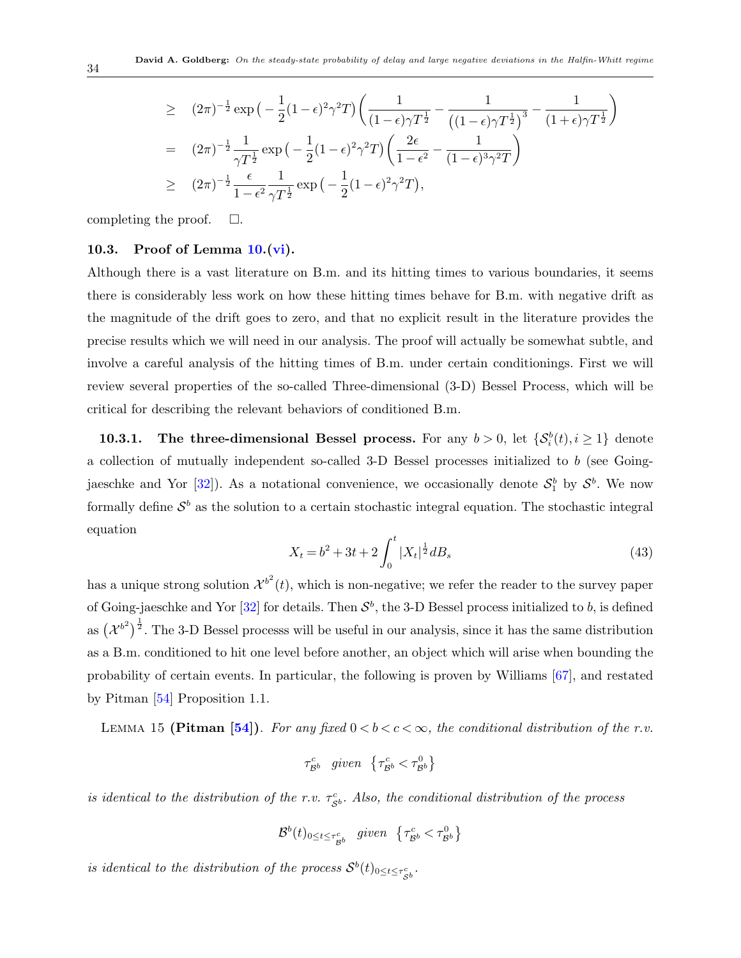$$
\geq (2\pi)^{-\frac{1}{2}} \exp\left(-\frac{1}{2}(1-\epsilon)^2 \gamma^2 T\right) \left(\frac{1}{(1-\epsilon)\gamma T^{\frac{1}{2}}} - \frac{1}{\left((1-\epsilon)\gamma T^{\frac{1}{2}}\right)^3} - \frac{1}{(1+\epsilon)\gamma T^{\frac{1}{2}}}\right)
$$
\n
$$
= (2\pi)^{-\frac{1}{2}} \frac{1}{\gamma T^{\frac{1}{2}}} \exp\left(-\frac{1}{2}(1-\epsilon)^2 \gamma^2 T\right) \left(\frac{2\epsilon}{1-\epsilon^2} - \frac{1}{(1-\epsilon)^3 \gamma^2 T}\right)
$$
\n
$$
\geq (2\pi)^{-\frac{1}{2}} \frac{\epsilon}{1-\epsilon^2} \frac{1}{\gamma T^{\frac{1}{2}}} \exp\left(-\frac{1}{2}(1-\epsilon)^2 \gamma^2 T\right),
$$

completing the proof.  $\Box$ .

## <span id="page-33-0"></span>**10.3. Proof of Lemma [10.](#page-21-0)[\(vi\)](#page-22-0).**

Although there is a vast literature on B.m. and its hitting times to various boundaries, it seems there is considerably less work on how these hitting times behave for B.m. with negative drift as the magnitude of the drift goes to zero, and that no explicit result in the literature provides the precise results which we will need in our analysis. The proof will actually be somewhat subtle, and involve a careful analysis of the hitting times of B.m. under certain conditionings. First we will review several properties of the so-called Three-dimensional (3-D) Bessel Process, which will be critical for describing the relevant behaviors of conditioned B.m.

**10.3.1.** The three-dimensional Bessel process. For any  $b > 0$ , let  $\{\mathcal{S}_i^b(t), i \geq 1\}$  denote a collection of mutually independent so-called 3-D Bessel processes initialized to *b* (see Goingjaeschke and Yor  $[32]$  $[32]$ ). As a notational convenience, we occasionally denote  $S_1^b$  by  $S^b$ . We now formally define  $S^b$  as the solution to a certain stochastic integral equation. The stochastic integral equation

$$
X_t = b^2 + 3t + 2 \int_0^t |X_t|^{\frac{1}{2}} dB_s \tag{43}
$$

has a unique strong solution  $\mathcal{X}^{b^2}(t)$ , which is non-negative; we refer the reader to the survey paper of Going-jaeschke and Yor  $[32]$  $[32]$  $[32]$  for details. Then  $S^b$ , the 3-D Bessel process initialized to *b*, is defined as  $({\chi^{b}}^2)^{\frac{1}{2}}$ . The 3-D Bessel processs will be useful in our analysis, since it has the same distribution as a B.m. conditioned to hit one level before another, an object which will arise when bounding the probability of certain events. In particular, the following is proven by Williams [[67](#page-48-16)], and restated by Pitman [\[54](#page-48-17)] Proposition 1.1.

LEMMA 15 **(Pitman [[54](#page-48-17)]**). For any fixed  $0 < b < c < \infty$ , the conditional distribution of the r.v.

<span id="page-33-1"></span>
$$
\tau^c_{\mathcal{B}^b} \quad given \quad \left\lbrace \tau^c_{\mathcal{B}^b} < \tau^0_{\mathcal{B}^b} \right\rbrace
$$

*is identical to the distribution of the r.v.*  $\tau_{S^b}^c$ . Also, the conditional distribution of the process

$$
\mathcal{B}^b(t)_{0 \le t \le \tau^c_{\mathcal{B}^b}} \quad given \quad \{\tau^c_{\mathcal{B}^b} < \tau^0_{\mathcal{B}^b}\}
$$

*is identical to the distribution of the process*  $S^b(t)_{0 \le t \le \tau_{S^b}^c}$ .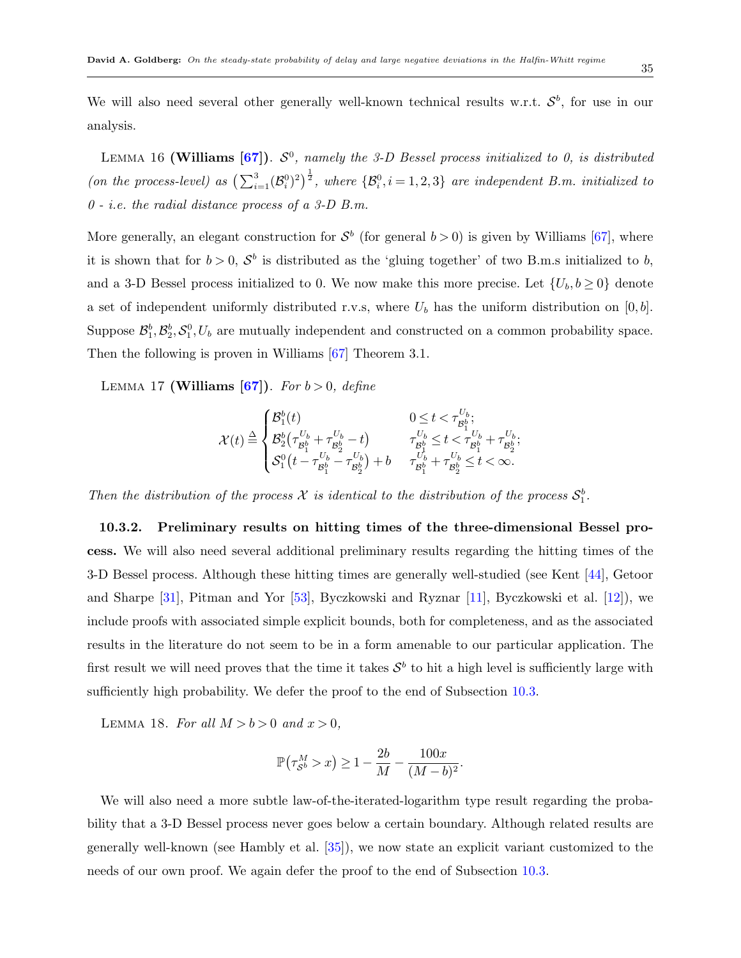<span id="page-34-3"></span>We will also need several other generally well-known technical results w.r.t.  $S^b$ , for use in our analysis.

LEMMA 16 (Williams  $[67]$  $[67]$  $[67]$ ).  $S^0$ , namely the 3-D Bessel process initialized to 0, is distributed *(on the process-level)* as  $\left(\sum_{i=1}^{3} (\mathcal{B}_{i}^{0})^{2}\right)^{\frac{1}{2}}$ , where  $\{\mathcal{B}_{i}^{0}, i = 1, 2, 3\}$  are independent B.m. initialized to *0 - i.e. the radial distance process of a 3-D B.m.*

More generally, an elegant construction for  $S^b$  (for general  $b > 0$ ) is given by Williams [\[67](#page-48-16)], where it is shown that for  $b > 0$ ,  $S^b$  is distributed as the 'gluing together' of two B.m.s initialized to *b*, and a 3-D Bessel process initialized to 0. We now make this more precise. Let  $\{U_b, b \ge 0\}$  denote a set of independent uniformly distributed r.v.s, where  $U_b$  has the uniform distribution on  $[0, b]$ . Suppose  $\mathcal{B}_1^b$ ,  $\mathcal{B}_2^b$ ,  $\mathcal{S}_1^0$ ,  $U_b$  are mutually independent and constructed on a common probability space. Then the following is proven in Williams [\[67](#page-48-16)] Theorem 3.1.

Lemma 17 **(Williams [[67](#page-48-16)])**. *For b >* 0*, define*

<span id="page-34-2"></span>
$$
\mathcal{X}(t)\stackrel{\Delta}{=} \begin{cases} \mathcal{B}_1^b(t)&0\leq t<\tau^{U_b}_{\mathcal{B}_1^b};\\ \mathcal{B}_2^b\big(\tau^{U_b}_{\mathcal{B}_1^b}+\tau^{U_b}_{\mathcal{B}_2^b}-t\big)&\tau^{U_b}_{\mathcal{B}_1^b}\leq t<\tau^{U_b}_{\mathcal{B}_1^b}+\tau^{U_b}_{\mathcal{B}_2^b};\\ \mathcal{S}_1^0\big(t-\tau^{U_b}_{\mathcal{B}_1^b}-\tau^{U_b}_{\mathcal{B}_2^b}\big)+b&\tau^{U_b}_{\mathcal{B}_1^b}+\tau^{U_b}_{\mathcal{B}_2^b}\leq t<\infty. \end{cases}
$$

*Then the distribution of the process*  $X$  *is identical to the distribution of the process*  $S_1^b$ .

**10.3.2. Preliminary results on hitting times of the three-dimensional Bessel process.** We will also need several additional preliminary results regarding the hitting times of the 3-D Bessel process. Although these hitting times are generally well-studied (see Kent [[44](#page-47-15)], Getoor and Sharpe [[31\]](#page-47-16), Pitman and Yor [[53\]](#page-48-18), Byczkowski and Ryznar [[11](#page-45-10)], Byczkowski et al. [[12\]](#page-46-15)), we include proofs with associated simple explicit bounds, both for completeness, and as the associated results in the literature do not seem to be in a form amenable to our particular application. The first result we will need proves that the time it takes  $S^b$  to hit a high level is sufficiently large with sufficiently high probability. We defer the proof to the end of Subsection [10.3.](#page-33-0)

LEMMA 18. For all  $M > b > 0$  and  $x > 0$ ,

$$
\mathbb{P}\left(\tau_{\mathcal{S}^b}^M > x\right) \ge 1 - \frac{2b}{M} - \frac{100x}{(M-b)^2}
$$

<span id="page-34-1"></span><span id="page-34-0"></span>*.*

We will also need a more subtle law-of-the-iterated-logarithm type result regarding the probability that a 3-D Bessel process never goes below a certain boundary. Although related results are generally well-known (see Hambly et al. [[35\]](#page-47-17)), we now state an explicit variant customized to the needs of our own proof. We again defer the proof to the end of Subsection [10.3.](#page-33-0)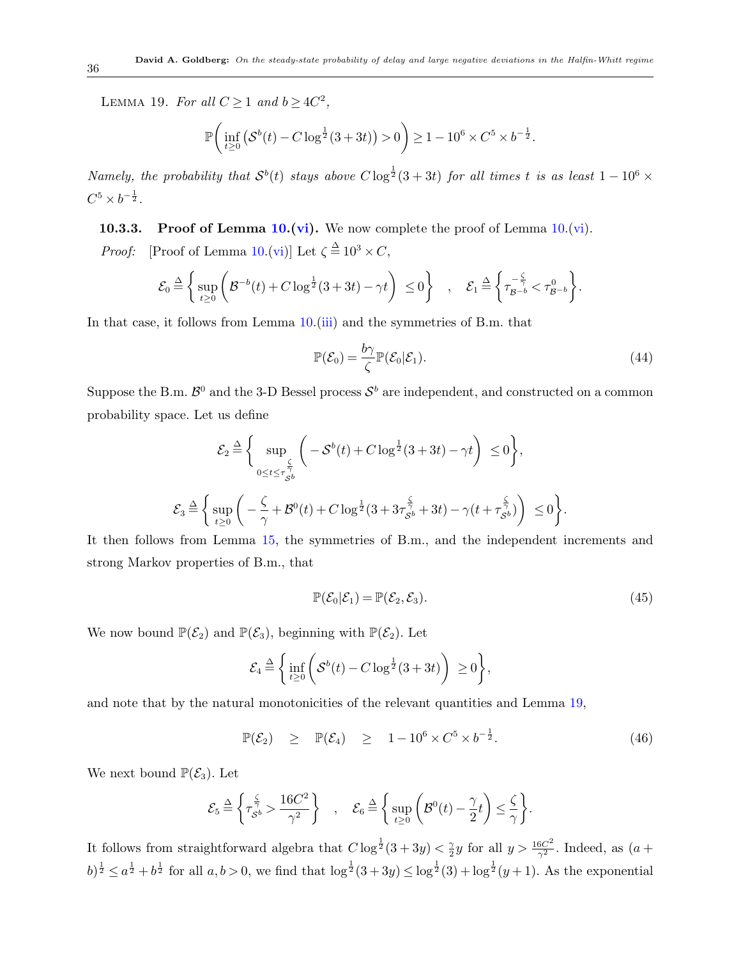LEMMA 19. *For all*  $C \geq 1$  *and*  $b \geq 4C^2$ ,

$$
\mathbb{P}\bigg(\inf_{t\geq 0} \big( \mathcal{S}^b(t) - C \log^{\frac{1}{2}}(3+3t) \big) > 0 \bigg) \geq 1 - 10^6 \times C^5 \times b^{-\frac{1}{2}}.
$$

*Namely, the probability that*  $S^b(t)$  *stays above*  $C \log^{\frac{1}{2}}(3+3t)$  *for all times t is as least*  $1-10^6 \times$  $C^5 \times b^{-\frac{1}{2}}$ .

**10.3.3. Proof of Lemma [10.](#page-21-0)[\(vi](#page-22-0)).** We now complete the proof of Lemma [10.](#page-21-0)[\(vi\)](#page-22-0). *Proof:* [Proof of Lemma [10.](#page-21-0)([vi\)](#page-22-0)] Let  $\zeta \stackrel{\Delta}{=} 10^3 \times C$ ,

$$
\mathcal{E}_0 \stackrel{\Delta}{=} \left\{ \sup_{t \geq 0} \left( \mathcal{B}^{-b}(t) + C \log^{\frac{1}{2}}(3+3t) - \gamma t \right) \leq 0 \right\} , \quad \mathcal{E}_1 \stackrel{\Delta}{=} \left\{ \tau_{\mathcal{B}^{-b}}^{-\frac{\zeta}{\gamma}} < \tau_{\mathcal{B}^{-b}}^{0} \right\}.
$$

In that case, it follows from Lemma [10.](#page-21-0)([iii](#page-22-4)) and the symmetries of B.m. that

<span id="page-35-2"></span>
$$
\mathbb{P}(\mathcal{E}_0) = \frac{b\gamma}{\zeta} \mathbb{P}(\mathcal{E}_0|\mathcal{E}_1).
$$
\n(44)

Suppose the B.m.  $\mathcal{B}^0$  and the 3-D Bessel process  $\mathcal{S}^b$  are independent, and constructed on a common probability space. Let us define

$$
\mathcal{E}_2 \stackrel{\Delta}{=} \Bigg\{ \sup_{0 \le t \le \tau_{S^b}^{\frac{\zeta}{\gamma}}} \bigg( -\mathcal{S}^b(t) + C \log^{\frac{1}{2}}(3+3t) - \gamma t \bigg) \le 0 \Bigg\},
$$
  

$$
\mathcal{E}_3 \stackrel{\Delta}{=} \bigg\{ \sup_{t \ge 0} \bigg( -\frac{\zeta}{\gamma} + \mathcal{B}^0(t) + C \log^{\frac{1}{2}}(3+3\tau_{S^b}^{\frac{\zeta}{\gamma}} + 3t) - \gamma(t + \tau_{S^b}^{\frac{\zeta}{\gamma}}) \bigg) \le 0 \Bigg\}.
$$

It then follows from Lemma [15](#page-33-1), the symmetries of B.m., and the independent increments and strong Markov properties of B.m., that

<span id="page-35-1"></span>
$$
\mathbb{P}(\mathcal{E}_0|\mathcal{E}_1) = \mathbb{P}(\mathcal{E}_2, \mathcal{E}_3). \tag{45}
$$

We now bound  $\mathbb{P}(\mathcal{E}_2)$  and  $\mathbb{P}(\mathcal{E}_3)$ , beginning with  $\mathbb{P}(\mathcal{E}_2)$ . Let

$$
\mathcal{E}_4 \stackrel{\Delta}{=} \Bigg\{ \inf_{t \geq 0} \bigg( \mathcal{S}^b(t) - C \log^{\frac{1}{2}}(3+3t) \bigg) \geq 0 \Bigg\},
$$

and note that by the natural monotonicities of the relevant quantities and Lemma [19,](#page-34-0)

<span id="page-35-0"></span>
$$
\mathbb{P}(\mathcal{E}_2) \quad \geq \quad \mathbb{P}(\mathcal{E}_4) \quad \geq \quad 1 - 10^6 \times C^5 \times b^{-\frac{1}{2}}.\tag{46}
$$

We next bound  $\mathbb{P}(\mathcal{E}_3)$ . Let

$$
\mathcal{E}_5 \stackrel{\Delta}{=} \left\{ \tau_{\mathcal{S}^b}^{\frac{\zeta}{\gamma}} > \frac{16C^2}{\gamma^2} \right\} , \quad \mathcal{E}_6 \stackrel{\Delta}{=} \left\{ \sup_{t \geq 0} \left( \mathcal{B}^0(t) - \frac{\gamma}{2} t \right) \leq \frac{\zeta}{\gamma} \right\}.
$$

It follows from straightforward algebra that  $C \log^{\frac{1}{2}}(3+3y) < \frac{2}{9}$  $\frac{\gamma}{2}y$  for all  $y > \frac{16C^2}{\gamma^2}$ . Indeed, as  $(a +$  $(b)^{\frac{1}{2}} \leq a^{\frac{1}{2}} + b^{\frac{1}{2}}$  for all  $a, b > 0$ , we find that  $\log^{1/2}(3+3y) \leq \log^{1/2}(3) + \log^{1/2}(y+1)$ . As the exponential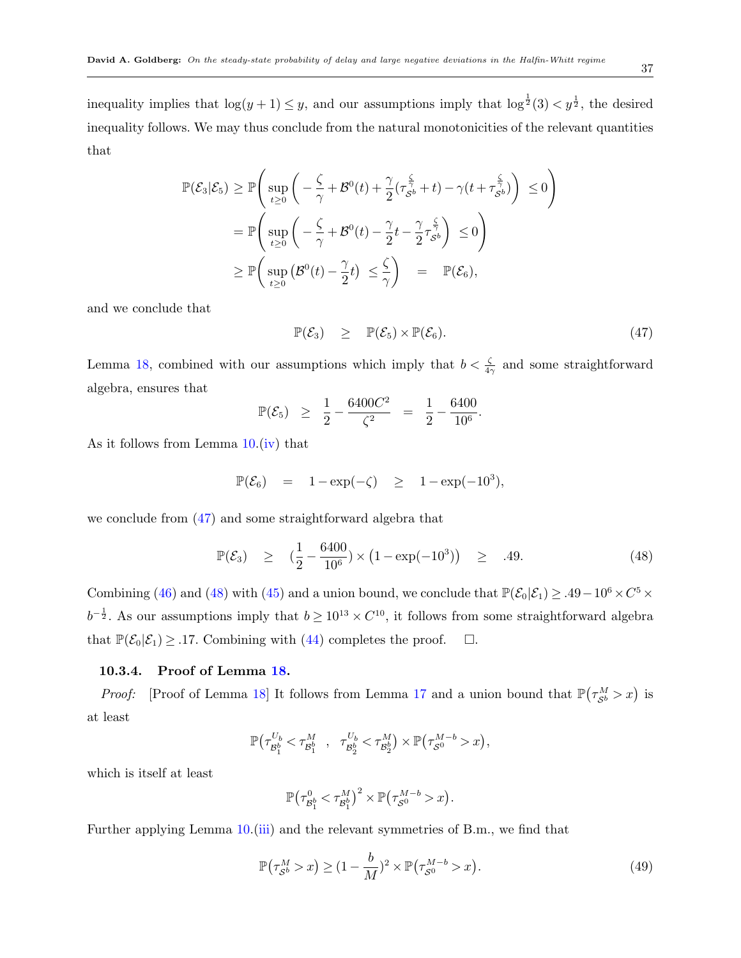$$
\mathbb{P}(\mathcal{E}_3|\mathcal{E}_5) \ge \mathbb{P}\Bigg(\sup_{t\ge 0} \bigg(-\frac{\zeta}{\gamma} + \mathcal{B}^0(t) + \frac{\gamma}{2}(\tau_{\mathcal{S}^b}^{\frac{\zeta}{\gamma}} + t) - \gamma(t + \tau_{\mathcal{S}^b}^{\frac{\zeta}{\gamma}})\Bigg) \le 0\Bigg)
$$
  
=  $\mathbb{P}\Bigg(\sup_{t\ge 0} \bigg(-\frac{\zeta}{\gamma} + \mathcal{B}^0(t) - \frac{\gamma}{2}t - \frac{\gamma}{2}\tau_{\mathcal{S}^b}^{\frac{\zeta}{\gamma}}\Big) \le 0\Bigg)$   
 $\ge \mathbb{P}\Bigg(\sup_{t\ge 0} \big(\mathcal{B}^0(t) - \frac{\gamma}{2}t\big) \le \frac{\zeta}{\gamma}\Bigg) = \mathbb{P}(\mathcal{E}_6),$ 

and we conclude that

<span id="page-36-0"></span>
$$
\mathbb{P}(\mathcal{E}_3) \quad \geq \quad \mathbb{P}(\mathcal{E}_5) \times \mathbb{P}(\mathcal{E}_6). \tag{47}
$$

Lemma [18](#page-34-1), combined with our assumptions which imply that  $b < \frac{\zeta}{4\gamma}$  and some straightforward algebra, ensures that

$$
\mathbb{P}(\mathcal{E}_5) \quad \geq \quad \frac{1}{2} - \frac{6400C^2}{\zeta^2} \quad = \quad \frac{1}{2} - \frac{6400}{10^6}.
$$

As it follows from Lemma [10](#page-21-0).[\(iv](#page-22-5)) that

$$
\mathbb{P}(\mathcal{E}_6) = 1 - \exp(-\zeta) \ge 1 - \exp(-10^3),
$$

we conclude from [\(47](#page-36-0)) and some straightforward algebra that

<span id="page-36-1"></span>
$$
\mathbb{P}(\mathcal{E}_3) \quad \geq \quad \left(\frac{1}{2} - \frac{6400}{10^6}\right) \times \left(1 - \exp(-10^3)\right) \quad \geq \quad .49. \tag{48}
$$

Combining [\(46](#page-35-0)) and ([48\)](#page-36-1) with [\(45](#page-35-1)) and a union bound, we conclude that  $\mathbb{P}(\mathcal{E}_0|\mathcal{E}_1) \geq .49 - 10^6 \times C^5 \times$  $b^{-\frac{1}{2}}$ . As our assumptions imply that  $b \geq 10^{13} \times C^{10}$ , it follows from some straightforward algebra that  $\mathbb{P}(\mathcal{E}_0|\mathcal{E}_1) \geq .17$ . Combining with ([44\)](#page-35-2) completes the proof.  $\Box$ .

#### **10.3.4. Proof of Lemma [18.](#page-34-1)**

*Proof:* [Proof of Lemma [18\]](#page-34-1) It follows from Lemma [17](#page-34-2) and a union bound that  $\mathbb{P}(\tau_{S^b}^M > x)$  is at least

$$
\mathbb{P}\big(\tau_{\mathcal{B}^b_1}^{U_b}<\tau_{\mathcal{B}^b_1}^{M}\quad,\quad \tau_{\mathcal{B}^b_2}^{U_b}<\tau_{\mathcal{B}^b_2}^{M}\big)\times\mathbb{P}\big(\tau_{\mathcal{S}^0}^{M-b}>x\big),
$$

which is itself at least

$$
\mathbb{P}\left(\tau_{\mathcal{B}_{1}^{b}}^{0}<\tau_{\mathcal{B}_{1}^{b}}^{M}\right)^{2}\times \mathbb{P}\left(\tau_{\mathcal{S}^{0}}^{M-b}>x\right).
$$

Further applying Lemma [10.](#page-21-0)([iii](#page-22-4)) and the relevant symmetries of B.m., we find that

$$
\mathbb{P}\left(\tau_{\mathcal{S}^b}^M > x\right) \ge (1 - \frac{b}{M})^2 \times \mathbb{P}\left(\tau_{\mathcal{S}^0}^{M-b} > x\right). \tag{49}
$$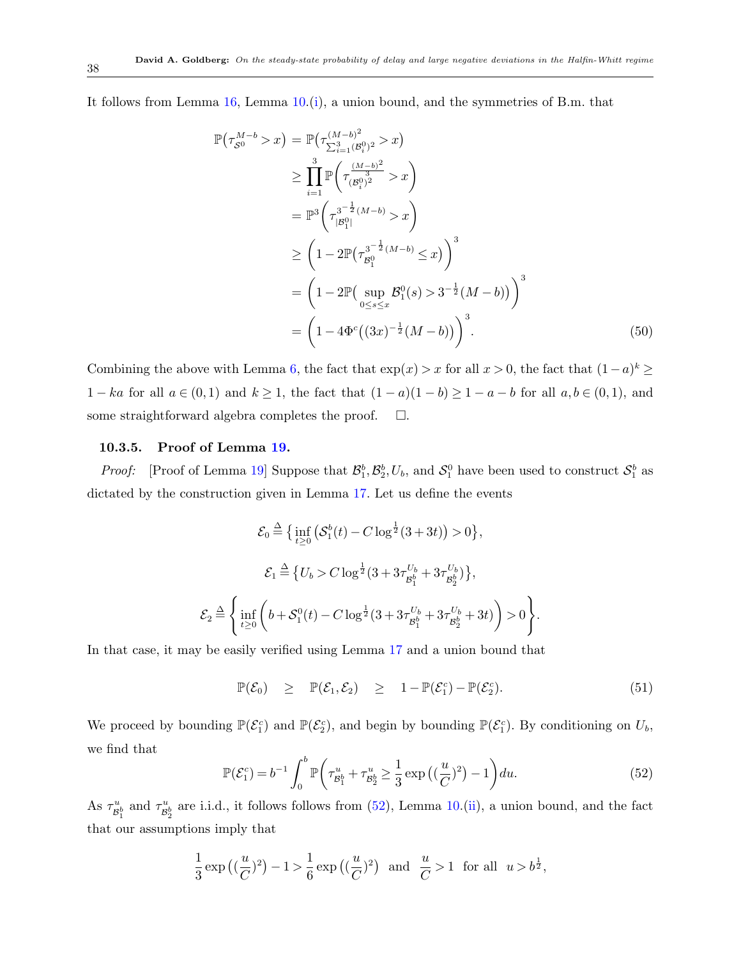It follows from Lemma [16,](#page-34-3) Lemma [10.](#page-21-0)([i\)](#page-22-6), a union bound, and the symmetries of B.m. that

$$
\mathbb{P}(\tau_{S^0}^{M-b} > x) = \mathbb{P}(\tau_{\sum_{i=1}^3 (B_i^0)^2}^{(M-b)^2} > x)
$$
\n
$$
\geq \prod_{i=1}^3 \mathbb{P}\left(\tau_{(B_i^0)^2}^{(\frac{M-b)^2}{3}} > x\right)
$$
\n
$$
= \mathbb{P}^3\left(\tau_{|B_1^0|}^{3^{-\frac{1}{2}}(M-b)} > x\right)
$$
\n
$$
\geq \left(1 - 2\mathbb{P}(\tau_{B_1^0}^{3^{-\frac{1}{2}}(M-b)} \leq x)\right)^3
$$
\n
$$
= \left(1 - 2\mathbb{P}(\sup_{0 \leq s \leq x} B_1^0(s) > 3^{-\frac{1}{2}}(M-b))\right)^3
$$
\n
$$
= \left(1 - 4\Phi^c\left((3x)^{-\frac{1}{2}}(M-b)\right)\right)^3. \tag{50}
$$

Combining the above with Lemma [6](#page-19-1), the fact that  $\exp(x) > x$  for all  $x > 0$ , the fact that  $(1 - a)^k \ge$  $1 - ka$  for all  $a \in (0,1)$  and  $k \ge 1$ , the fact that  $(1-a)(1-b) \ge 1-a-b$  for all  $a,b \in (0,1)$ , and some straightforward algebra completes the proof.  $\Box$ .

#### **10.3.5. Proof of Lemma [19.](#page-34-0)**

*Proof:* [Proof of Lemma [19](#page-34-0)] Suppose that  $\mathcal{B}_1^b$ ,  $\mathcal{B}_2^b$ ,  $U_b$ , and  $\mathcal{S}_1^0$  have been used to construct  $\mathcal{S}_1^b$  as dictated by the construction given in Lemma [17.](#page-34-2) Let us define the events

$$
\mathcal{E}_0 \stackrel{\Delta}{=} \Big\{ \inf_{t \ge 0} \left( \mathcal{S}_1^b(t) - C \log^{\frac{1}{2}}(3+3t) \right) > 0 \Big\},
$$
  

$$
\mathcal{E}_1 \stackrel{\Delta}{=} \Big\{ U_b > C \log^{\frac{1}{2}}(3 + 3\tau_{\mathcal{B}_1^b}^{U_b} + 3\tau_{\mathcal{B}_2^b}^{U_b}) \Big\},
$$
  

$$
\mathcal{E}_2 \stackrel{\Delta}{=} \Big\{ \inf_{t \ge 0} \left( b + \mathcal{S}_1^0(t) - C \log^{\frac{1}{2}}(3 + 3\tau_{\mathcal{B}_1^b}^{U_b} + 3\tau_{\mathcal{B}_2^b}^{U_b} + 3t) \right) > 0 \Big\}.
$$

In that case, it may be easily verified using Lemma [17](#page-34-2) and a union bound that

<span id="page-37-1"></span>
$$
\mathbb{P}(\mathcal{E}_0) \geq \mathbb{P}(\mathcal{E}_1, \mathcal{E}_2) \geq 1 - \mathbb{P}(\mathcal{E}_1^c) - \mathbb{P}(\mathcal{E}_2^c). \tag{51}
$$

We proceed by bounding  $\mathbb{P}(\mathcal{E}_1^c)$  and  $\mathbb{P}(\mathcal{E}_2^c)$ , and begin by bounding  $\mathbb{P}(\mathcal{E}_1^c)$ . By conditioning on  $U_b$ , we find that

<span id="page-37-0"></span>
$$
\mathbb{P}(\mathcal{E}_1^c) = b^{-1} \int_0^b \mathbb{P}\left(\tau_{\mathcal{B}_1^b}^u + \tau_{\mathcal{B}_2^b}^u \ge \frac{1}{3} \exp\left((\frac{u}{C})^2\right) - 1\right) du. \tag{52}
$$

As  $\tau_{\mathcal{B}_2^b}^u$  and  $\tau_{\mathcal{B}_2^b}^u$  are i.i.d., it follows follows from ([52](#page-37-0)), Lemma [10.](#page-21-0)[\(ii](#page-22-7)), a union bound, and the fact that our assumptions imply that

$$
\frac{1}{3}\exp\left((\frac{u}{C})^2\right) - 1 > \frac{1}{6}\exp\left((\frac{u}{C})^2\right) \text{ and } \frac{u}{C} > 1 \text{ for all } u > b^{\frac{1}{2}},
$$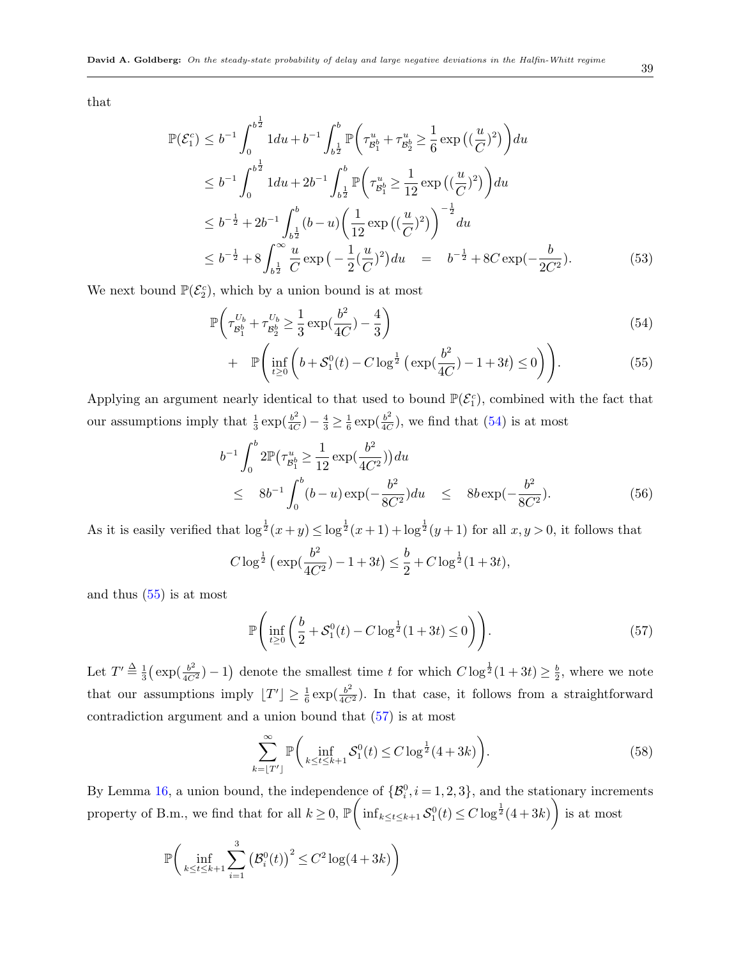that

<span id="page-38-2"></span>
$$
\mathbb{P}(\mathcal{E}_1^c) \le b^{-1} \int_0^{b^{\frac{1}{2}}} 1 du + b^{-1} \int_{b^{\frac{1}{2}}}^{b} \mathbb{P}\left(\tau_{\mathcal{B}_1^b}^u + \tau_{\mathcal{B}_2^b}^u \ge \frac{1}{6} \exp\left((\frac{u}{C})^2\right)\right) du
$$
  
\n
$$
\le b^{-1} \int_0^{b^{\frac{1}{2}}} 1 du + 2b^{-1} \int_{b^{\frac{1}{2}}}^{b} \mathbb{P}\left(\tau_{\mathcal{B}_1^b}^u \ge \frac{1}{12} \exp\left((\frac{u}{C})^2\right)\right) du
$$
  
\n
$$
\le b^{-\frac{1}{2}} + 2b^{-1} \int_{b^{\frac{1}{2}}}^{b} (b - u) \left(\frac{1}{12} \exp\left((\frac{u}{C})^2\right)\right)^{-\frac{1}{2}} du
$$
  
\n
$$
\le b^{-\frac{1}{2}} + 8 \int_{b^{\frac{1}{2}}}^{\infty} \frac{u}{C} \exp\left(-\frac{1}{2}(\frac{u}{C})^2\right) du = b^{-\frac{1}{2}} + 8C \exp(-\frac{b}{2C^2}).
$$
\n(53)

We next bound  $\mathbb{P}(\mathcal{E}_2^c)$ , which by a union bound is at most

<span id="page-38-0"></span>
$$
\mathbb{P}\left(\tau_{\mathcal{B}_1^b}^{U_b} + \tau_{\mathcal{B}_2^b}^{U_b} \ge \frac{1}{3} \exp(\frac{b^2}{4C}) - \frac{4}{3}\right) \tag{54}
$$

+ 
$$
\mathbb{P}\left(\inf_{t\geq 0} \left(b + \mathcal{S}_1^0(t) - C \log^{\frac{1}{2}}\left(\exp(\frac{b^2}{4C}) - 1 + 3t\right) \leq 0\right)\right).
$$
 (55)

Applying an argument nearly identical to that used to bound  $\mathbb{P}(\mathcal{E}_1^c)$ , combined with the fact that our assumptions imply that  $\frac{1}{3} \exp(\frac{b^2}{4C})$  $\frac{b^2}{4C}$ ) –  $\frac{4}{3} \geq \frac{1}{6}$  $rac{1}{6}$  exp $(\frac{b^2}{4C})$  $\frac{b^2}{4C}$ , we find that ([54\)](#page-38-0) is at most

<span id="page-38-3"></span>
$$
b^{-1} \int_0^b 2\mathbb{P}\left(\tau_{\mathcal{B}_1^b}^u \ge \frac{1}{12} \exp\left(\frac{b^2}{4C^2}\right)\right) du
$$
  
 
$$
\le 8b^{-1} \int_0^b (b-u) \exp\left(-\frac{b^2}{8C^2}\right) du \le 8b \exp\left(-\frac{b^2}{8C^2}\right).
$$
 (56)

As it is easily verified that  $\log^{\frac{1}{2}}(x+y) \leq \log^{\frac{1}{2}}(x+1) + \log^{\frac{1}{2}}(y+1)$  for all  $x, y > 0$ , it follows that

$$
C \log^{\frac{1}{2}} \left( \exp(\frac{b^2}{4C^2}) - 1 + 3t \right) \le \frac{b}{2} + C \log^{\frac{1}{2}} (1 + 3t),
$$

and thus ([55\)](#page-38-0) is at most

<span id="page-38-1"></span>
$$
\mathbb{P}\Bigg(\inf_{t\geq 0} \bigg(\frac{b}{2} + \mathcal{S}_1^0(t) - C\log^{\frac{1}{2}}(1+3t) \leq 0\bigg)\Bigg). \tag{57}
$$

Let  $T' \stackrel{\Delta}{=} \frac{1}{3}$  $\frac{1}{3}(\exp(\frac{b^2}{4C^2})-1)$  denote the smallest time *t* for which  $C\log^{\frac{1}{2}}(1+3t) \geq \frac{b}{2}$  $\frac{b}{2}$ , where we note that our assumptions imply  $[T'] \geq \frac{1}{6} \exp(\frac{b^2}{4C^2})$ . In that case, it follows from a straightforward contradiction argument and a union bound that [\(57](#page-38-1)) is at most

$$
\sum_{k=\lfloor T'\rfloor}^{\infty} \mathbb{P}\bigg(\inf_{k\le t\le k+1} \mathcal{S}_1^0(t) \le C \log^{\frac{1}{2}}(4+3k)\bigg). \tag{58}
$$

By Lemma [16](#page-34-3), a union bound, the independence of  $\{\mathcal{B}_i^0, i = 1, 2, 3\}$ , and the stationary increments property of B.m., we find that for all  $k \geq 0$ ,  $\mathbb{P}$  $\sqrt{2}$  $\inf_{k \le t \le k+1} S_1^0(t) \le C \log^{\frac{1}{2}}(4+3k)$  $\setminus$ is at most

$$
\mathbb{P}\bigg(\inf_{k \le t \le k+1} \sum_{i=1}^{3} (\mathcal{B}_i^0(t))^2 \le C^2 \log(4+3k)\bigg)
$$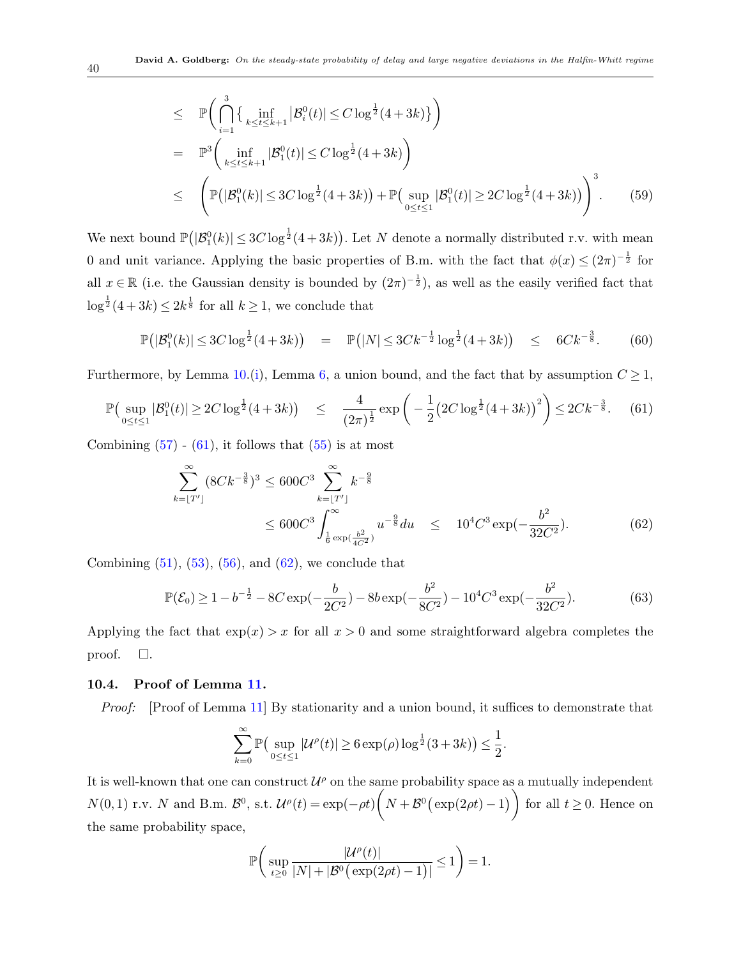$$
\leq \mathbb{P}\Big(\bigcap_{i=1}^{3}\left\{\inf_{k\leq t\leq k+1}|\mathcal{B}_{i}^{0}(t)|\leq C\log^{\frac{1}{2}}(4+3k)\right\}\Big) \n= \mathbb{P}^{3}\Big(\inf_{k\leq t\leq k+1}|\mathcal{B}_{1}^{0}(t)|\leq C\log^{\frac{1}{2}}(4+3k)\Big) \n\leq \left(\mathbb{P}\big(|\mathcal{B}_{1}^{0}(k)|\leq 3C\log^{\frac{1}{2}}(4+3k)\big)+\mathbb{P}\big(\sup_{0\leq t\leq 1}|\mathcal{B}_{1}^{0}(t)|\geq 2C\log^{\frac{1}{2}}(4+3k)\big)\right)^{3}.
$$
\n(59)

We next bound  $\mathbb{P}(|\mathcal{B}_1^0(k)| \leq 3C \log^{\frac{1}{2}}(4+3k)$ . Let *N* denote a normally distributed r.v. with mean 0 and unit variance. Applying the basic properties of B.m. with the fact that  $\phi(x) \leq (2\pi)^{-\frac{1}{2}}$  for all  $x \in \mathbb{R}$  (i.e. the Gaussian density is bounded by  $(2\pi)^{-\frac{1}{2}}$ ), as well as the easily verified fact that  $\log^{\frac{1}{2}}(4+3k) \leq 2k^{\frac{1}{8}}$  for all  $k \geq 1$ , we conclude that

$$
\mathbb{P}\big(|\mathcal{B}_1^0(k)| \le 3C\log^{\frac{1}{2}}(4+3k)\big) = \mathbb{P}\big(|N| \le 3Ck^{-\frac{1}{2}}\log^{\frac{1}{2}}(4+3k)\big) \le 6Ck^{-\frac{3}{8}}.\tag{60}
$$

Furthermore, by Lemma [10.](#page-21-0)([i\)](#page-22-6), Lemma [6](#page-19-1), a union bound, and the fact that by assumption  $C \geq 1$ ,

<span id="page-39-0"></span>
$$
\mathbb{P}\left(\sup_{0\leq t\leq 1}|\mathcal{B}_1^0(t)|\geq 2C\log^{\frac{1}{2}}(4+3k)\right) \leq \frac{4}{(2\pi)^{\frac{1}{2}}}\exp\left(-\frac{1}{2}\left(2C\log^{\frac{1}{2}}(4+3k)\right)^2\right)\leq 2Ck^{-\frac{3}{8}}.\tag{61}
$$

Combining  $(57)$  $(57)$  -  $(61)$  $(61)$ , it follows that  $(55)$  $(55)$  is at most

<span id="page-39-1"></span>
$$
\sum_{k=\lfloor T'\rfloor}^{\infty} (8Ck^{-\frac{3}{8}})^3 \le 600C^3 \sum_{k=\lfloor T'\rfloor}^{\infty} k^{-\frac{9}{8}} \le 600C^3 \int_{\frac{1}{6} \exp(\frac{b^2}{4C^2})}^{\infty} u^{-\frac{9}{8}} du \le 10^4 C^3 \exp(-\frac{b^2}{32C^2}).
$$
\n(62)

Combining  $(51)$  $(51)$ ,  $(53)$  $(53)$ ,  $(56)$  $(56)$ , and  $(62)$  $(62)$ , we conclude that

$$
\mathbb{P}(\mathcal{E}_0) \ge 1 - b^{-\frac{1}{2}} - 8C \exp(-\frac{b}{2C^2}) - 8b \exp(-\frac{b^2}{8C^2}) - 10^4 C^3 \exp(-\frac{b^2}{32C^2}).\tag{63}
$$

Applying the fact that  $\exp(x) > x$  for all  $x > 0$  and some straightforward algebra completes the proof.  $\square$ .

#### **10.4. Proof of Lemma [11.](#page-22-3)**

*Proof:* [Proof of Lemma [11\]](#page-22-3) By stationarity and a union bound, it suffices to demonstrate that

$$
\sum_{k=0}^{\infty} \mathbb{P}\big(\sup_{0\leq t\leq 1} |\mathcal{U}^{\rho}(t)| \geq 6\exp(\rho)\log^{\frac{1}{2}}(3+3k)\big) \leq \frac{1}{2}.
$$

It is well-known that one can construct  $\mathcal{U}^{\rho}$  on the same probability space as a mutually independent  $N(0,1)$  r.v. *N* and B.m.  $\mathcal{B}^0$ , s.t.  $\mathcal{U}^{\rho}(t) = \exp(-\rho t)$  $\sqrt{2}$  $N + B^0(\exp(2\rho t) - 1)$ for all  $t \geq 0$ . Hence on the same probability space,

$$
\mathbb{P}\bigg(\sup_{t\geq 0}\frac{|\mathcal{U}^{\rho}(t)|}{|N|+|\mathcal{B}^0\big(\exp(2\rho t)-1\big)|}\leq 1\bigg)=1.
$$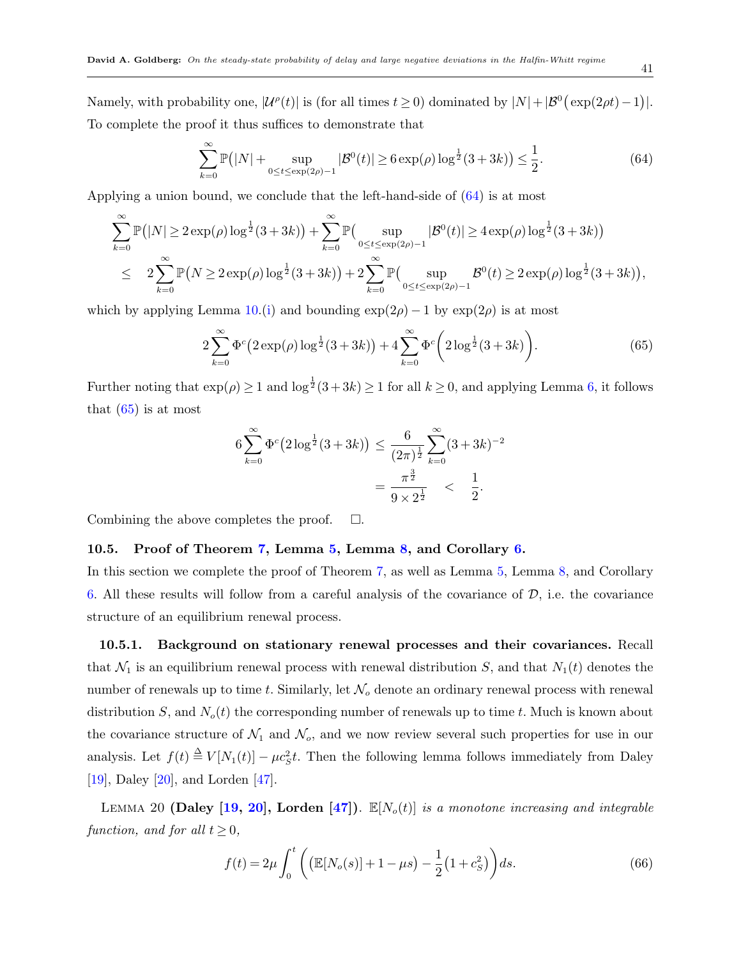Namely, with probability one,  $|\mathcal{U}^{\rho}(t)|$  is (for all times  $t \geq 0$ ) dominated by  $|N| + |\mathcal{B}^0(\exp(2\rho t) - 1)|$ . To complete the proof it thus suffices to demonstrate that

<span id="page-40-0"></span>
$$
\sum_{k=0}^{\infty} \mathbb{P}(|N| + \sup_{0 \le t \le \exp(2\rho) - 1} |\mathcal{B}^{0}(t)| \ge 6 \exp(\rho) \log^{\frac{1}{2}}(3+3k) \le \frac{1}{2}.
$$
 (64)

Applying a union bound, we conclude that the left-hand-side of ([64\)](#page-40-0) is at most

$$
\sum_{k=0}^{\infty} \mathbb{P}(|N| \ge 2 \exp(\rho) \log^{\frac{1}{2}}(3+3k) + \sum_{k=0}^{\infty} \mathbb{P}(\sup_{0 \le t \le \exp(2\rho)-1} |\mathcal{B}^{0}(t)| \ge 4 \exp(\rho) \log^{\frac{1}{2}}(3+3k))
$$
  

$$
\le 2 \sum_{k=0}^{\infty} \mathbb{P}(N \ge 2 \exp(\rho) \log^{\frac{1}{2}}(3+3k) + 2 \sum_{k=0}^{\infty} \mathbb{P}(\sup_{0 \le t \le \exp(2\rho)-1} \mathcal{B}^{0}(t) \ge 2 \exp(\rho) \log^{\frac{1}{2}}(3+3k)),
$$

which by applying Lemma [10](#page-21-0).([i\)](#page-22-6) and bounding  $\exp(2\rho) - 1$  by  $\exp(2\rho)$  is at most

<span id="page-40-1"></span>
$$
2\sum_{k=0}^{\infty} \Phi^c \big(2\exp(\rho) \log^{\frac{1}{2}}(3+3k)\big) + 4\sum_{k=0}^{\infty} \Phi^c \bigg(2\log^{\frac{1}{2}}(3+3k)\bigg). \tag{65}
$$

Further noting that  $\exp(\rho) \ge 1$  and  $\log^{\frac{1}{2}}(3+3k) \ge 1$  for all  $k \ge 0$ , and applying Lemma [6,](#page-19-1) it follows that  $(65)$  $(65)$  is at most

$$
6\sum_{k=0}^{\infty} \Phi^{c} (2\log^{\frac{1}{2}}(3+3k)) \leq \frac{6}{(2\pi)^{\frac{1}{2}}} \sum_{k=0}^{\infty} (3+3k)^{-2}
$$

$$
= \frac{\pi^{\frac{3}{2}}}{9 \times 2^{\frac{1}{2}}} < \frac{1}{2}.
$$

Combining the above completes the proof.  $\Box$ .

#### **10.5. Proof of Theorem [7](#page-22-2), Lemma [5](#page-19-3), Lemma [8,](#page-21-1) and Corollary [6](#page-21-2).**

In this section we complete the proof of Theorem [7,](#page-22-2) as well as Lemma [5](#page-19-3), Lemma [8](#page-21-1), and Corollary [6](#page-21-2). All these results will follow from a careful analysis of the covariance of *D*, i.e. the covariance structure of an equilibrium renewal process.

**10.5.1. Background on stationary renewal processes and their covariances.** Recall that  $\mathcal{N}_1$  is an equilibrium renewal process with renewal distribution *S*, and that  $N_1(t)$  denotes the number of renewals up to time *t*. Similarly, let *N<sup>o</sup>* denote an ordinary renewal process with renewal distribution *S*, and  $N<sub>o</sub>(t)$  the corresponding number of renewals up to time *t*. Much is known about the covariance structure of  $\mathcal{N}_1$  and  $\mathcal{N}_0$ , and we now review several such properties for use in our analysis. Let  $f(t) \triangleq V[N_1(t)] - \mu c_S^2 t$ . Then the following lemma follows immediately from Daley [\[19](#page-46-16)], Daley [[20\]](#page-46-17), and Lorden [\[47](#page-47-18)].

LEMMA 20 **(Daley [[19](#page-46-16), [20\]](#page-46-17)**, Lorden [\[47\]](#page-47-18)).  $\mathbb{E}[N_o(t)]$  *is a monotone increasing and integrable function, and for all*  $t \geq 0$ *,* 

<span id="page-40-3"></span><span id="page-40-2"></span>
$$
f(t) = 2\mu \int_0^t \left( \left( \mathbb{E}[N_o(s)] + 1 - \mu s \right) - \frac{1}{2} (1 + c_s^2) \right) ds.
$$
 (66)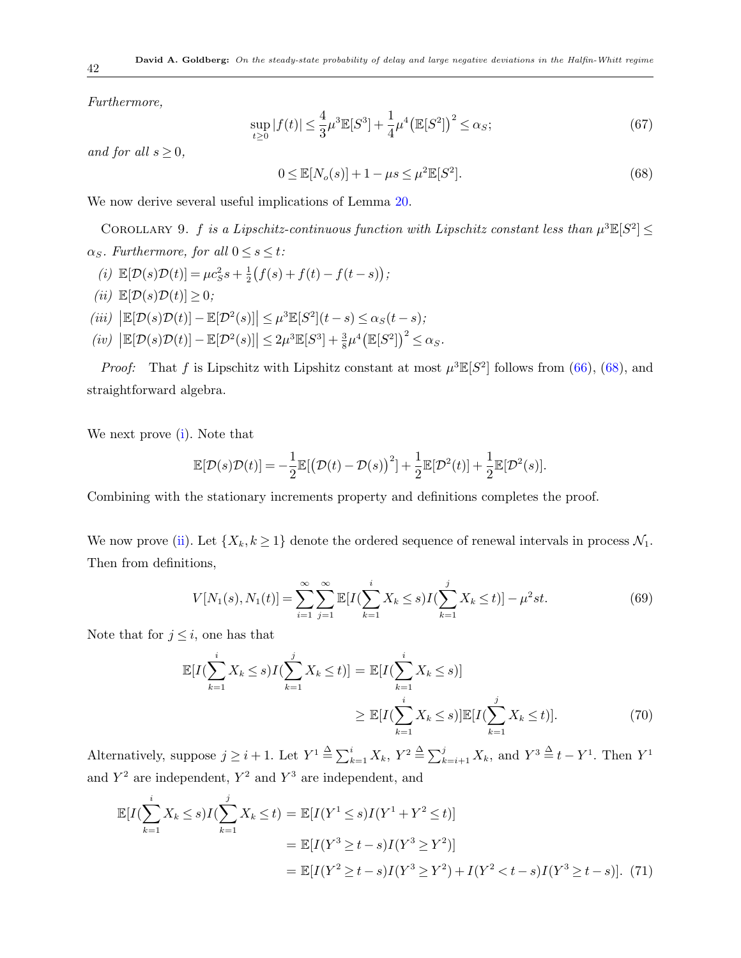*Furthermore,*

<span id="page-41-7"></span>
$$
\sup_{t\geq 0} |f(t)| \leq \frac{4}{3}\mu^3 \mathbb{E}[S^3] + \frac{1}{4}\mu^4 \big(\mathbb{E}[S^2]\big)^2 \leq \alpha_S;
$$
\n(67)

*and for all*  $s \geq 0$ *,* 

<span id="page-41-8"></span><span id="page-41-0"></span>
$$
0 \le \mathbb{E}[N_o(s)] + 1 - \mu s \le \mu^2 \mathbb{E}[S^2].
$$
\n(68)

We now derive several useful implications of Lemma [20.](#page-40-2)

COROLLARY 9. *f is a Lipschitz-continuous function with Lipschitz constant less than*  $\mu^3 \mathbb{E}[S^2] \leq$  $\alpha_S$ *. Furthermore, for all*  $0 \leq s \leq t$ *:* 

- <span id="page-41-1"></span>(*i*)  $\mathbb{E}[\mathcal{D}(s)\mathcal{D}(t)] = \mu c_S^2 s + \frac{1}{2}$  $\frac{1}{2}(f(s) + f(t) - f(t-s));$
- <span id="page-41-2"></span> $(iii)$   $\mathbb{E}[\mathcal{D}(s)\mathcal{D}(t)] \geq 0$ ;
- <span id="page-41-5"></span> $\left| \mathbb{E}[\mathcal{D}(s)\mathcal{D}(t)] - \mathbb{E}[\mathcal{D}^2(s)] \right| \leq \mu^3 \mathbb{E}[S^2](t-s) \leq \alpha_S(t-s);$
- <span id="page-41-6"></span> $\left| \mathbb{E}[\mathcal{D}(s)\mathcal{D}(t)] - \mathbb{E}[\mathcal{D}^2(s)] \right| \leq 2\mu^3 \mathbb{E}[S^3] + \frac{3}{8}\mu^4 \big(\mathbb{E}[S^2]\big)^2 \leq \alpha_S$ .

*Proof:* That *f* is Lipschitz with Lipshitz constant at most  $\mu^3 \mathbb{E}[S^2]$  follows from [\(66](#page-40-3)), ([68\)](#page-41-0), and straightforward algebra.

We next prove [\(i](#page-41-1)). Note that

$$
\mathbb{E}[\mathcal{D}(s)\mathcal{D}(t)] = -\frac{1}{2}\mathbb{E}[\left(\mathcal{D}(t) - \mathcal{D}(s)\right)^2] + \frac{1}{2}\mathbb{E}[\mathcal{D}^2(t)] + \frac{1}{2}\mathbb{E}[\mathcal{D}^2(s)].
$$

Combining with the stationary increments property and definitions completes the proof.

We now prove ([ii\)](#page-41-2). Let  $\{X_k, k \geq 1\}$  denote the ordered sequence of renewal intervals in process  $\mathcal{N}_1$ . Then from definitions,

<span id="page-41-4"></span>
$$
V[N_1(s), N_1(t)] = \sum_{i=1}^{\infty} \sum_{j=1}^{\infty} \mathbb{E}[I(\sum_{k=1}^{i} X_k \le s)I(\sum_{k=1}^{j} X_k \le t)] - \mu^2 st.
$$
 (69)

Note that for  $j \leq i$ , one has that

$$
\mathbb{E}[I(\sum_{k=1}^{i} X_k \le s)I(\sum_{k=1}^{j} X_k \le t)] = \mathbb{E}[I(\sum_{k=1}^{i} X_k \le s)]
$$
  

$$
\ge \mathbb{E}[I(\sum_{k=1}^{i} X_k \le s)] \mathbb{E}[I(\sum_{k=1}^{j} X_k \le t)].
$$
 (70)

Alternatively, suppose  $j \geq i+1$ . Let  $Y^1 \stackrel{\Delta}{=} \sum_{k=1}^i X_k$ ,  $Y^2 \stackrel{\Delta}{=} \sum_{k=i+1}^j X_k$ , and  $Y^3 \stackrel{\Delta}{=} t - Y^1$ . Then  $Y^1$ and  $Y^2$  are independent,  $Y^2$  and  $Y^3$  are independent, and

<span id="page-41-3"></span>
$$
\mathbb{E}[I(\sum_{k=1}^{i} X_k \le s)I(\sum_{k=1}^{j} X_k \le t) = \mathbb{E}[I(Y^1 \le s)I(Y^1 + Y^2 \le t)]
$$
  
\n
$$
= \mathbb{E}[I(Y^3 \ge t - s)I(Y^3 \ge Y^2)]
$$
  
\n
$$
= \mathbb{E}[I(Y^2 \ge t - s)I(Y^3 \ge Y^2) + I(Y^2 < t - s)I(Y^3 \ge t - s)].
$$
 (71)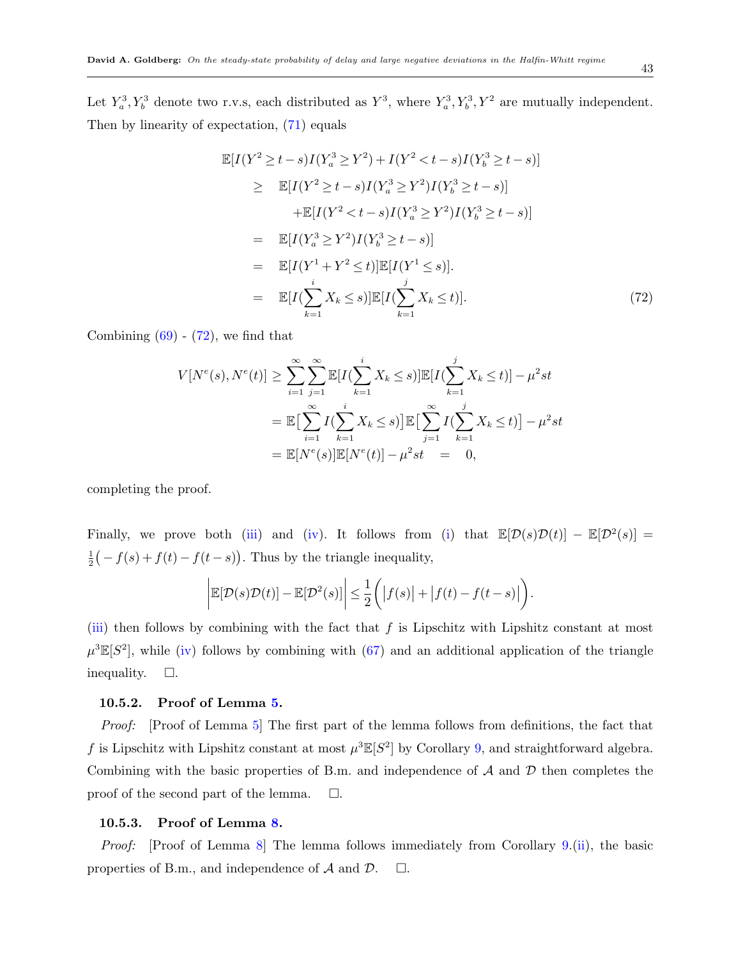Let  $Y_a^3, Y_b^3$  denote two r.v.s, each distributed as  $Y^3$ , where  $Y_a^3, Y_b^3, Y^2$  are mutually independent. Then by linearity of expectation, ([71\)](#page-41-3) equals

<span id="page-42-2"></span>
$$
\mathbb{E}[I(Y^2 \ge t - s)I(Y_a^3 \ge Y^2) + I(Y^2 < t - s)I(Y_b^3 \ge t - s)]
$$
\n
$$
\ge \mathbb{E}[I(Y^2 \ge t - s)I(Y_a^3 \ge Y^2)I(Y_b^3 \ge t - s)]
$$
\n
$$
+\mathbb{E}[I(Y^2 < t - s)I(Y_a^3 \ge Y^2)I(Y_b^3 \ge t - s)]
$$
\n
$$
= \mathbb{E}[I(Y_a^3 \ge Y^2)I(Y_b^3 \ge t - s)]
$$
\n
$$
= \mathbb{E}[I(Y^1 + Y^2 \le t)]\mathbb{E}[I(Y^1 \le s)].
$$
\n
$$
= \mathbb{E}[I(\sum_{k=1}^i X_k \le s)]\mathbb{E}[I(\sum_{k=1}^i X_k \le t)]. \tag{72}
$$

Combining  $(69)$  $(69)$  -  $(72)$  $(72)$ , we find that

$$
V[N^{e}(s), N^{e}(t)] \geq \sum_{i=1}^{\infty} \sum_{j=1}^{\infty} \mathbb{E}[I(\sum_{k=1}^{i} X_{k} \leq s)] \mathbb{E}[I(\sum_{k=1}^{j} X_{k} \leq t)] - \mu^{2} st
$$
  
= 
$$
\mathbb{E}[\sum_{i=1}^{\infty} I(\sum_{k=1}^{i} X_{k} \leq s)] \mathbb{E}[\sum_{j=1}^{\infty} I(\sum_{k=1}^{j} X_{k} \leq t)] - \mu^{2} st
$$
  
= 
$$
\mathbb{E}[N^{e}(s)] \mathbb{E}[N^{e}(t)] - \mu^{2} st = 0,
$$

completing the proof.

Finally, we prove both ([iii\)](#page-41-5) and ([iv](#page-41-6)). It follows from ([i\)](#page-41-1) that  $\mathbb{E}[\mathcal{D}(s)\mathcal{D}(t)] - \mathbb{E}[\mathcal{D}^2(s)] =$ 1  $\frac{1}{2}(-f(s) + f(t) - f(t-s))$ . Thus by the triangle inequality,

$$
\bigg| \mathbb{E}[\mathcal{D}(s)\mathcal{D}(t)] - \mathbb{E}[\mathcal{D}^2(s)] \bigg| \leq \frac{1}{2} \bigg( \big| f(s) \big| + \big| f(t) - f(t-s) \big| \bigg).
$$

[\(iii](#page-41-5)) then follows by combining with the fact that *f* is Lipschitz with Lipshitz constant at most  $\mu^3 \mathbb{E}[S^2]$ , while [\(iv](#page-41-6)) follows by combining with ([67\)](#page-41-7) and an additional application of the triangle inequality.  $\square$ .

#### <span id="page-42-0"></span>**10.5.2. Proof of Lemma [5](#page-19-3).**

*Proof:* [Proof of Lemma [5](#page-19-3)] The first part of the lemma follows from definitions, the fact that *f* is Lipschitz with Lipshitz constant at most  $\mu^3 \mathbb{E}[S^2]$  by Corollary [9,](#page-41-8) and straightforward algebra. Combining with the basic properties of B.m. and independence of *A* and *D* then completes the proof of the second part of the lemma.  $\square$ .

#### <span id="page-42-1"></span>**10.5.3. Proof of Lemma [8](#page-21-1).**

*Proof:* [Proof of Lemma [8](#page-21-1)] The lemma follows immediately from Corollary [9](#page-41-8).[\(ii\)](#page-41-2), the basic properties of B.m., and independence of  $\mathcal A$  and  $\mathcal D$ .  $\Box$ .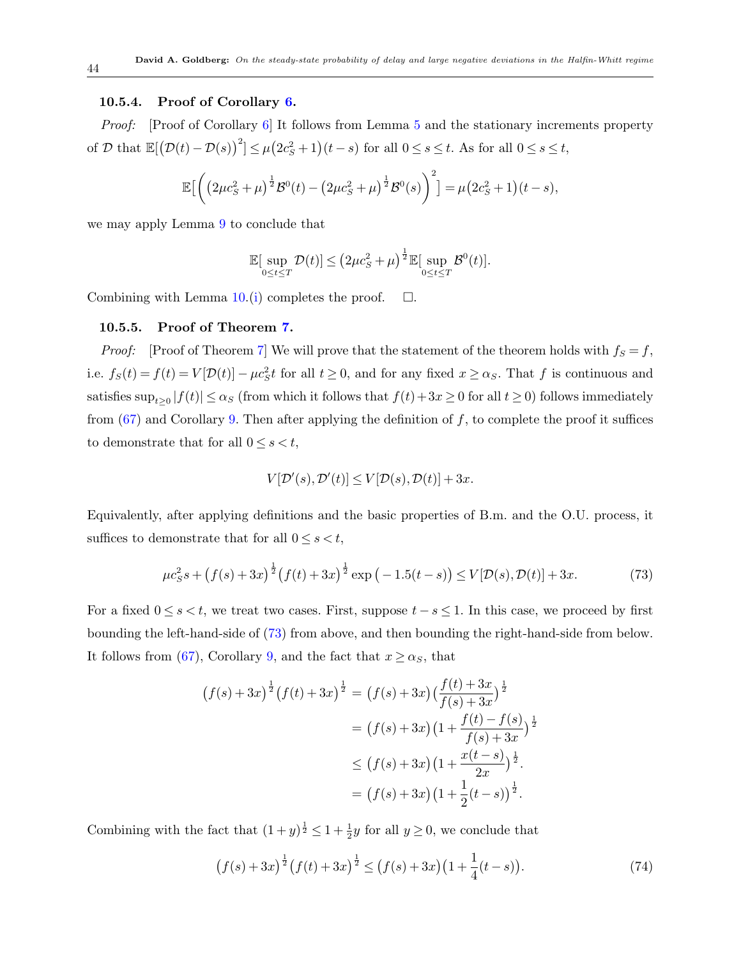#### <span id="page-43-0"></span>**10.5.4. Proof of Corollary [6.](#page-21-2)**

*Proof:* [Proof of Corollary [6](#page-21-2)] It follows from Lemma [5](#page-19-3) and the stationary increments property of D that  $\mathbb{E}[(\mathcal{D}(t)-\mathcal{D}(s))^2] \leq \mu(2c_S^2+1)(t-s)$  for all  $0 \leq s \leq t$ . As for all  $0 \leq s \leq t$ ,

$$
\mathbb{E}\Big[\bigg(\big(2\mu c_S^2 + \mu\big)^{\frac{1}{2}}\mathcal{B}^0(t) - \big(2\mu c_S^2 + \mu\big)^{\frac{1}{2}}\mathcal{B}^0(s)\bigg)^2\Big] = \mu\big(2c_S^2 + 1\big)(t - s),
$$

we may apply Lemma [9](#page-21-4) to conclude that

$$
\mathbb{E}[\sup_{0\leq t\leq T} \mathcal{D}(t)] \leq (2\mu c_S^2 + \mu)^{\frac{1}{2}} \mathbb{E}[\sup_{0\leq t\leq T} \mathcal{B}^0(t)].
$$

Combining with Lemma  $10.(i)$  $10.(i)$  $10.(i)$  completes the proof.  $\Box$ .

#### **10.5.5. Proof of Theorem [7](#page-22-2).**

*Proof:* [Proof of Theorem [7](#page-22-2)] We will prove that the statement of the theorem holds with  $f_S = f$ , i.e.  $f_S(t) = f(t) = V[\mathcal{D}(t)] - \mu c_S^2 t$  for all  $t \ge 0$ , and for any fixed  $x \ge \alpha_S$ . That f is continuous and satisfies  $\sup_{t\geq0}|f(t)| \leq \alpha_s$  (from which it follows that  $f(t)+3x \geq 0$  for all  $t \geq 0$ ) follows immediately from  $(67)$  $(67)$  and Corollary [9.](#page-41-8) Then after applying the definition of  $f$ , to complete the proof it suffices to demonstrate that for all  $0 \leq s < t$ ,

$$
V[\mathcal{D}'(s), \mathcal{D}'(t)] \le V[\mathcal{D}(s), \mathcal{D}(t)] + 3x.
$$

Equivalently, after applying definitions and the basic properties of B.m. and the O.U. process, it suffices to demonstrate that for all  $0 \leq s \leq t$ ,

<span id="page-43-1"></span>
$$
\mu c_S^2 s + \left(f(s) + 3x\right)^{\frac{1}{2}} \left(f(t) + 3x\right)^{\frac{1}{2}} \exp\left(-1.5(t - s)\right) \le V[\mathcal{D}(s), \mathcal{D}(t)] + 3x. \tag{73}
$$

For a fixed  $0 \le s < t$ , we treat two cases. First, suppose  $t - s \le 1$ . In this case, we proceed by first bounding the left-hand-side of ([73\)](#page-43-1) from above, and then bounding the right-hand-side from below. It follows from ([67\)](#page-41-7), Corollary [9,](#page-41-8) and the fact that  $x \ge \alpha_S$ , that

$$
(f(s) + 3x)^{\frac{1}{2}} (f(t) + 3x)^{\frac{1}{2}} = (f(s) + 3x) (\frac{f(t) + 3x}{f(s) + 3x})^{\frac{1}{2}}
$$
  

$$
= (f(s) + 3x) (1 + \frac{f(t) - f(s)}{f(s) + 3x})^{\frac{1}{2}}
$$
  

$$
\leq (f(s) + 3x) (1 + \frac{x(t - s)}{2x})^{\frac{1}{2}}.
$$
  

$$
= (f(s) + 3x) (1 + \frac{1}{2}(t - s))^{\frac{1}{2}}.
$$

Combining with the fact that  $(1+y)^{\frac{1}{2}} \leq 1 + \frac{1}{2}y$  for all  $y \geq 0$ , we conclude that

<span id="page-43-2"></span>
$$
(f(s) + 3x)^{\frac{1}{2}}(f(t) + 3x)^{\frac{1}{2}} \le (f(s) + 3x)(1 + \frac{1}{4}(t - s)).
$$
\n(74)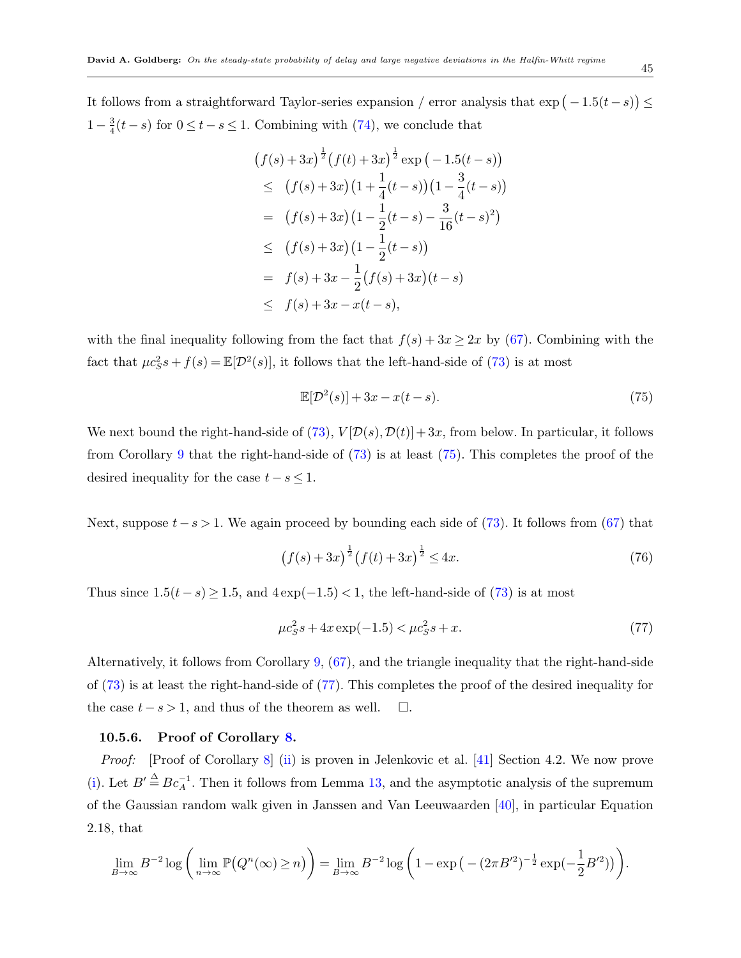It follows from a straightforward Taylor-series expansion / error analysis that  $\exp(-1.5(t-s)) \le$  $1-\frac{3}{4}$  $\frac{3}{4}(t-s)$  for  $0 \le t - s \le 1$ . Combining with [\(74](#page-43-2)), we conclude that

$$
(f(s) + 3x)^{\frac{1}{2}} (f(t) + 3x)^{\frac{1}{2}} \exp(-1.5(t-s))
$$
  
\n
$$
\leq (f(s) + 3x) (1 + \frac{1}{4}(t-s)) (1 - \frac{3}{4}(t-s))
$$
  
\n
$$
= (f(s) + 3x) (1 - \frac{1}{2}(t-s) - \frac{3}{16}(t-s)^2)
$$
  
\n
$$
\leq (f(s) + 3x) (1 - \frac{1}{2}(t-s))
$$
  
\n
$$
= f(s) + 3x - \frac{1}{2}(f(s) + 3x)(t-s)
$$
  
\n
$$
\leq f(s) + 3x - x(t-s),
$$

with the final inequality following from the fact that  $f(s) + 3x \geq 2x$  by ([67\)](#page-41-7). Combining with the fact that  $\mu c_S^2 s + f(s) = \mathbb{E}[\mathcal{D}^2(s)]$ , it follows that the left-hand-side of ([73](#page-43-1)) is at most

<span id="page-44-0"></span>
$$
\mathbb{E}[\mathcal{D}^2(s)] + 3x - x(t-s). \tag{75}
$$

We next bound the right-hand-side of  $(73)$  $(73)$ ,  $V[D(s), D(t)] + 3x$ , from below. In particular, it follows from Corollary [9](#page-41-8) that the right-hand-side of ([73](#page-43-1)) is at least ([75](#page-44-0)). This completes the proof of the desired inequality for the case  $t - s \leq 1$ .

Next, suppose *t−s >* 1. We again proceed by bounding each side of ([73](#page-43-1)). It follows from [\(67](#page-41-7)) that

$$
(f(s) + 3x)^{\frac{1}{2}} (f(t) + 3x)^{\frac{1}{2}} \le 4x.
$$
 (76)

Thus since  $1.5(t-s) \geq 1.5$ , and  $4 \exp(-1.5) < 1$ , the left-hand-side of ([73\)](#page-43-1) is at most

<span id="page-44-1"></span>
$$
\mu c_S^2 s + 4x \exp(-1.5) < \mu c_S^2 s + x. \tag{77}
$$

Alternatively, it follows from Corollary [9,](#page-41-8) [\(67](#page-41-7)), and the triangle inequality that the right-hand-side of [\(73](#page-43-1)) is at least the right-hand-side of ([77\)](#page-44-1). This completes the proof of the desired inequality for the case  $t - s > 1$ , and thus of the theorem as well.  $\Box$ .

#### **10.5.6. Proof of Corollary [8.](#page-28-1)**

*Proof:* [Proof of Corollary [8](#page-28-1)] ([ii\)](#page-28-2) is proven in Jelenkovic et al. [[41\]](#page-47-2) Section 4.2. We now prove [\(i](#page-28-3)). Let  $B' \triangleq B c_A^{-1}$ . Then it follows from Lemma [13,](#page-28-0) and the asymptotic analysis of the supremum of the Gaussian random walk given in Janssen and Van Leeuwaarden [[40\]](#page-47-5), in particular Equation 2.18, that

$$
\lim_{B \to \infty} B^{-2} \log \left( \lim_{n \to \infty} \mathbb{P} \big( Q^n(\infty) \ge n \big) \right) = \lim_{B \to \infty} B^{-2} \log \left( 1 - \exp \big( - (2\pi B'^2)^{-\frac{1}{2}} \exp(-\frac{1}{2} B'^2) \big) \right).
$$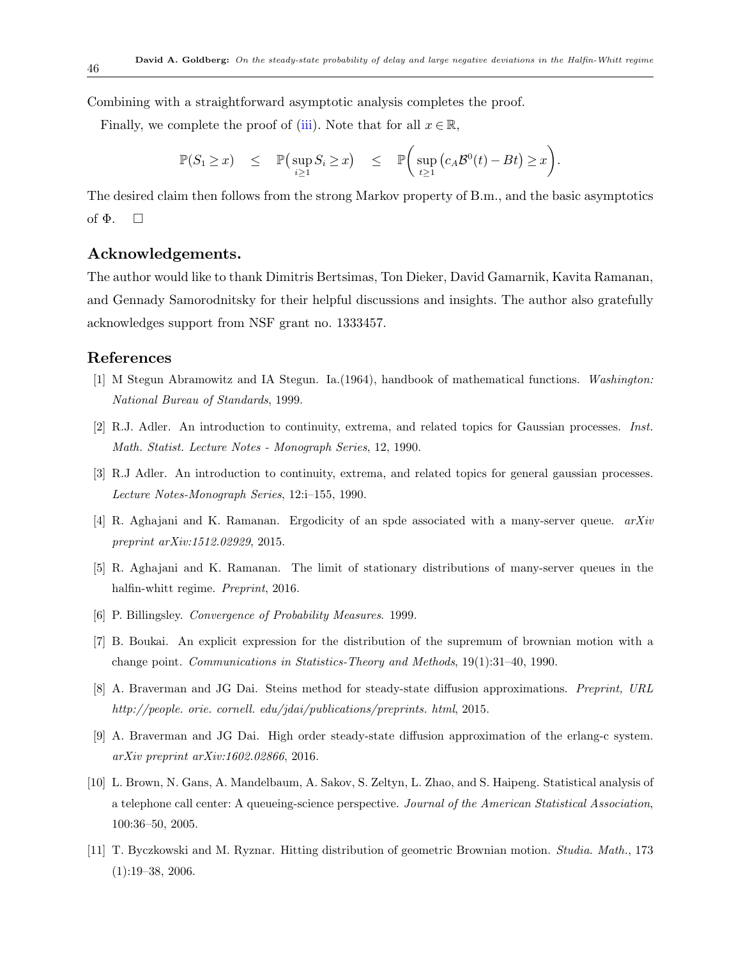Combining with a straightforward asymptotic analysis completes the proof.

Finally, we complete the proof of ([iii](#page-28-4)). Note that for all  $x \in \mathbb{R}$ ,

$$
\mathbb{P}(S_1 \geq x) \leq \mathbb{P}\left(\sup_{i \geq 1} S_i \geq x\right) \leq \mathbb{P}\left(\sup_{t \geq 1} (c_A \mathcal{B}^0(t) - Bt) \geq x\right).
$$

The desired claim then follows from the strong Markov property of B.m., and the basic asymptotics of  $\Phi$ .  $\square$ 

# **Acknowledgements.**

The author would like to thank Dimitris Bertsimas, Ton Dieker, David Gamarnik, Kavita Ramanan, and Gennady Samorodnitsky for their helpful discussions and insights. The author also gratefully acknowledges support from NSF grant no. 1333457.

# **References**

- <span id="page-45-7"></span>[1] M Stegun Abramowitz and IA Stegun. Ia.(1964), handbook of mathematical functions. *Washington: National Bureau of Standards*, 1999.
- <span id="page-45-5"></span>[2] R.J. Adler. An introduction to continuity, extrema, and related topics for Gaussian processes. *Inst. Math. Statist. Lecture Notes - Monograph Series*, 12, 1990.
- <span id="page-45-8"></span>[3] R.J Adler. An introduction to continuity, extrema, and related topics for general gaussian processes. *Lecture Notes-Monograph Series*, 12:i–155, 1990.
- <span id="page-45-3"></span>[4] R. Aghajani and K. Ramanan. Ergodicity of an spde associated with a many-server queue. *arXiv preprint arXiv:1512.02929*, 2015.
- <span id="page-45-4"></span>[5] R. Aghajani and K. Ramanan. The limit of stationary distributions of many-server queues in the halfin-whitt regime. *Preprint*, 2016.
- <span id="page-45-6"></span>[6] P. Billingsley. *Convergence of Probability Measures*. 1999.
- <span id="page-45-9"></span>[7] B. Boukai. An explicit expression for the distribution of the supremum of brownian motion with a change point. *Communications in Statistics-Theory and Methods*, 19(1):31–40, 1990.
- <span id="page-45-1"></span>[8] A. Braverman and JG Dai. Steins method for steady-state diffusion approximations. *Preprint, URL http://people. orie. cornell. edu/jdai/publications/preprints. html*, 2015.
- <span id="page-45-2"></span>[9] A. Braverman and JG Dai. High order steady-state diffusion approximation of the erlang-c system. *arXiv preprint arXiv:1602.02866*, 2016.
- <span id="page-45-0"></span>[10] L. Brown, N. Gans, A. Mandelbaum, A. Sakov, S. Zeltyn, L. Zhao, and S. Haipeng. Statistical analysis of a telephone call center: A queueing-science perspective. *Journal of the American Statistical Association*, 100:36–50, 2005.
- <span id="page-45-10"></span>[11] T. Byczkowski and M. Ryznar. Hitting distribution of geometric Brownian motion. *Studia. Math.*, 173  $(1):19-38, 2006.$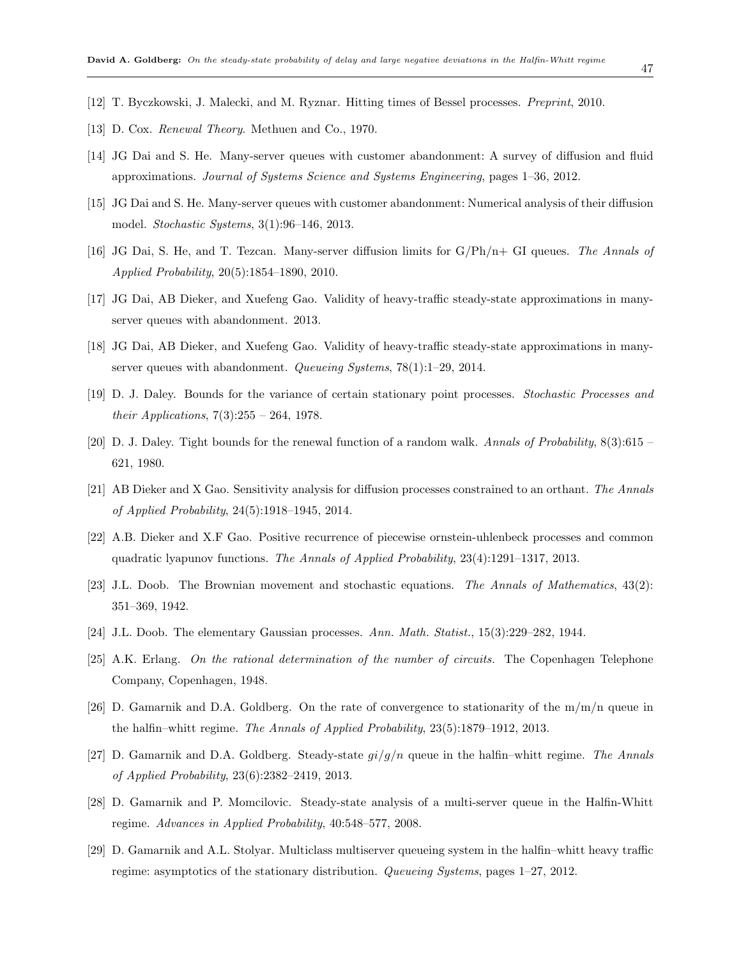- <span id="page-46-15"></span>[12] T. Byczkowski, J. Malecki, and M. Ryznar. Hitting times of Bessel processes. *Preprint*, 2010.
- <span id="page-46-11"></span>[13] D. Cox. *Renewal Theory*. Methuen and Co., 1970.
- <span id="page-46-9"></span>[14] JG Dai and S. He. Many-server queues with customer abandonment: A survey of diffusion and fluid approximations. *Journal of Systems Science and Systems Engineering*, pages 1–36, 2012.
- <span id="page-46-4"></span>[15] JG Dai and S. He. Many-server queues with customer abandonment: Numerical analysis of their diffusion model. *Stochastic Systems*, 3(1):96–146, 2013.
- <span id="page-46-7"></span>[16] JG Dai, S. He, and T. Tezcan. Many-server diffusion limits for G/Ph/n+ GI queues. *The Annals of Applied Probability*, 20(5):1854–1890, 2010.
- <span id="page-46-3"></span>[17] JG Dai, AB Dieker, and Xuefeng Gao. Validity of heavy-traffic steady-state approximations in manyserver queues with abandonment. 2013.
- <span id="page-46-8"></span>[18] JG Dai, AB Dieker, and Xuefeng Gao. Validity of heavy-traffic steady-state approximations in manyserver queues with abandonment. *Queueing Systems*, 78(1):1–29, 2014.
- <span id="page-46-16"></span>[19] D. J. Daley. Bounds for the variance of certain stationary point processes. *Stochastic Processes and their Applications*, 7(3):255 – 264, 1978.
- <span id="page-46-17"></span>[20] D. J. Daley. Tight bounds for the renewal function of a random walk. *Annals of Probability*, 8(3):615 – 621, 1980.
- <span id="page-46-5"></span>[21] AB Dieker and X Gao. Sensitivity analysis for diffusion processes constrained to an orthant. *The Annals of Applied Probability*, 24(5):1918–1945, 2014.
- <span id="page-46-10"></span>[22] A.B. Dieker and X.F Gao. Positive recurrence of piecewise ornstein-uhlenbeck processes and common quadratic lyapunov functions. *The Annals of Applied Probability*, 23(4):1291–1317, 2013.
- <span id="page-46-13"></span>[23] J.L. Doob. The Brownian movement and stochastic equations. *The Annals of Mathematics*, 43(2): 351–369, 1942.
- <span id="page-46-12"></span>[24] J.L. Doob. The elementary Gaussian processes. *Ann. Math. Statist.*, 15(3):229–282, 1944.
- <span id="page-46-1"></span>[25] A.K. Erlang. *On the rational determination of the number of circuits.* The Copenhagen Telephone Company, Copenhagen, 1948.
- <span id="page-46-14"></span>[26] D. Gamarnik and D.A. Goldberg. On the rate of convergence to stationarity of the  $m/m/n$  queue in the halfin–whitt regime. *The Annals of Applied Probability*, 23(5):1879–1912, 2013.
- <span id="page-46-0"></span>[27] D. Gamarnik and D.A. Goldberg. Steady-state *gi/g/n* queue in the halfin–whitt regime. *The Annals of Applied Probability*, 23(6):2382–2419, 2013.
- <span id="page-46-2"></span>[28] D. Gamarnik and P. Momcilovic. Steady-state analysis of a multi-server queue in the Halfin-Whitt regime. *Advances in Applied Probability*, 40:548–577, 2008.
- <span id="page-46-6"></span>[29] D. Gamarnik and A.L. Stolyar. Multiclass multiserver queueing system in the halfin–whitt heavy traffic regime: asymptotics of the stationary distribution. *Queueing Systems*, pages 1–27, 2012.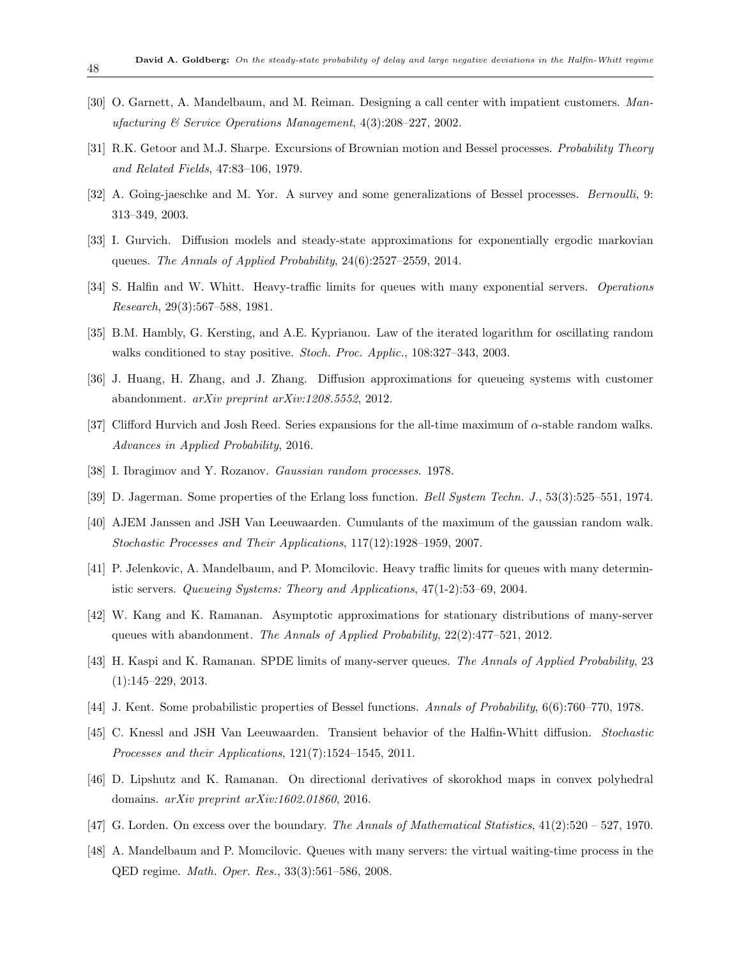- <span id="page-47-4"></span>[30] O. Garnett, A. Mandelbaum, and M. Reiman. Designing a call center with impatient customers. *Manufacturing & Service Operations Management*, 4(3):208–227, 2002.
- <span id="page-47-16"></span>[31] R.K. Getoor and M.J. Sharpe. Excursions of Brownian motion and Bessel processes. *Probability Theory and Related Fields*, 47:83–106, 1979.
- <span id="page-47-14"></span>[32] A. Going-jaeschke and M. Yor. A survey and some generalizations of Bessel processes. *Bernoulli*, 9: 313–349, 2003.
- <span id="page-47-11"></span>[33] I. Gurvich. Diffusion models and steady-state approximations for exponentially ergodic markovian queues. *The Annals of Applied Probability*, 24(6):2527–2559, 2014.
- <span id="page-47-1"></span>[34] S. Halfin and W. Whitt. Heavy-traffic limits for queues with many exponential servers. *Operations Research*, 29(3):567–588, 1981.
- <span id="page-47-17"></span>[35] B.M. Hambly, G. Kersting, and A.E. Kyprianou. Law of the iterated logarithm for oscillating random walks conditioned to stay positive. *Stoch. Proc. Applic.*, 108:327–343, 2003.
- <span id="page-47-9"></span>[36] J. Huang, H. Zhang, and J. Zhang. Diffusion approximations for queueing systems with customer abandonment. *arXiv preprint arXiv:1208.5552*, 2012.
- <span id="page-47-3"></span>[37] Clifford Hurvich and Josh Reed. Series expansions for the all-time maximum of *α*-stable random walks. *Advances in Applied Probability*, 2016.
- <span id="page-47-12"></span>[38] I. Ibragimov and Y. Rozanov. *Gaussian random processes*. 1978.
- <span id="page-47-0"></span>[39] D. Jagerman. Some properties of the Erlang loss function. *Bell System Techn. J.*, 53(3):525–551, 1974.
- <span id="page-47-5"></span>[40] AJEM Janssen and JSH Van Leeuwaarden. Cumulants of the maximum of the gaussian random walk. *Stochastic Processes and Their Applications*, 117(12):1928–1959, 2007.
- <span id="page-47-2"></span>[41] P. Jelenkovic, A. Mandelbaum, and P. Momcilovic. Heavy traffic limits for queues with many deterministic servers. *Queueing Systems: Theory and Applications*, 47(1-2):53–69, 2004.
- <span id="page-47-10"></span>[42] W. Kang and K. Ramanan. Asymptotic approximations for stationary distributions of many-server queues with abandonment. *The Annals of Applied Probability*, 22(2):477–521, 2012.
- <span id="page-47-8"></span>[43] H. Kaspi and K. Ramanan. SPDE limits of many-server queues. *The Annals of Applied Probability*, 23 (1):145–229, 2013.
- <span id="page-47-15"></span>[44] J. Kent. Some probabilistic properties of Bessel functions. *Annals of Probability*, 6(6):760–770, 1978.
- <span id="page-47-13"></span>[45] C. Knessl and JSH Van Leeuwaarden. Transient behavior of the Halfin-Whitt diffusion. *Stochastic Processes and their Applications*, 121(7):1524–1545, 2011.
- <span id="page-47-6"></span>[46] D. Lipshutz and K. Ramanan. On directional derivatives of skorokhod maps in convex polyhedral domains. *arXiv preprint arXiv:1602.01860*, 2016.
- <span id="page-47-18"></span>[47] G. Lorden. On excess over the boundary. *The Annals of Mathematical Statistics*, 41(2):520 – 527, 1970.
- <span id="page-47-7"></span>[48] A. Mandelbaum and P. Momcilovic. Queues with many servers: the virtual waiting-time process in the QED regime. *Math. Oper. Res.*, 33(3):561–586, 2008.